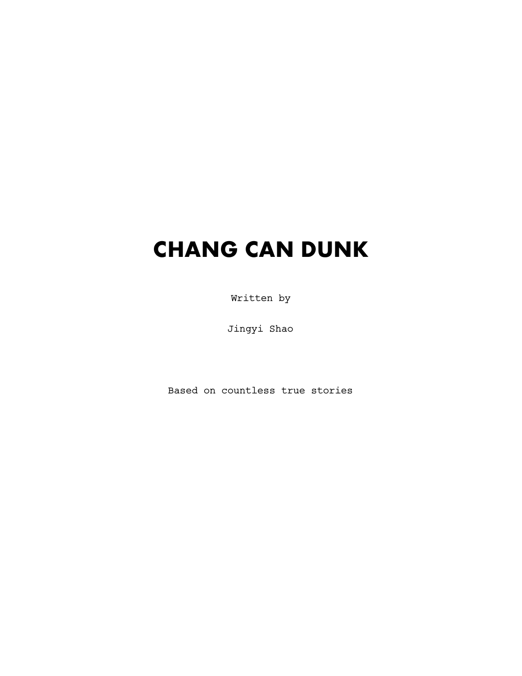# **CHANG CAN DUNK**

Written by

Jingyi Shao

Based on countless true stories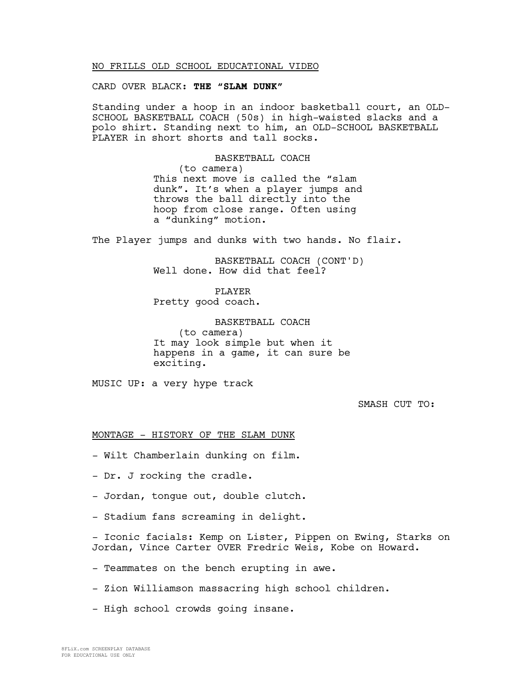### NO FRILLS OLD SCHOOL EDUCATIONAL VIDEO

CARD OVER BLACK: **THE "SLAM DUNK"**

Standing under a hoop in an indoor basketball court, an OLD-SCHOOL BASKETBALL COACH (50s) in high-waisted slacks and a polo shirt. Standing next to him, an OLD-SCHOOL BASKETBALL PLAYER in short shorts and tall socks.

BASKETBALL COACH

(to camera) This next move is called the "slam dunk". It's when a player jumps and throws the ball directly into the hoop from close range. Often using a "dunking" motion.

The Player jumps and dunks with two hands. No flair.

BASKETBALL COACH (CONT'D) Well done. How did that feel?

PLAYER Pretty good coach.

BASKETBALL COACH (to camera) It may look simple but when it happens in a game, it can sure be exciting.

MUSIC UP: a very hype track

SMASH CUT TO:

MONTAGE - HISTORY OF THE SLAM DUNK

- Wilt Chamberlain dunking on film.

- Dr. J rocking the cradle.

- Jordan, tongue out, double clutch.

- Stadium fans screaming in delight.

- Iconic facials: Kemp on Lister, Pippen on Ewing, Starks on Jordan, Vince Carter OVER Fredric Weis, Kobe on Howard.

- Teammates on the bench erupting in awe.

- Zion Williamson massacring high school children.

- High school crowds going insane.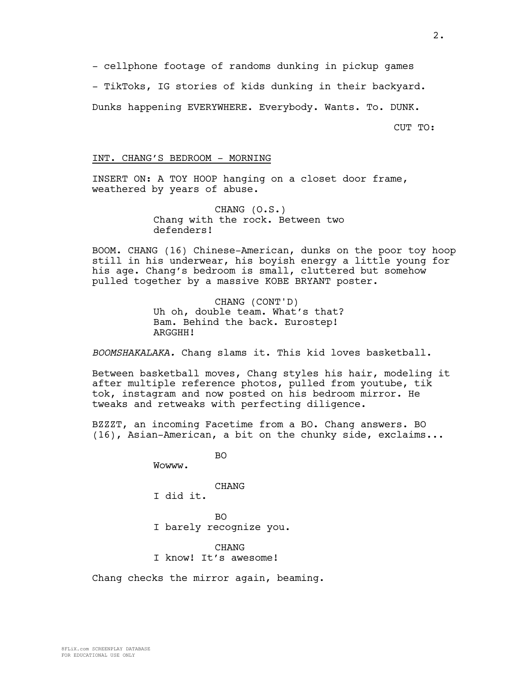- cellphone footage of randoms dunking in pickup games

- TikToks, IG stories of kids dunking in their backyard.

Dunks happening EVERYWHERE. Everybody. Wants. To. DUNK.

CUT TO:

### INT. CHANG'S BEDROOM - MORNING

INSERT ON: A TOY HOOP hanging on a closet door frame, weathered by years of abuse.

> CHANG (O.S.) Chang with the rock. Between two defenders!

BOOM. CHANG (16) Chinese-American, dunks on the poor toy hoop still in his underwear, his boyish energy a little young for his age. Chang's bedroom is small, cluttered but somehow pulled together by a massive KOBE BRYANT poster.

> CHANG (CONT'D) Uh oh, double team. What's that? Bam. Behind the back. Eurostep! ARGGHH!

*BOOMSHAKALAKA.* Chang slams it. This kid loves basketball.

Between basketball moves, Chang styles his hair, modeling it after multiple reference photos, pulled from youtube, tik tok, instagram and now posted on his bedroom mirror. He tweaks and retweaks with perfecting diligence.

BZZZT, an incoming Facetime from a BO. Chang answers. BO (16), Asian-American, a bit on the chunky side, exclaims...

BO

Wowww.

CHANG

I did it.

BO

I barely recognize you.

CHANG I know! It's awesome!

Chang checks the mirror again, beaming.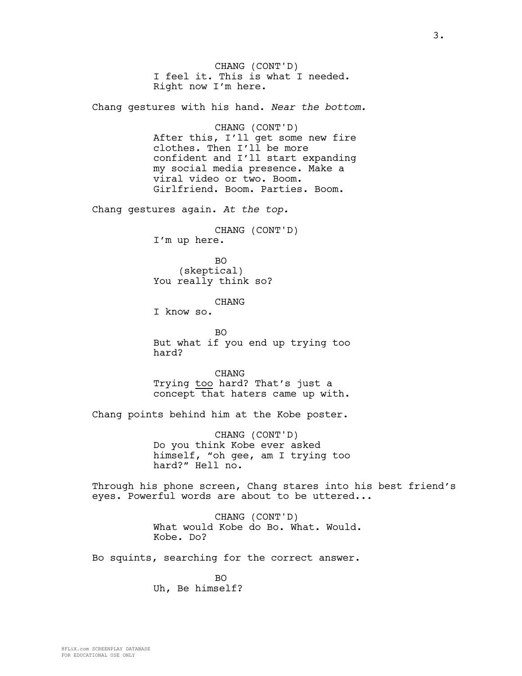CHANG (CONT'D) I feel it. This is what I needed. Right now I'm here.

Chang gestures with his hand. *Near the bottom.* 

CHANG (CONT'D) After this, I'll get some new fire clothes. Then I'll be more confident and I'll start expanding my social media presence. Make a viral video or two. Boom. Girlfriend. Boom. Parties. Boom.

Chang gestures again. *At the top.*

CHANG (CONT'D) I'm up here.

BO (skeptical) You really think so?

CHANG

I know so.

BO But what if you end up trying too hard?

CHANG Trying too hard? That's just a concept that haters came up with.

Chang points behind him at the Kobe poster.

CHANG (CONT'D) Do you think Kobe ever asked himself, "oh gee, am I trying too hard?" Hell no.

Through his phone screen, Chang stares into his best friend's eyes. Powerful words are about to be uttered...

> CHANG (CONT'D) What would Kobe do Bo. What. Would. Kobe. Do?

Bo squints, searching for the correct answer.

 $BO$ Uh, Be himself?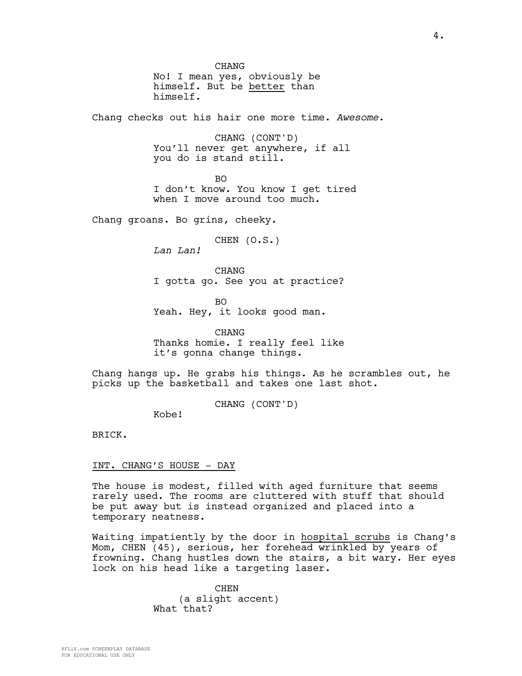CHANG No! I mean yes, obviously be himself. But be better than himself.

Chang checks out his hair one more time. *Awesome.*

CHANG (CONT'D) You'll never get anywhere, if all you do is stand still.

BO I don't know. You know I get tired when I move around too much.

Chang groans. Bo grins, cheeky.

CHEN (O.S.)

*Lan Lan!*

CHANG I gotta go. See you at practice?

BO Yeah. Hey, it looks good man.

CHANG Thanks homie. I really feel like it's gonna change things.

Chang hangs up. He grabs his things. As he scrambles out, he picks up the basketball and takes one last shot.

CHANG (CONT'D)

Kobe!

BRICK.

### INT. CHANG'S HOUSE - DAY

The house is modest, filled with aged furniture that seems rarely used. The rooms are cluttered with stuff that should be put away but is instead organized and placed into a temporary neatness.

Waiting impatiently by the door in hospital scrubs is Chang's Mom, CHEN (45), serious, her forehead wrinkled by years of frowning. Chang hustles down the stairs, a bit wary. Her eyes lock on his head like a targeting laser.

> CHEN (a slight accent) What that?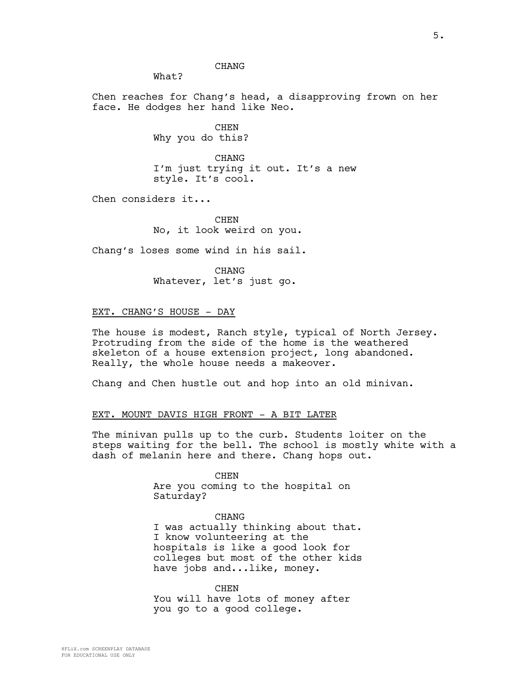# CHANG

What?

Chen reaches for Chang's head, a disapproving frown on her face. He dodges her hand like Neo.

> CHEN Why you do this?

CHANG I'm just trying it out. It's a new style. It's cool.

Chen considers it...

**CHEN** No, it look weird on you.

Chang's loses some wind in his sail.

CHANG Whatever, let's just go.

### EXT. CHANG'S HOUSE - DAY

The house is modest, Ranch style, typical of North Jersey. Protruding from the side of the home is the weathered skeleton of a house extension project, long abandoned. Really, the whole house needs a makeover.

Chang and Chen hustle out and hop into an old minivan.

#### EXT. MOUNT DAVIS HIGH FRONT - A BIT LATER

The minivan pulls up to the curb. Students loiter on the steps waiting for the bell. The school is mostly white with a dash of melanin here and there. Chang hops out.

> CHEN Are you coming to the hospital on Saturday?

CHANG I was actually thinking about that. I know volunteering at the hospitals is like a good look for colleges but most of the other kids have jobs and...like, money.

CHEN You will have lots of money after you go to a good college.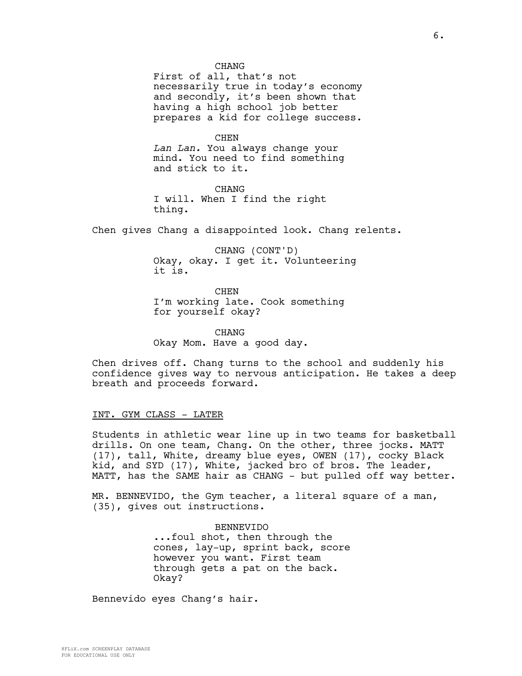**CHANG** 

First of all, that's not necessarily true in today's economy and secondly, it's been shown that having a high school job better prepares a kid for college success.

CHEN

*Lan Lan.* You always change your mind. You need to find something and stick to it.

CHANG I will. When I find the right thing.

Chen gives Chang a disappointed look. Chang relents.

CHANG (CONT'D) Okay, okay. I get it. Volunteering it is.

**CHEN** I'm working late. Cook something for yourself okay?

CHANG Okay Mom. Have a good day.

Chen drives off. Chang turns to the school and suddenly his confidence gives way to nervous anticipation. He takes a deep breath and proceeds forward.

#### INT. GYM CLASS - LATER

Students in athletic wear line up in two teams for basketball drills. On one team, Chang. On the other, three jocks. MATT (17), tall, White, dreamy blue eyes, OWEN (17), cocky Black kid, and SYD (17), White, jacked bro of bros. The leader, MATT, has the SAME hair as CHANG - but pulled off way better.

MR. BENNEVIDO, the Gym teacher, a literal square of a man, (35), gives out instructions.

> BENNEVIDO ...foul shot, then through the cones, lay-up, sprint back, score however you want. First team through gets a pat on the back. Okay?

Bennevido eyes Chang's hair.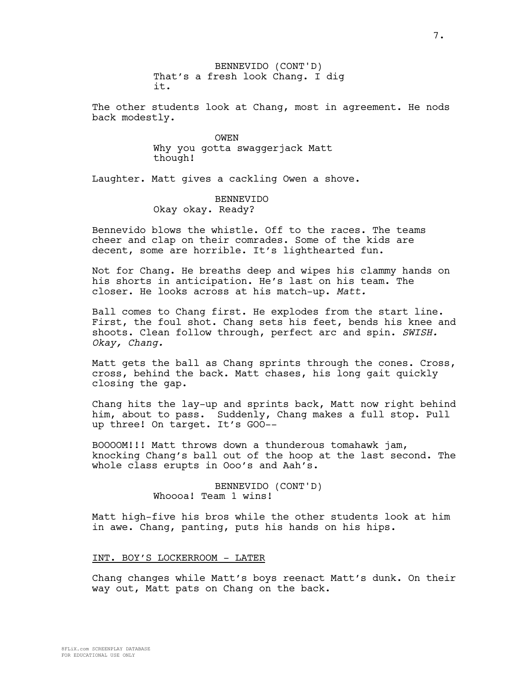BENNEVIDO (CONT'D) That's a fresh look Chang. I dig it.

The other students look at Chang, most in agreement. He nods back modestly.

> OWEN Why you gotta swaggerjack Matt though!

Laughter. Matt gives a cackling Owen a shove.

# BENNEVIDO Okay okay. Ready?

Bennevido blows the whistle. Off to the races. The teams cheer and clap on their comrades. Some of the kids are decent, some are horrible. It's lighthearted fun.

Not for Chang. He breaths deep and wipes his clammy hands on his shorts in anticipation. He's last on his team. The closer. He looks across at his match-up. *Matt.*

Ball comes to Chang first. He explodes from the start line. First, the foul shot. Chang sets his feet, bends his knee and shoots. Clean follow through, perfect arc and spin. *SWISH. Okay, Chang.*

Matt gets the ball as Chang sprints through the cones. Cross, cross, behind the back. Matt chases, his long gait quickly closing the gap.

Chang hits the lay-up and sprints back, Matt now right behind him, about to pass. Suddenly, Chang makes a full stop. Pull up three! On target. It's GOO--

BOOOOM!!! Matt throws down a thunderous tomahawk jam, knocking Chang's ball out of the hoop at the last second. The whole class erupts in Ooo's and Aah's.

> BENNEVIDO (CONT'D) Whoooa! Team 1 wins!

Matt high-five his bros while the other students look at him in awe. Chang, panting, puts his hands on his hips.

### INT. BOY'S LOCKERROOM - LATER

Chang changes while Matt's boys reenact Matt's dunk. On their way out, Matt pats on Chang on the back.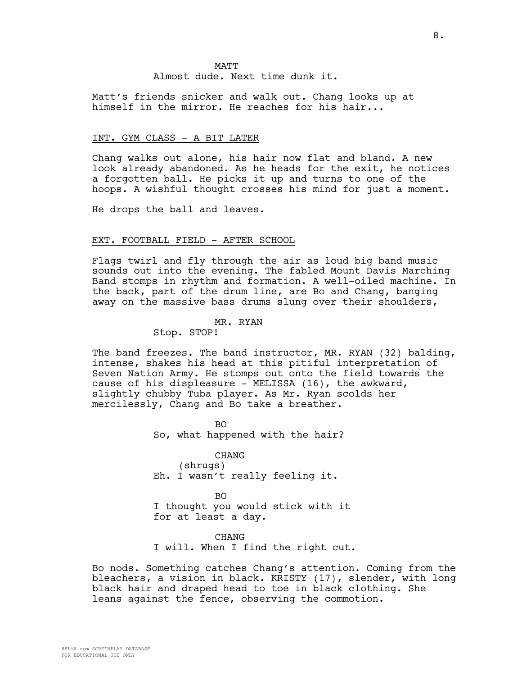Matt's friends snicker and walk out. Chang looks up at himself in the mirror. He reaches for his hair...

### INT. GYM CLASS - A BIT LATER

Chang walks out alone, his hair now flat and bland. A new look already abandoned. As he heads for the exit, he notices a forgotten ball. He picks it up and turns to one of the hoops. A wishful thought crosses his mind for just a moment.

He drops the ball and leaves.

### EXT. FOOTBALL FIELD - AFTER SCHOOL

Flags twirl and fly through the air as loud big band music sounds out into the evening. The fabled Mount Davis Marching Band stomps in rhythm and formation. A well-oiled machine. In the back, part of the drum line, are Bo and Chang, banging away on the massive bass drums slung over their shoulders,

#### MR. RYAN

Stop. STOP!

The band freezes. The band instructor, MR. RYAN (32) balding, intense, shakes his head at this pitiful interpretation of Seven Nation Army. He stomps out onto the field towards the cause of his displeasure - MELISSA (16), the awkward, slightly chubby Tuba player. As Mr. Ryan scolds her mercilessly, Chang and Bo take a breather.

> BO So, what happened with the hair?

CHANG (shrugs) Eh. I wasn't really feeling it.

BO I thought you would stick with it for at least a day.

CHANG I will. When I find the right cut.

Bo nods. Something catches Chang's attention. Coming from the bleachers, a vision in black. KRISTY (17), slender, with long black hair and draped head to toe in black clothing. She leans against the fence, observing the commotion.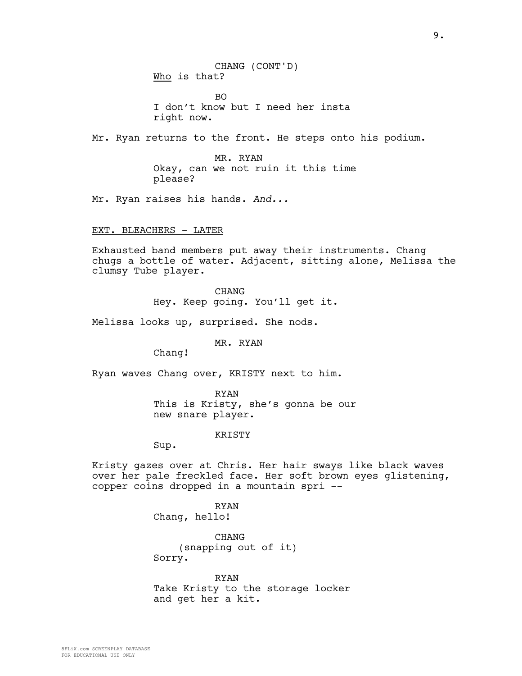CHANG (CONT'D) Who is that?

BO I don't know but I need her insta right now.

Mr. Ryan returns to the front. He steps onto his podium.

MR. RYAN Okay, can we not ruin it this time please?

Mr. Ryan raises his hands. *And...*

EXT. BLEACHERS - LATER

Exhausted band members put away their instruments. Chang chugs a bottle of water. Adjacent, sitting alone, Melissa the clumsy Tube player.

CHANG

Hey. Keep going. You'll get it.

Melissa looks up, surprised. She nods.

### MR. RYAN

Chang!

Ryan waves Chang over, KRISTY next to him.

RYAN This is Kristy, she's gonna be our new snare player.

KRISTY

Sup.

Kristy gazes over at Chris. Her hair sways like black waves over her pale freckled face. Her soft brown eyes glistening, copper coins dropped in a mountain spri --

> RYAN Chang, hello!

CHANG (snapping out of it) Sorry.

RYAN Take Kristy to the storage locker and get her a kit.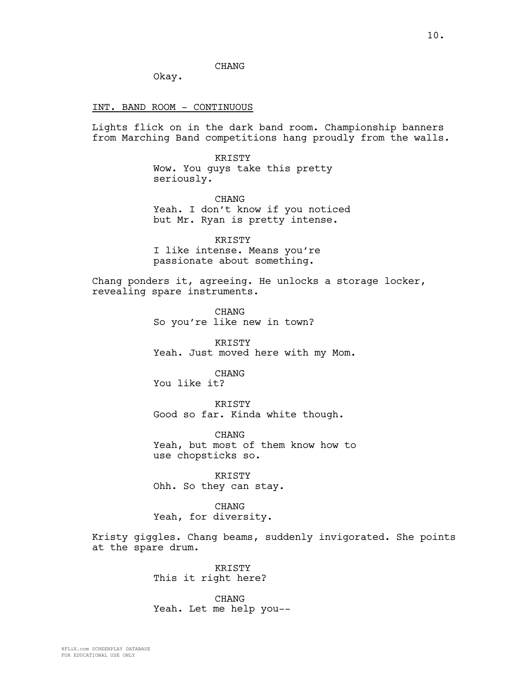# CHANG

Okay.

### INT. BAND ROOM - CONTINUOUS

Lights flick on in the dark band room. Championship banners from Marching Band competitions hang proudly from the walls.

> KRISTY Wow. You guys take this pretty seriously.

**CHANG** Yeah. I don't know if you noticed but Mr. Ryan is pretty intense.

KRISTY I like intense. Means you're passionate about something.

Chang ponders it, agreeing. He unlocks a storage locker, revealing spare instruments.

> CHANG So you're like new in town?

KRISTY Yeah. Just moved here with my Mom.

CHANG You like it?

KRISTY Good so far. Kinda white though.

CHANG Yeah, but most of them know how to use chopsticks so.

KRISTY Ohh. So they can stay.

CHANG Yeah, for diversity.

Kristy giggles. Chang beams, suddenly invigorated. She points at the spare drum.

> KRISTY This it right here?

CHANG Yeah. Let me help you--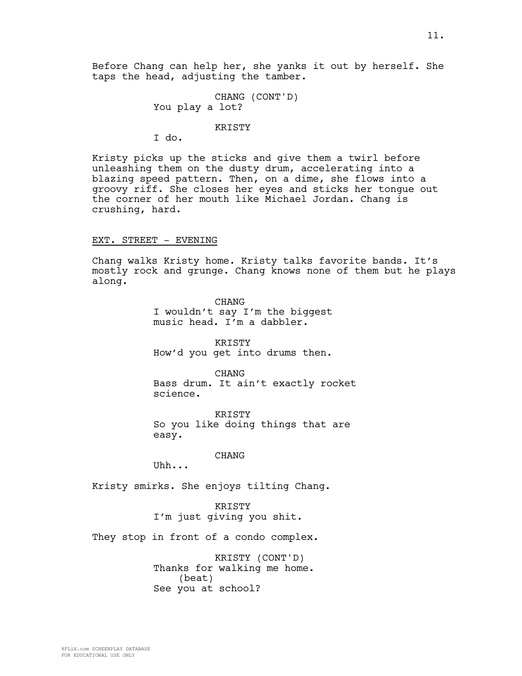Before Chang can help her, she yanks it out by herself. She taps the head, adjusting the tamber.

> CHANG (CONT'D) You play a lot?

> > KRISTY

I do.

Kristy picks up the sticks and give them a twirl before unleashing them on the dusty drum, accelerating into a blazing speed pattern. Then, on a dime, she flows into a groovy riff. She closes her eyes and sticks her tongue out the corner of her mouth like Michael Jordan. Chang is crushing, hard.

### EXT. STREET - EVENING

Chang walks Kristy home. Kristy talks favorite bands. It's mostly rock and grunge. Chang knows none of them but he plays along.

> CHANG I wouldn't say I'm the biggest music head. I'm a dabbler.

> KRISTY How'd you get into drums then.

CHANG Bass drum. It ain't exactly rocket science.

KRISTY So you like doing things that are easy.

### CHANG

Uhh...

Kristy smirks. She enjoys tilting Chang.

KRISTY I'm just giving you shit.

They stop in front of a condo complex.

KRISTY (CONT'D) Thanks for walking me home. (beat) See you at school?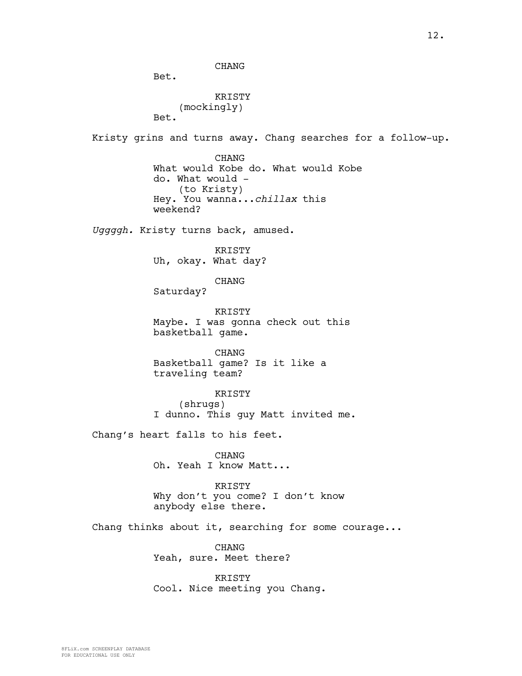CHANG

Bet.

```
KRISTY
    (mockingly)
Bet.
```
Kristy grins and turns away. Chang searches for a follow-up.

CHANG What would Kobe do. What would Kobe do. What would - (to Kristy) Hey. You wanna...*chillax* this weekend?

*Uggggh.* Kristy turns back, amused.

KRISTY Uh, okay. What day?

CHANG

Saturday?

**KRISTY** Maybe. I was gonna check out this basketball game.

CHANG Basketball game? Is it like a traveling team?

KRISTY (shrugs) I dunno. This guy Matt invited me.

Chang's heart falls to his feet.

CHANG Oh. Yeah I know Matt...

KRISTY Why don't you come? I don't know

anybody else there.

Chang thinks about it, searching for some courage...

CHANG Yeah, sure. Meet there?

KRISTY Cool. Nice meeting you Chang.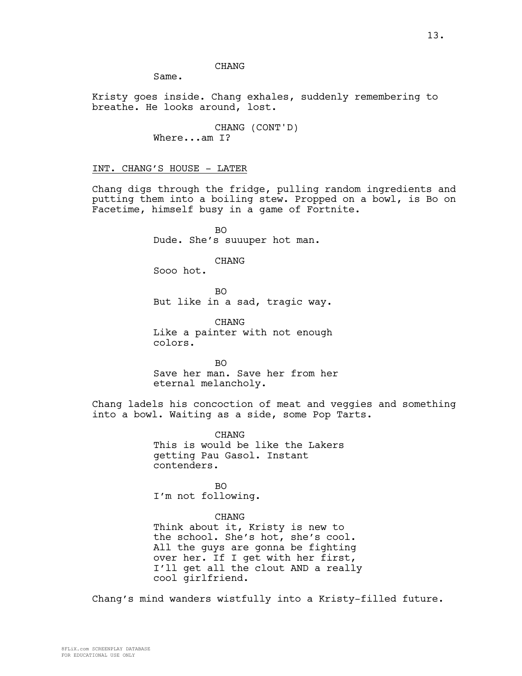# **CHANG**

Same.

Kristy goes inside. Chang exhales, suddenly remembering to breathe. He looks around, lost.

> CHANG (CONT'D) Where...am I?

INT. CHANG'S HOUSE - LATER

Chang digs through the fridge, pulling random ingredients and putting them into a boiling stew. Propped on a bowl, is Bo on Facetime, himself busy in a game of Fortnite.

> BO Dude. She's suuuper hot man.

> > CHANG

Sooo hot.

BO But like in a sad, tragic way.

CHANG Like a painter with not enough colors.

BO Save her man. Save her from her eternal melancholy.

Chang ladels his concoction of meat and veggies and something into a bowl. Waiting as a side, some Pop Tarts.

> CHANG This is would be like the Lakers getting Pau Gasol. Instant contenders.

BO I'm not following.

### CHANG

Think about it, Kristy is new to the school. She's hot, she's cool. All the guys are gonna be fighting over her. If I get with her first, I'll get all the clout AND a really cool girlfriend.

Chang's mind wanders wistfully into a Kristy-filled future.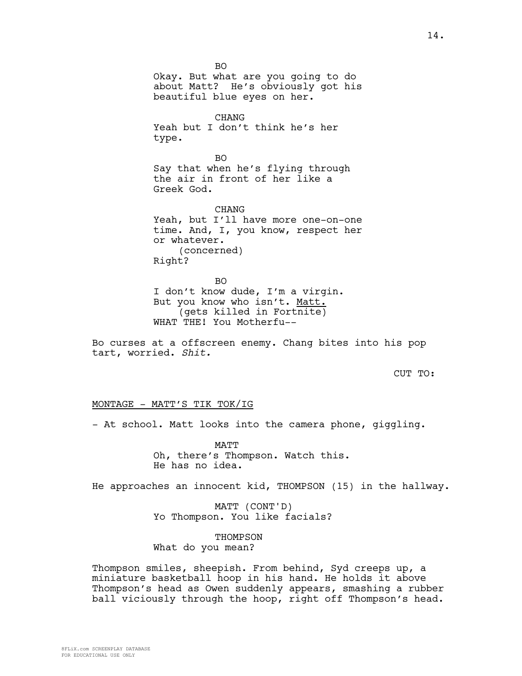BO Okay. But what are you going to do about Matt? He's obviously got his beautiful blue eyes on her. CHANG Yeah but I don't think he's her type. BO Say that when he's flying through the air in front of her like a Greek God. CHANG Yeah, but I'll have more one-on-one time. And, I, you know, respect her or whatever. (concerned) Right? BO I don't know dude, I'm a virgin.

But you know who isn't. Matt. (gets killed in Fortnite) WHAT THE! You Motherfu--

Bo curses at a offscreen enemy. Chang bites into his pop tart, worried. *Shit.*

CUT TO:

# MONTAGE - MATT'S TIK TOK/IG

- At school. Matt looks into the camera phone, giggling.

MATT Oh, there's Thompson. Watch this. He has no idea.

He approaches an innocent kid, THOMPSON (15) in the hallway.

MATT (CONT'D) Yo Thompson. You like facials?

THOMPSON What do you mean?

Thompson smiles, sheepish. From behind, Syd creeps up, a miniature basketball hoop in his hand. He holds it above Thompson's head as Owen suddenly appears, smashing a rubber ball viciously through the hoop, right off Thompson's head.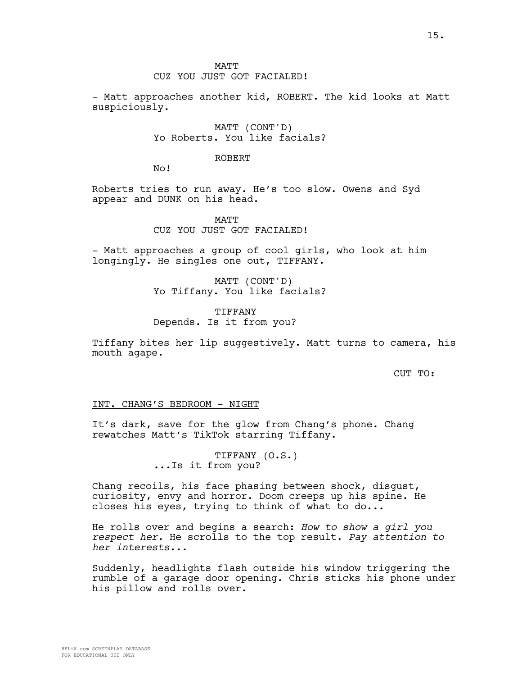### **MATT**

# CUZ YOU JUST GOT FACIALED!

- Matt approaches another kid, ROBERT. The kid looks at Matt suspiciously.

> MATT (CONT'D) Yo Roberts. You like facials?

### ROBERT

No!

Roberts tries to run away. He's too slow. Owens and Syd appear and DUNK on his head.

> MATT CUZ YOU JUST GOT FACIALED!

- Matt approaches a group of cool girls, who look at him longingly. He singles one out, TIFFANY.

> MATT (CONT'D) Yo Tiffany. You like facials?

**TIFFANY** Depends. Is it from you?

Tiffany bites her lip suggestively. Matt turns to camera, his mouth agape.

CUT TO:

### INT. CHANG'S BEDROOM - NIGHT

It's dark, save for the glow from Chang's phone. Chang rewatches Matt's TikTok starring Tiffany.

> TIFFANY (O.S.) ...Is it from you?

Chang recoils, his face phasing between shock, disgust, curiosity, envy and horror. Doom creeps up his spine. He closes his eyes, trying to think of what to do...

He rolls over and begins a search: *How to show a girl you respect her.* He scrolls to the top result. *Pay attention to her interests...*

Suddenly, headlights flash outside his window triggering the rumble of a garage door opening. Chris sticks his phone under his pillow and rolls over.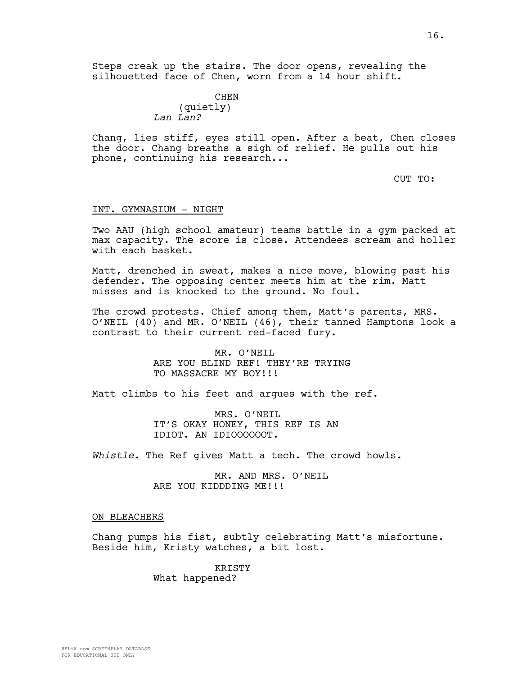Steps creak up the stairs. The door opens, revealing the silhouetted face of Chen, worn from a 14 hour shift.

> CHEN (quietly) *Lan Lan?*

Chang, lies stiff, eyes still open. After a beat, Chen closes the door. Chang breaths a sigh of relief. He pulls out his phone, continuing his research...

CUT TO:

### INT. GYMNASIUM - NIGHT

Two AAU (high school amateur) teams battle in a gym packed at max capacity. The score is close. Attendees scream and holler with each basket.

Matt, drenched in sweat, makes a nice move, blowing past his defender. The opposing center meets him at the rim. Matt misses and is knocked to the ground. No foul.

The crowd protests. Chief among them, Matt's parents, MRS. O'NEIL (40) and MR. O'NEIL (46), their tanned Hamptons look a contrast to their current red-faced fury.

> MR. O'NEIL ARE YOU BLIND REF! THEY'RE TRYING TO MASSACRE MY BOY!!!

Matt climbs to his feet and argues with the ref.

MRS. O'NEIL IT'S OKAY HONEY, THIS REF IS AN IDIOT. AN IDIOOOOOOT.

*Whistle.* The Ref gives Matt a tech. The crowd howls.

MR. AND MRS. O'NEIL ARE YOU KIDDDING ME!!!

#### ON BLEACHERS

Chang pumps his fist, subtly celebrating Matt's misfortune. Beside him, Kristy watches, a bit lost.

> KRISTY What happened?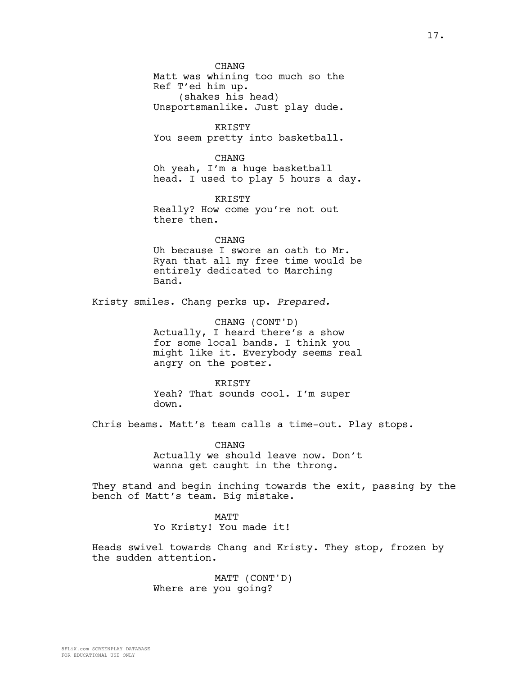CHANG Matt was whining too much so the Ref T'ed him up. (shakes his head) Unsportsmanlike. Just play dude.

KRISTY You seem pretty into basketball.

CHANG Oh yeah, I'm a huge basketball head. I used to play 5 hours a day.

**KRISTY** Really? How come you're not out there then.

CHANG Uh because I swore an oath to Mr. Ryan that all my free time would be entirely dedicated to Marching Band.

Kristy smiles. Chang perks up. *Prepared.*

CHANG (CONT'D) Actually, I heard there's a show for some local bands. I think you might like it. Everybody seems real angry on the poster.

**KRISTY** Yeah? That sounds cool. I'm super down.

Chris beams. Matt's team calls a time-out. Play stops.

CHANG Actually we should leave now. Don't wanna get caught in the throng.

They stand and begin inching towards the exit, passing by the bench of Matt's team. Big mistake.

> **MATT** Yo Kristy! You made it!

Heads swivel towards Chang and Kristy. They stop, frozen by the sudden attention.

> MATT (CONT'D) Where are you going?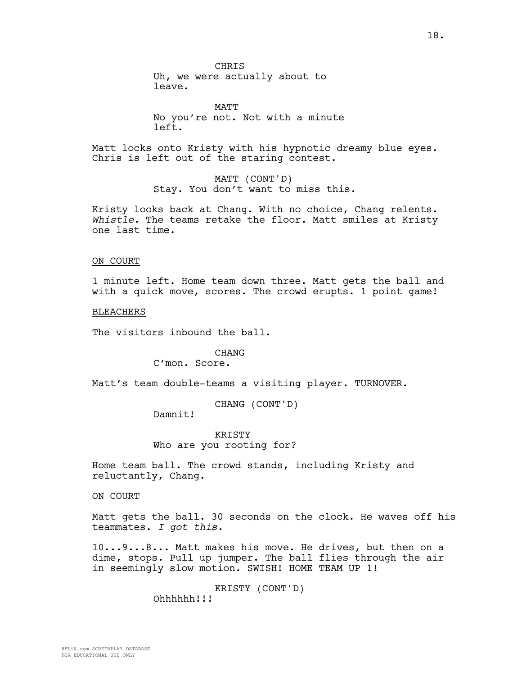**CHRIS** 

Uh, we were actually about to leave.

**MATT** No you're not. Not with a minute left.

Matt locks onto Kristy with his hypnotic dreamy blue eyes. Chris is left out of the staring contest.

> MATT (CONT'D) Stay. You don't want to miss this.

Kristy looks back at Chang. With no choice, Chang relents. *Whistle.* The teams retake the floor. Matt smiles at Kristy one last time.

### ON COURT

1 minute left. Home team down three. Matt gets the ball and with a quick move, scores. The crowd erupts. 1 point game!

BLEACHERS

The visitors inbound the ball.

# CHANG

C'mon. Score.

Matt's team double-teams a visiting player. TURNOVER.

CHANG (CONT'D)

Damnit!

KRISTY Who are you rooting for?

Home team ball. The crowd stands, including Kristy and reluctantly, Chang.

ON COURT

Matt gets the ball. 30 seconds on the clock. He waves off his teammates. *I got this.* 

10...9...8... Matt makes his move. He drives, but then on a dime, stops. Pull up jumper. The ball flies through the air in seemingly slow motion. SWISH! HOME TEAM UP 1!

> KRISTY (CONT'D) Ohhhhhh!!!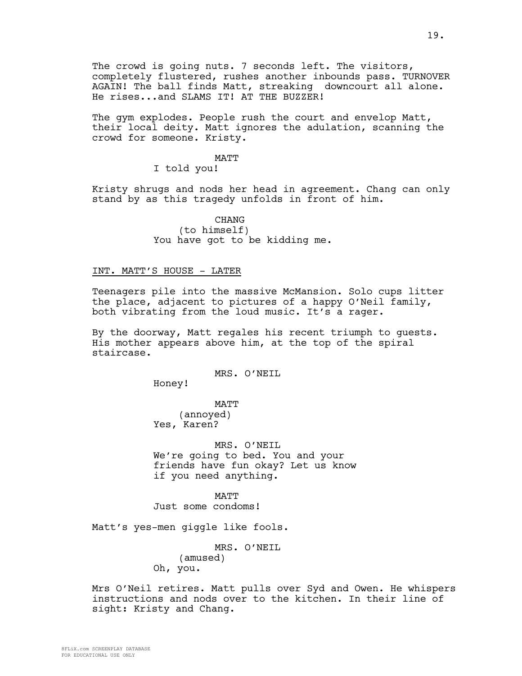The crowd is going nuts. 7 seconds left. The visitors, completely flustered, rushes another inbounds pass. TURNOVER AGAIN! The ball finds Matt, streaking downcourt all alone. He rises...and SLAMS IT! AT THE BUZZER!

The gym explodes. People rush the court and envelop Matt, their local deity. Matt ignores the adulation, scanning the crowd for someone. Kristy.

### MATT

I told you!

Kristy shrugs and nods her head in agreement. Chang can only stand by as this tragedy unfolds in front of him.

> CHANG (to himself) You have got to be kidding me.

### INT. MATT'S HOUSE - LATER

Teenagers pile into the massive McMansion. Solo cups litter the place, adjacent to pictures of a happy O'Neil family, both vibrating from the loud music. It's a rager.

By the doorway, Matt regales his recent triumph to guests. His mother appears above him, at the top of the spiral staircase.

MRS. O'NEIL

Honey!

MATT (annoyed) Yes, Karen?

MRS. O'NEIL We're going to bed. You and your friends have fun okay? Let us know if you need anything.

MATT Just some condoms!

Matt's yes-men giggle like fools.

MRS. O'NEIL (amused) Oh, you.

Mrs O'Neil retires. Matt pulls over Syd and Owen. He whispers instructions and nods over to the kitchen. In their line of sight: Kristy and Chang.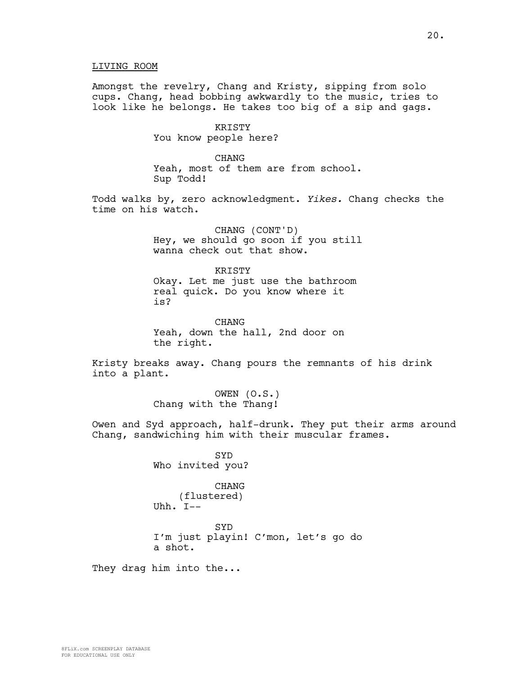# LIVING ROOM

Amongst the revelry, Chang and Kristy, sipping from solo cups. Chang, head bobbing awkwardly to the music, tries to look like he belongs. He takes too big of a sip and gags.

> KRISTY You know people here?

CHANG Yeah, most of them are from school. Sup Todd!

Todd walks by, zero acknowledgment. *Yikes.* Chang checks the time on his watch.

> CHANG (CONT'D) Hey, we should go soon if you still wanna check out that show.

KRISTY Okay. Let me just use the bathroom real quick. Do you know where it is?

CHANG Yeah, down the hall, 2nd door on the right.

Kristy breaks away. Chang pours the remnants of his drink into a plant.

> OWEN (O.S.) Chang with the Thang!

Owen and Syd approach, half-drunk. They put their arms around Chang, sandwiching him with their muscular frames.

> **SYD** Who invited you?

CHANG (flustered) Uhh. I--

SYD I'm just playin! C'mon, let's go do a shot.

They drag him into the...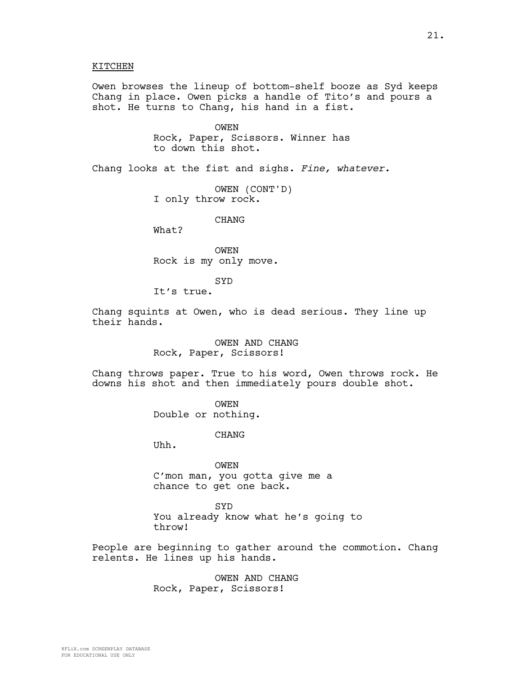### KITCHEN

Owen browses the lineup of bottom-shelf booze as Syd keeps Chang in place. Owen picks a handle of Tito's and pours a shot. He turns to Chang, his hand in a fist.

> OWEN Rock, Paper, Scissors. Winner has to down this shot.

Chang looks at the fist and sighs. *Fine, whatever.*

OWEN (CONT'D) I only throw rock.

CHANG

What?

OWEN Rock is my only move.

SYD

It's true.

Chang squints at Owen, who is dead serious. They line up their hands.

> OWEN AND CHANG Rock, Paper, Scissors!

Chang throws paper. True to his word, Owen throws rock. He downs his shot and then immediately pours double shot.

> OWEN Double or nothing.

> > CHANG

Uhh.

OWEN C'mon man, you gotta give me a chance to get one back.

**SYD** You already know what he's going to throw!

People are beginning to gather around the commotion. Chang relents. He lines up his hands.

> OWEN AND CHANG Rock, Paper, Scissors!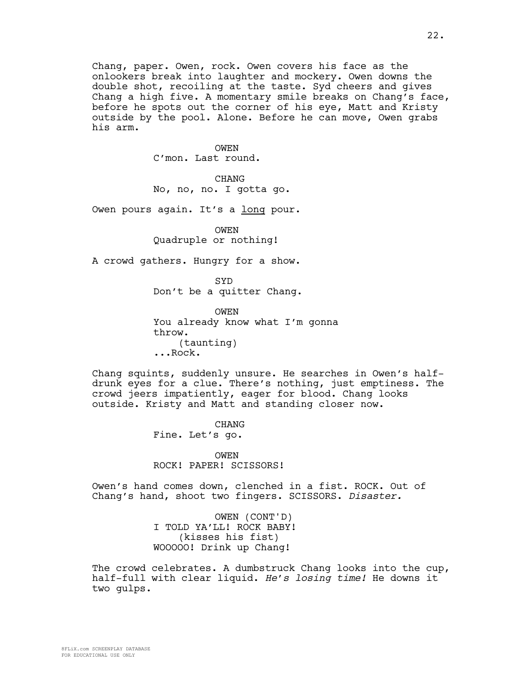Chang, paper. Owen, rock. Owen covers his face as the onlookers break into laughter and mockery. Owen downs the double shot, recoiling at the taste. Syd cheers and gives Chang a high five. A momentary smile breaks on Chang's face, before he spots out the corner of his eye, Matt and Kristy outside by the pool. Alone. Before he can move, Owen grabs his arm.

> OWEN C'mon. Last round.

CHANG No, no, no. I gotta go.

Owen pours again. It's a long pour.

OWEN Quadruple or nothing!

A crowd gathers. Hungry for a show.

SYD Don't be a quitter Chang.

**OWEN** You already know what I'm gonna throw. (taunting) ...Rock.

Chang squints, suddenly unsure. He searches in Owen's halfdrunk eyes for a clue. There's nothing, just emptiness. The crowd jeers impatiently, eager for blood. Chang looks outside. Kristy and Matt and standing closer now.

> CHANG Fine. Let's go.

OWEN ROCK! PAPER! SCISSORS!

Owen's hand comes down, clenched in a fist. ROCK. Out of Chang's hand, shoot two fingers. SCISSORS. *Disaster.*

> OWEN (CONT'D) I TOLD YA'LL! ROCK BABY! (kisses his fist) WOOOOO! Drink up Chang!

The crowd celebrates. A dumbstruck Chang looks into the cup, half-full with clear liquid. *He's losing time!* He downs it two gulps.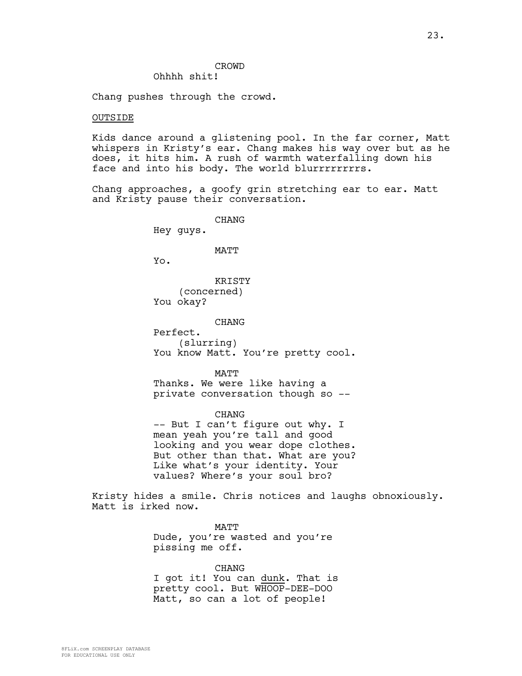# CROWD

# Ohhhh shit!

Chang pushes through the crowd.

### OUTSIDE

Kids dance around a glistening pool. In the far corner, Matt whispers in Kristy's ear. Chang makes his way over but as he does, it hits him. A rush of warmth waterfalling down his face and into his body. The world blurrrrrrrrs.

Chang approaches, a goofy grin stretching ear to ear. Matt and Kristy pause their conversation.

CHANG

Hey guys.

#### MATT

Yo.

KRISTY (concerned) You okay?

CHANG

Perfect. (slurring) You know Matt. You're pretty cool.

MATT Thanks. We were like having a private conversation though so --

CHANG -- But I can't figure out why. I mean yeah you're tall and good looking and you wear dope clothes. But other than that. What are you? Like what's your identity. Your values? Where's your soul bro?

Kristy hides a smile. Chris notices and laughs obnoxiously. Matt is irked now.

> MATT Dude, you're wasted and you're pissing me off.

CHANG I got it! You can dunk. That is pretty cool. But WHOOP-DEE-DOO Matt, so can a lot of people!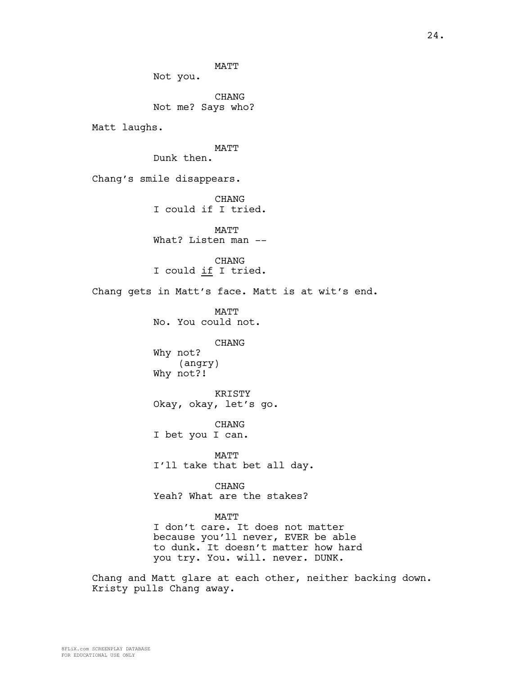MATT Not you. CHANG Not me? Says who? Matt laughs. MATT Dunk then. Chang's smile disappears. **CHANG** I could if I tried. MATT What? Listen man --CHANG I could if I tried. Chang gets in Matt's face. Matt is at wit's end. **MATT** No. You could not. CHANG Why not? (angry) Why not?! KRISTY Okay, okay, let's go. CHANG I bet you I can. MATT I'll take that bet all day. CHANG Yeah? What are the stakes? MATT I don't care. It does not matter because you'll never, EVER be able to dunk. It doesn't matter how hard you try. You. will. never. DUNK. Chang and Matt glare at each other, neither backing down. Kristy pulls Chang away.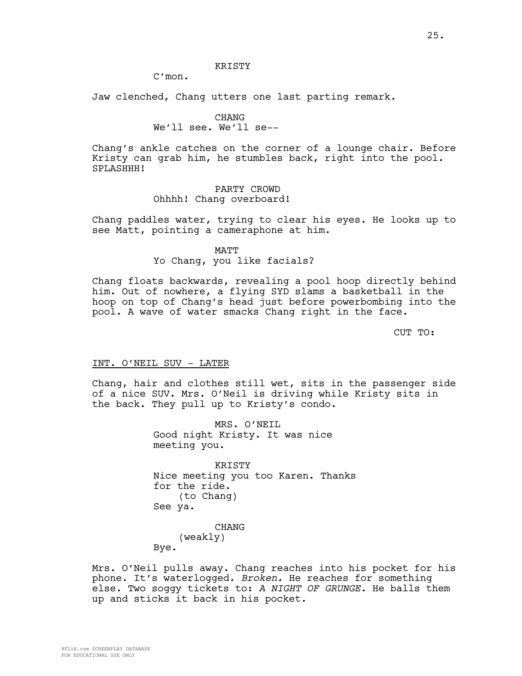### **KRISTY**

C'mon.

Jaw clenched, Chang utters one last parting remark.

### CHANG

# We'll see. We'll se--

Chang's ankle catches on the corner of a lounge chair. Before Kristy can grab him, he stumbles back, right into the pool. SPLASHHH!

# PARTY CROWD Ohhhh! Chang overboard!

Chang paddles water, trying to clear his eyes. He looks up to see Matt, pointing a cameraphone at him.

### MATT

# Yo Chang, you like facials?

Chang floats backwards, revealing a pool hoop directly behind him. Out of nowhere, a flying SYD slams a basketball in the hoop on top of Chang's head just before powerbombing into the pool. A wave of water smacks Chang right in the face.

CUT TO:

### INT. O'NEIL SUV - LATER

Chang, hair and clothes still wet, sits in the passenger side of a nice SUV. Mrs. O'Neil is driving while Kristy sits in the back. They pull up to Kristy's condo.

> MRS. O'NEIL Good night Kristy. It was nice meeting you.

KRISTY Nice meeting you too Karen. Thanks for the ride. (to Chang) See ya. CHANG

(weakly)

Bye.

Mrs. O'Neil pulls away. Chang reaches into his pocket for his phone. It's waterlogged. *Broken.* He reaches for something else. Two soggy tickets to: *A NIGHT OF GRUNGE.* He balls them up and sticks it back in his pocket.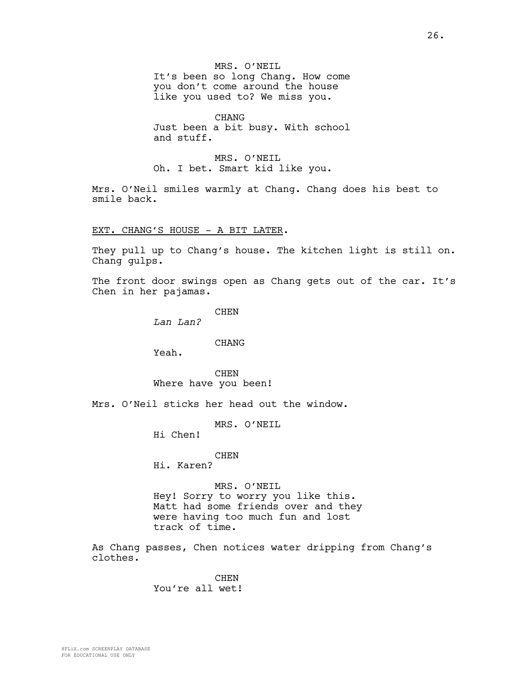MRS. O'NEIL It's been so long Chang. How come you don't come around the house like you used to? We miss you.

CHANG Just been a bit busy. With school and stuff.

MRS. O'NEIL Oh. I bet. Smart kid like you.

Mrs. O'Neil smiles warmly at Chang. Chang does his best to smile back.

### EXT. CHANG'S HOUSE - A BIT LATER.

They pull up to Chang's house. The kitchen light is still on. Chang gulps.

The front door swings open as Chang gets out of the car. It's Chen in her pajamas.

**CHEN** 

*Lan Lan?*

### CHANG

Yeah.

CHEN Where have you been!

Mrs. O'Neil sticks her head out the window.

MRS. O'NEIL

Hi Chen!

# CHEN

Hi. Karen?

### MRS. O'NEIL

Hey! Sorry to worry you like this. Matt had some friends over and they were having too much fun and lost track of time.

As Chang passes, Chen notices water dripping from Chang's clothes.

> CHEN You're all wet!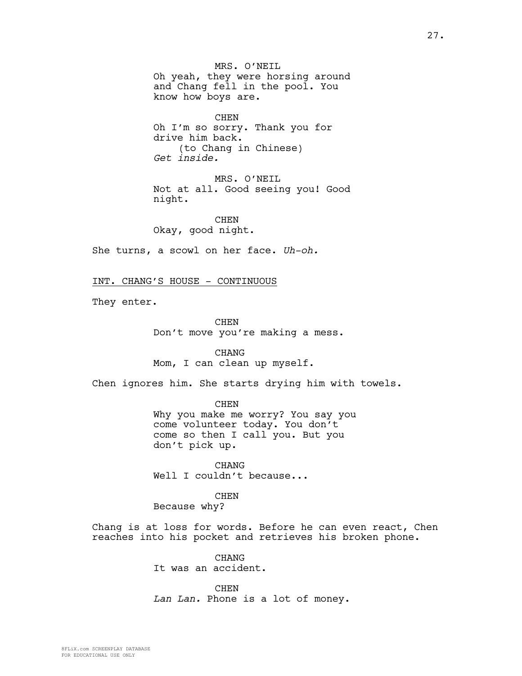MRS. O'NEIL Oh yeah, they were horsing around and Chang fell in the pool. You know how boys are.

CHEN Oh I'm so sorry. Thank you for drive him back. (to Chang in Chinese) *Get inside.*

MRS. O'NEIL Not at all. Good seeing you! Good night.

CHEN Okay, good night.

She turns, a scowl on her face. *Uh-oh.*

INT. CHANG'S HOUSE - CONTINUOUS

They enter.

CHEN Don't move you're making a mess.

CHANG Mom, I can clean up myself.

Chen ignores him. She starts drying him with towels.

CHEN Why you make me worry? You say you come volunteer today. You don't come so then I call you. But you don't pick up.

CHANG Well I couldn't because...

**CHEN** 

Because why?

Chang is at loss for words. Before he can even react, Chen reaches into his pocket and retrieves his broken phone.

> **CHANG** It was an accident.

CHEN *Lan Lan.* Phone is a lot of money.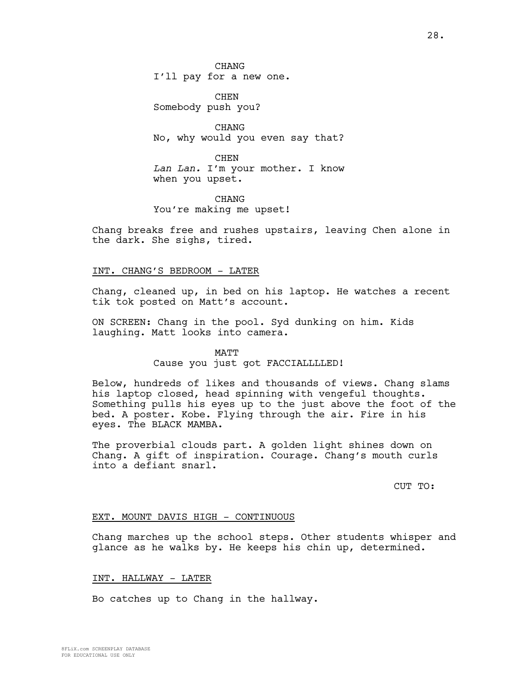CHANG I'll pay for a new one.

**CHEN** Somebody push you?

CHANG No, why would you even say that?

CHEN *Lan Lan.* I'm your mother. I know when you upset.

**CHANG** You're making me upset!

Chang breaks free and rushes upstairs, leaving Chen alone in the dark. She sighs, tired.

# INT. CHANG'S BEDROOM - LATER

Chang, cleaned up, in bed on his laptop. He watches a recent tik tok posted on Matt's account.

ON SCREEN: Chang in the pool. Syd dunking on him. Kids laughing. Matt looks into camera.

# MATT Cause you just got FACCIALLLLED!

Below, hundreds of likes and thousands of views. Chang slams his laptop closed, head spinning with vengeful thoughts. Something pulls his eyes up to the just above the foot of the bed. A poster. Kobe. Flying through the air. Fire in his eyes. The BLACK MAMBA.

The proverbial clouds part. A golden light shines down on Chang. A gift of inspiration. Courage. Chang's mouth curls into a defiant snarl.

CUT TO:

### EXT. MOUNT DAVIS HIGH - CONTINUOUS

Chang marches up the school steps. Other students whisper and glance as he walks by. He keeps his chin up, determined.

# INT. HALLWAY - LATER

Bo catches up to Chang in the hallway.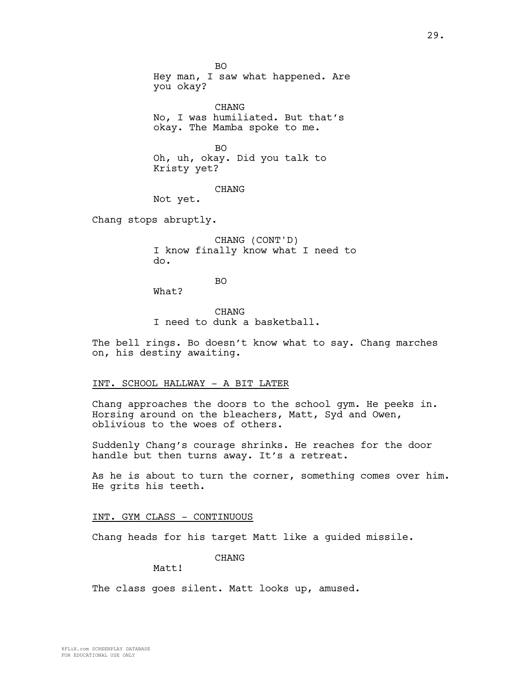BO Hey man, I saw what happened. Are you okay? CHANG No, I was humiliated. But that's okay. The Mamba spoke to me. BO Oh, uh, okay. Did you talk to Kristy yet? CHANG Not yet. Chang stops abruptly.

CHANG (CONT'D) I know finally know what I need to do.

What?

BO

CHANG I need to dunk a basketball.

The bell rings. Bo doesn't know what to say. Chang marches on, his destiny awaiting.

# INT. SCHOOL HALLWAY - A BIT LATER

Chang approaches the doors to the school gym. He peeks in. Horsing around on the bleachers, Matt, Syd and Owen, oblivious to the woes of others.

Suddenly Chang's courage shrinks. He reaches for the door handle but then turns away. It's a retreat.

As he is about to turn the corner, something comes over him. He grits his teeth.

### INT. GYM CLASS - CONTINUOUS

Chang heads for his target Matt like a guided missile.

CHANG

Matt!

The class goes silent. Matt looks up, amused.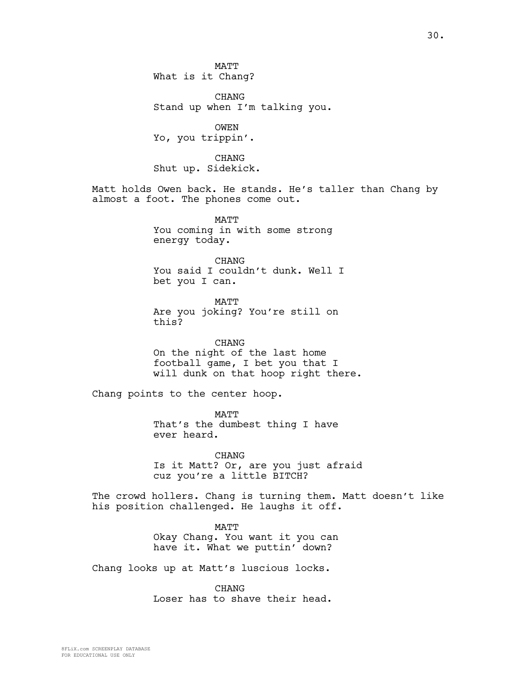**MATT** What is it Chang?

CHANG Stand up when I'm talking you.

OWEN Yo, you trippin'.

CHANG Shut up. Sidekick.

Matt holds Owen back. He stands. He's taller than Chang by almost a foot. The phones come out.

> **MATT** You coming in with some strong energy today.

CHANG You said I couldn't dunk. Well I bet you I can.

MATT Are you joking? You're still on this?

CHANG On the night of the last home football game, I bet you that I will dunk on that hoop right there.

Chang points to the center hoop.

MATT That's the dumbest thing I have ever heard.

CHANG Is it Matt? Or, are you just afraid cuz you're a little BITCH?

The crowd hollers. Chang is turning them. Matt doesn't like his position challenged. He laughs it off.

> MATT Okay Chang. You want it you can have it. What we puttin' down?

Chang looks up at Matt's luscious locks.

CHANG Loser has to shave their head.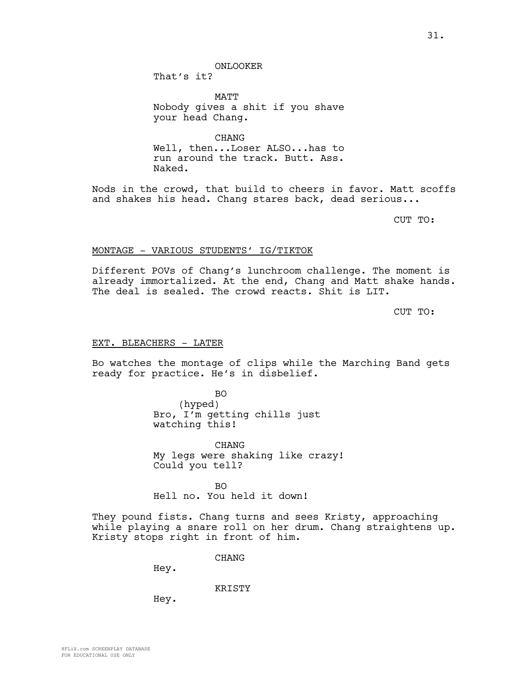ONLOOKER

That's it?

MATT Nobody gives a shit if you shave your head Chang.

CHANG Well, then...Loser ALSO...has to run around the track. Butt. Ass. Naked.

Nods in the crowd, that build to cheers in favor. Matt scoffs and shakes his head. Chang stares back, dead serious...

CUT TO:

### MONTAGE - VARIOUS STUDENTS' IG/TIKTOK

Different POVs of Chang's lunchroom challenge. The moment is already immortalized. At the end, Chang and Matt shake hands. The deal is sealed. The crowd reacts. Shit is LIT.

CUT TO:

### EXT. BLEACHERS - LATER

Bo watches the montage of clips while the Marching Band gets ready for practice. He's in disbelief.

> BO (hyped) Bro, I'm getting chills just watching this!

CHANG My legs were shaking like crazy! Could you tell?

 $BO$ Hell no. You held it down!

They pound fists. Chang turns and sees Kristy, approaching while playing a snare roll on her drum. Chang straightens up. Kristy stops right in front of him.

CHANG

Hey.

KRISTY

Hey.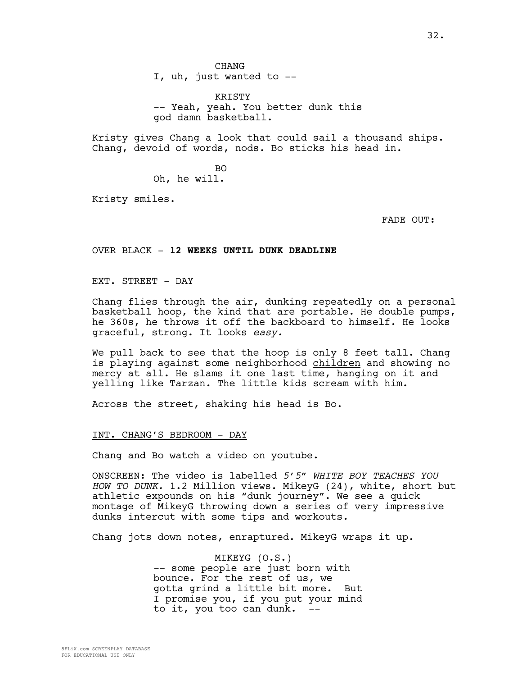CHANG I, uh, just wanted to --

KRISTY -- Yeah, yeah. You better dunk this god damn basketball.

Kristy gives Chang a look that could sail a thousand ships. Chang, devoid of words, nods. Bo sticks his head in.

> BO Oh, he will.

Kristy smiles.

FADE OUT:

### OVER BLACK - **12 WEEKS UNTIL DUNK DEADLINE**

# EXT. STREET - DAY

Chang flies through the air, dunking repeatedly on a personal basketball hoop, the kind that are portable. He double pumps, he 360s, he throws it off the backboard to himself. He looks graceful, strong. It looks *easy.*

We pull back to see that the hoop is only 8 feet tall. Chang is playing against some neighborhood children and showing no mercy at all. He slams it one last time, hanging on it and yelling like Tarzan. The little kids scream with him.

Across the street, shaking his head is Bo.

### INT. CHANG'S BEDROOM - DAY

Chang and Bo watch a video on youtube.

ONSCREEN: The video is labelled *5'5" WHITE BOY TEACHES YOU HOW TO DUNK.* 1.2 Million views. MikeyG (24), white, short but athletic expounds on his "dunk journey". We see a quick montage of MikeyG throwing down a series of very impressive dunks intercut with some tips and workouts.

Chang jots down notes, enraptured. MikeyG wraps it up.

MIKEYG (O.S.) -- some people are just born with bounce. For the rest of us, we gotta grind a little bit more. But I promise you, if you put your mind to it, you too can dunk. --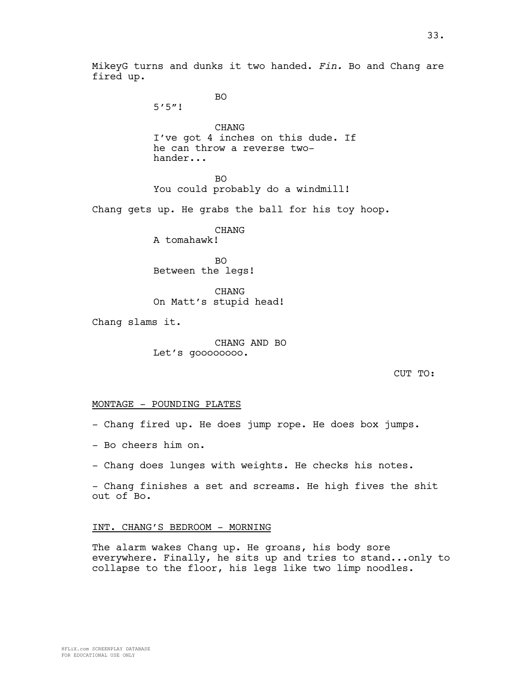5'5"!

BO

CHANG I've got 4 inches on this dude. If he can throw a reverse twohander...

BO You could probably do a windmill!

Chang gets up. He grabs the ball for his toy hoop.

CHANG A tomahawk!

BO Between the legs!

**CHANG** On Matt's stupid head!

Chang slams it.

CHANG AND BO Let's goooooooo.

CUT TO:

### MONTAGE - POUNDING PLATES

- Chang fired up. He does jump rope. He does box jumps.
- Bo cheers him on.
- Chang does lunges with weights. He checks his notes.

- Chang finishes a set and screams. He high fives the shit out of Bo.

### INT. CHANG'S BEDROOM - MORNING

The alarm wakes Chang up. He groans, his body sore everywhere. Finally, he sits up and tries to stand...only to collapse to the floor, his legs like two limp noodles.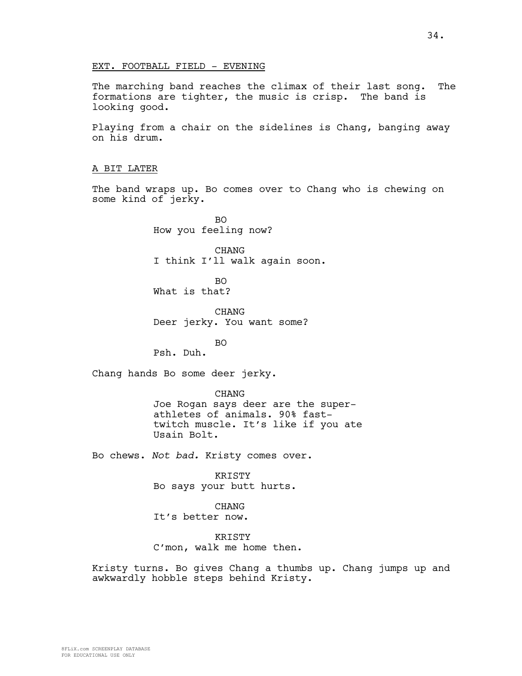### EXT. FOOTBALL FIELD - EVENING

The marching band reaches the climax of their last song. The formations are tighter, the music is crisp. The band is looking good.

Playing from a chair on the sidelines is Chang, banging away on his drum.

# A BIT LATER

The band wraps up. Bo comes over to Chang who is chewing on some kind of jerky.

> BO How you feeling now?

CHANG I think I'll walk again soon.

BO What is that?

CHANG Deer jerky. You want some?

BO

Psh. Duh.

Chang hands Bo some deer jerky.

CHANG Joe Rogan says deer are the superathletes of animals. 90% fasttwitch muscle. It's like if you ate Usain Bolt.

Bo chews. *Not bad.* Kristy comes over.

KRISTY Bo says your butt hurts.

CHANG It's better now.

**KRISTY** C'mon, walk me home then.

Kristy turns. Bo gives Chang a thumbs up. Chang jumps up and awkwardly hobble steps behind Kristy.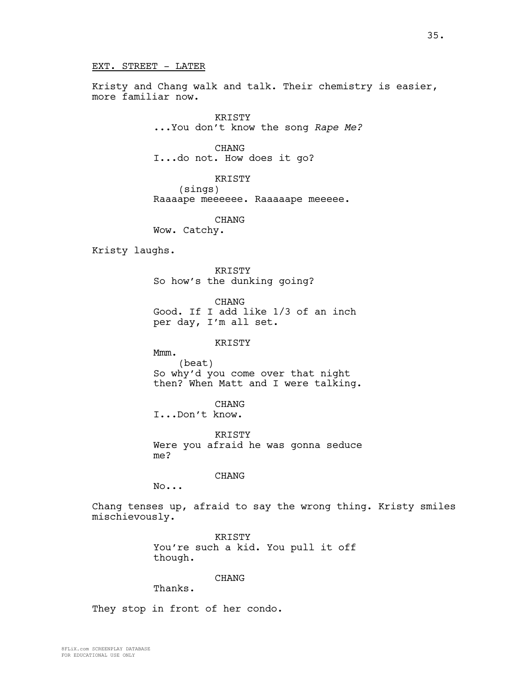Kristy and Chang walk and talk. Their chemistry is easier, more familiar now.

> KRISTY ...You don't know the song *Rape Me?*

CHANG I...do not. How does it go?

KRISTY (sings) Raaaape meeeeee. Raaaaape meeeee.

CHANG Wow. Catchy.

Kristy laughs.

KRISTY So how's the dunking going?

CHANG Good. If I add like 1/3 of an inch per day, I'm all set.

KRISTY

Mmm. (beat) So why'd you come over that night then? When Matt and I were talking.

CHANG

I...Don't know.

KRISTY Were you afraid he was gonna seduce me?

CHANG

No...

Chang tenses up, afraid to say the wrong thing. Kristy smiles mischievously.

> **KRISTY** You're such a kid. You pull it off though.

> > CHANG

Thanks.

They stop in front of her condo.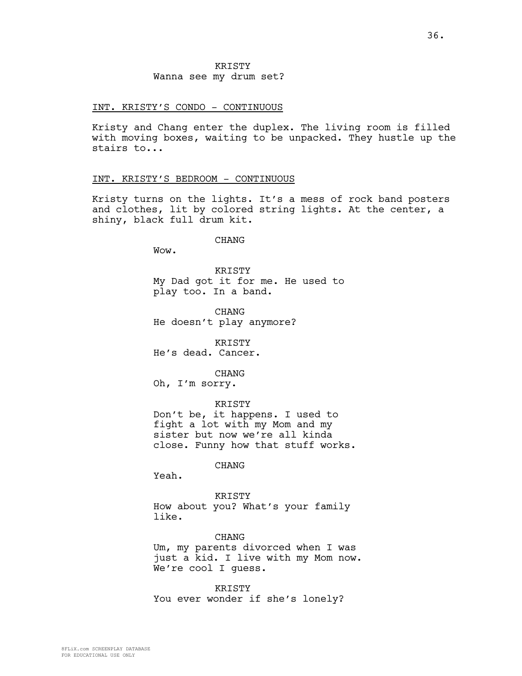**KRISTY** Wanna see my drum set?

### INT. KRISTY'S CONDO - CONTINUOUS

Kristy and Chang enter the duplex. The living room is filled with moving boxes, waiting to be unpacked. They hustle up the stairs to...

## INT. KRISTY'S BEDROOM - CONTINUOUS

Kristy turns on the lights. It's a mess of rock band posters and clothes, lit by colored string lights. At the center, a shiny, black full drum kit.

CHANG

Wow.

KRISTY My Dad got it for me. He used to play too. In a band.

CHANG He doesn't play anymore?

KRISTY He's dead. Cancer.

CHANG

Oh, I'm sorry.

KRISTY Don't be, it happens. I used to fight a lot with my Mom and my sister but now we're all kinda close. Funny how that stuff works.

CHANG

Yeah.

KRISTY How about you? What's your family like.

CHANG Um, my parents divorced when I was just a kid. I live with my Mom now. We're cool I guess.

KRISTY You ever wonder if she's lonely?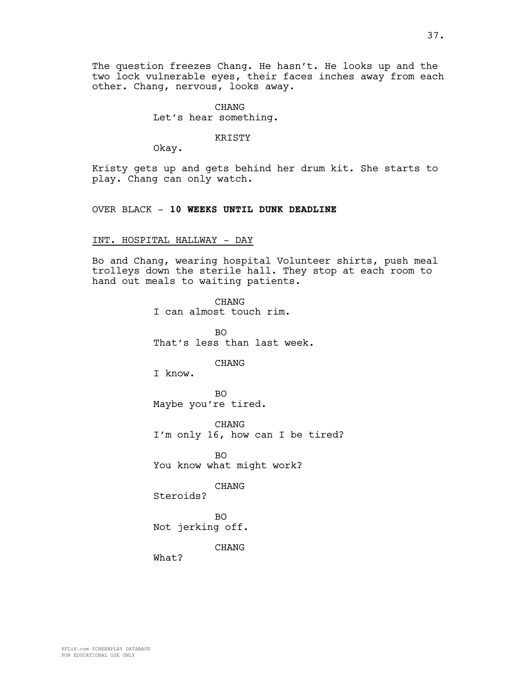CHANG Let's hear something.

KRISTY

Okay.

Kristy gets up and gets behind her drum kit. She starts to play. Chang can only watch.

## OVER BLACK - **10 WEEKS UNTIL DUNK DEADLINE**

## INT. HOSPITAL HALLWAY - DAY

Bo and Chang, wearing hospital Volunteer shirts, push meal trolleys down the sterile hall. They stop at each room to hand out meals to waiting patients.

> CHANG I can almost touch rim. BO That's less than last week. CHANG I know. BO Maybe you're tired. CHANG I'm only 16, how can I be tired? BO You know what might work? CHANG Steroids? BO Not jerking off.

> > CHANG

What?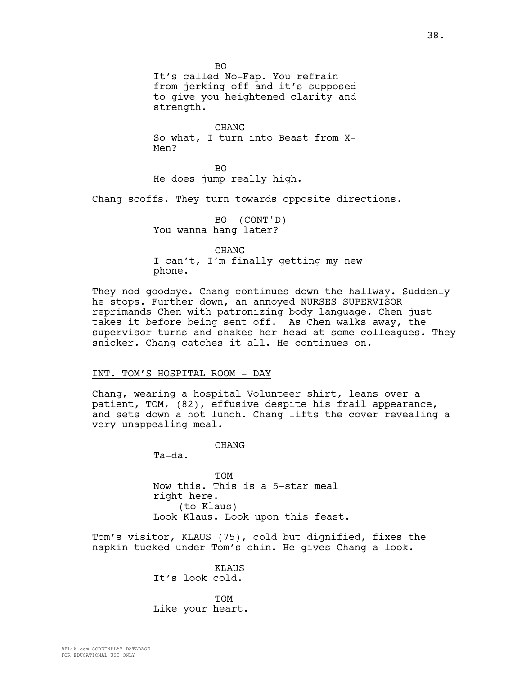BO It's called No-Fap. You refrain from jerking off and it's supposed to give you heightened clarity and strength.

CHANG So what, I turn into Beast from X-Men?

BO He does jump really high.

Chang scoffs. They turn towards opposite directions.

BO (CONT'D) You wanna hang later?

CHANG I can't, I'm finally getting my new phone.

They nod goodbye. Chang continues down the hallway. Suddenly he stops. Further down, an annoyed NURSES SUPERVISOR reprimands Chen with patronizing body language. Chen just takes it before being sent off. As Chen walks away, the supervisor turns and shakes her head at some colleagues. They snicker. Chang catches it all. He continues on.

## INT. TOM'S HOSPITAL ROOM - DAY

Chang, wearing a hospital Volunteer shirt, leans over a patient, TOM, (82), effusive despite his frail appearance, and sets down a hot lunch. Chang lifts the cover revealing a very unappealing meal.

CHANG

Ta-da.

TOM Now this. This is a 5-star meal right here. (to Klaus) Look Klaus. Look upon this feast.

Tom's visitor, KLAUS (75), cold but dignified, fixes the napkin tucked under Tom's chin. He gives Chang a look.

> KLAUS It's look cold.

TOM Like your heart.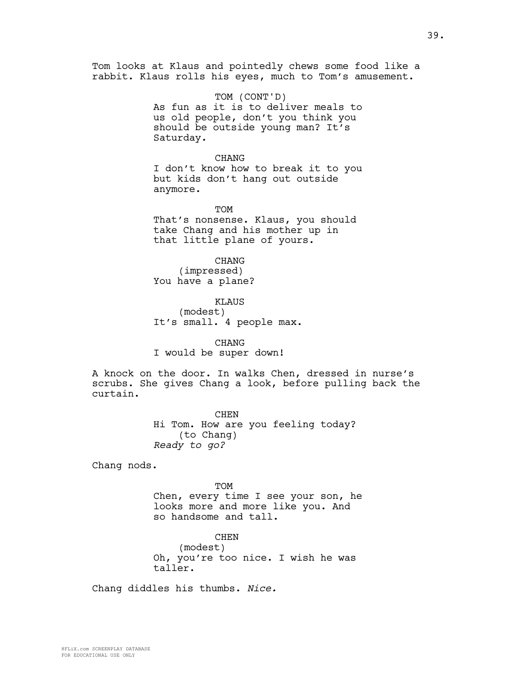Tom looks at Klaus and pointedly chews some food like a rabbit. Klaus rolls his eyes, much to Tom's amusement.

> TOM (CONT'D) As fun as it is to deliver meals to us old people, don't you think you should be outside young man? It's Saturday.

> CHANG I don't know how to break it to you but kids don't hang out outside anymore.

TOM That's nonsense. Klaus, you should take Chang and his mother up in that little plane of yours.

CHANG (impressed) You have a plane?

KLAUS (modest) It's small. 4 people max.

CHANG I would be super down!

A knock on the door. In walks Chen, dressed in nurse's scrubs. She gives Chang a look, before pulling back the curtain.

> CHEN Hi Tom. How are you feeling today? (to Chang) *Ready to go?*

Chang nods.

TOM

Chen, every time I see your son, he looks more and more like you. And so handsome and tall.

**CHEN** (modest) Oh, you're too nice. I wish he was taller.

Chang diddles his thumbs. *Nice.*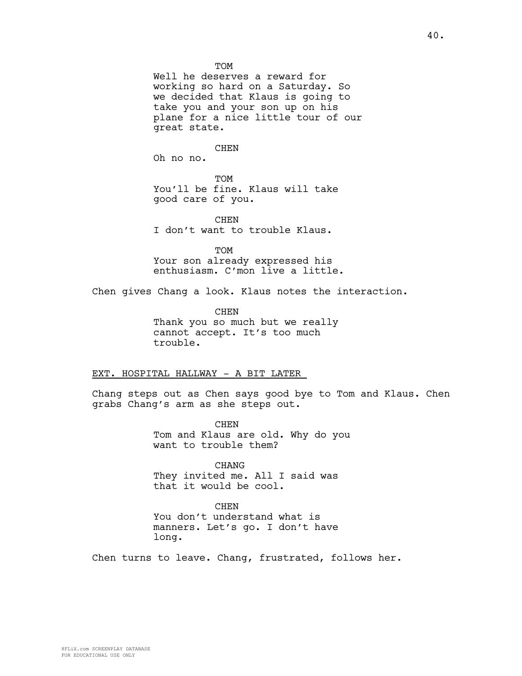**TOM** 

Well he deserves a reward for working so hard on a Saturday. So we decided that Klaus is going to take you and your son up on his plane for a nice little tour of our great state.

**CHEN** 

Oh no no.

**TOM** You'll be fine. Klaus will take good care of you.

**CHEN** I don't want to trouble Klaus.

TOM

Your son already expressed his enthusiasm. C'mon live a little.

Chen gives Chang a look. Klaus notes the interaction.

**CHEN** Thank you so much but we really cannot accept. It's too much trouble.

### EXT. HOSPITAL HALLWAY - A BIT LATER

Chang steps out as Chen says good bye to Tom and Klaus. Chen grabs Chang's arm as she steps out.

> CHEN Tom and Klaus are old. Why do you want to trouble them?

CHANG They invited me. All I said was that it would be cool.

CHEN You don't understand what is manners. Let's go. I don't have long.

Chen turns to leave. Chang, frustrated, follows her.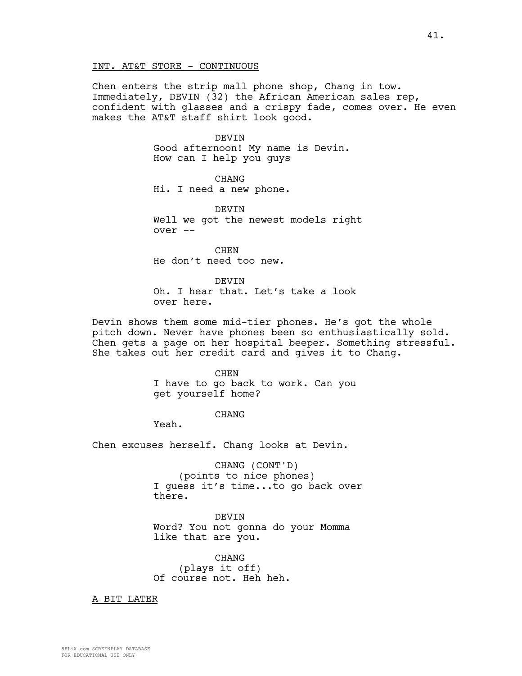Chen enters the strip mall phone shop, Chang in tow. Immediately, DEVIN (32) the African American sales rep, confident with glasses and a crispy fade, comes over. He even makes the AT&T staff shirt look good.

#### DEVIN

Good afternoon! My name is Devin. How can I help you guys

CHANG Hi. I need a new phone.

DEVIN Well we got the newest models right over --

CHEN He don't need too new.

DEVIN Oh. I hear that. Let's take a look over here.

Devin shows them some mid-tier phones. He's got the whole pitch down. Never have phones been so enthusiastically sold. Chen gets a page on her hospital beeper. Something stressful. She takes out her credit card and gives it to Chang.

> CHEN I have to go back to work. Can you get yourself home?

### CHANG

Yeah.

Chen excuses herself. Chang looks at Devin.

CHANG (CONT'D) (points to nice phones) I guess it's time...to go back over there.

DEVIN Word? You not gonna do your Momma like that are you.

CHANG (plays it off) Of course not. Heh heh.

A BIT LATER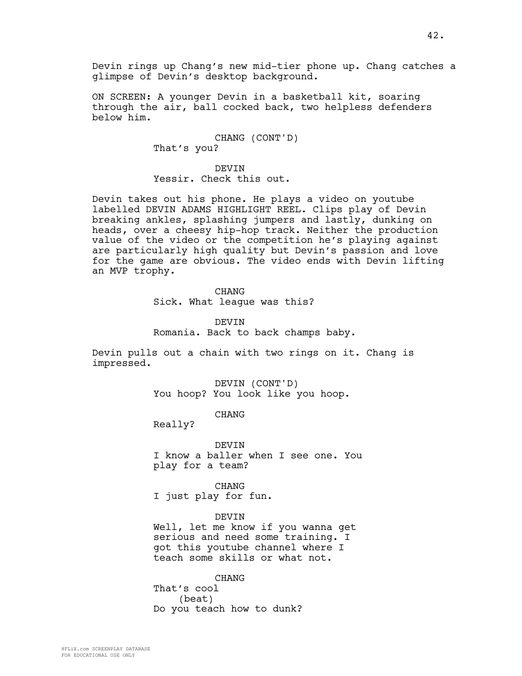Devin rings up Chang's new mid-tier phone up. Chang catches a glimpse of Devin's desktop background.

ON SCREEN: A younger Devin in a basketball kit, soaring through the air, ball cocked back, two helpless defenders below him.

> CHANG (CONT'D) That's you?

DEVIN Yessir. Check this out.

Devin takes out his phone. He plays a video on youtube labelled DEVIN ADAMS HIGHLIGHT REEL. Clips play of Devin breaking ankles, splashing jumpers and lastly, dunking on heads, over a cheesy hip-hop track. Neither the production value of the video or the competition he's playing against are particularly high quality but Devin's passion and love for the game are obvious. The video ends with Devin lifting an MVP trophy.

**CHANG** 

Sick. What league was this?

DEVIN Romania. Back to back champs baby.

Devin pulls out a chain with two rings on it. Chang is impressed.

> DEVIN (CONT'D) You hoop? You look like you hoop.

> > CHANG

Really?

DEVIN I know a baller when I see one. You play for a team?

CHANG I just play for fun.

DEVIN

Well, let me know if you wanna get serious and need some training. I got this youtube channel where I teach some skills or what not.

CHANG That's cool (beat) Do you teach how to dunk?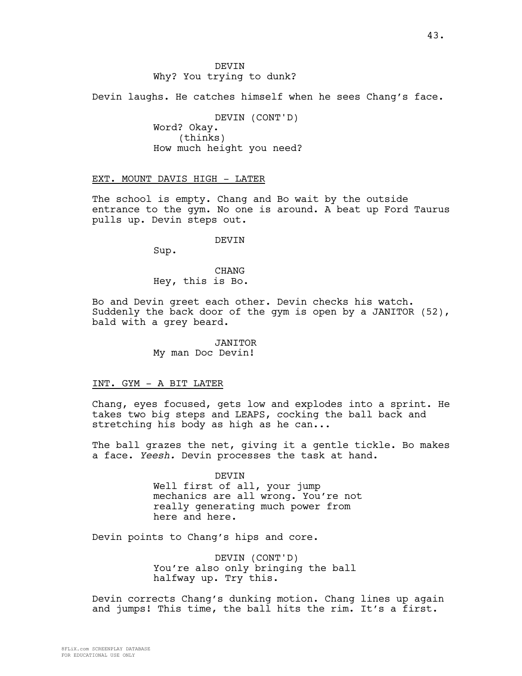Devin laughs. He catches himself when he sees Chang's face.

DEVIN (CONT'D) Word? Okay. (thinks) How much height you need?

EXT. MOUNT DAVIS HIGH - LATER

The school is empty. Chang and Bo wait by the outside entrance to the gym. No one is around. A beat up Ford Taurus pulls up. Devin steps out.

DEVIN

Sup.

CHANG Hey, this is Bo.

Bo and Devin greet each other. Devin checks his watch. Suddenly the back door of the gym is open by a JANITOR (52), bald with a grey beard.

> JANITOR My man Doc Devin!

## INT. GYM - A BIT LATER

Chang, eyes focused, gets low and explodes into a sprint. He takes two big steps and LEAPS, cocking the ball back and stretching his body as high as he can...

The ball grazes the net, giving it a gentle tickle. Bo makes a face. *Yeesh.* Devin processes the task at hand.

> DEVIN Well first of all, your jump mechanics are all wrong. You're not really generating much power from here and here.

Devin points to Chang's hips and core.

DEVIN (CONT'D) You're also only bringing the ball halfway up. Try this.

Devin corrects Chang's dunking motion. Chang lines up again and jumps! This time, the ball hits the rim. It's a first.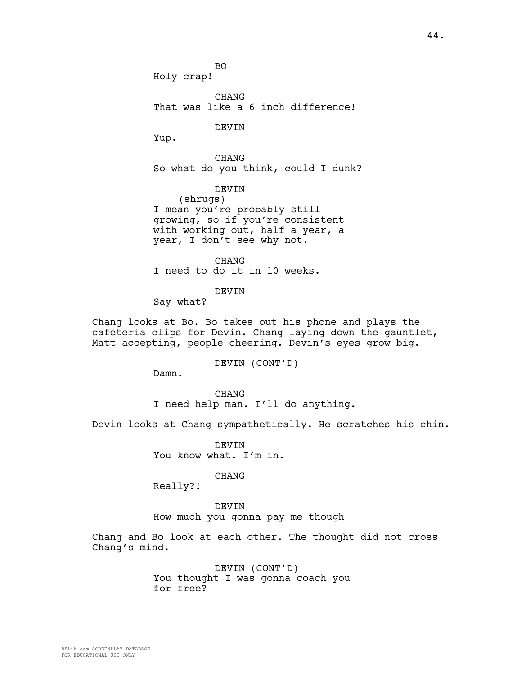BO Holy crap!

CHANG That was like a 6 inch difference!

DEVIN

Yup.

CHANG So what do you think, could I dunk?

DEVIN (shrugs) I mean you're probably still growing, so if you're consistent with working out, half a year, a year, I don't see why not.

CHANG I need to do it in 10 weeks.

DEVIN

Say what?

Chang looks at Bo. Bo takes out his phone and plays the cafeteria clips for Devin. Chang laying down the gauntlet, Matt accepting, people cheering. Devin's eyes grow big.

DEVIN (CONT'D)

Damn.

CHANG I need help man. I'll do anything.

Devin looks at Chang sympathetically. He scratches his chin.

**DEVIN** You know what. I'm in.

CHANG

Really?!

DEVIN How much you gonna pay me though

Chang and Bo look at each other. The thought did not cross Chang's mind.

> DEVIN (CONT'D) You thought I was gonna coach you for free?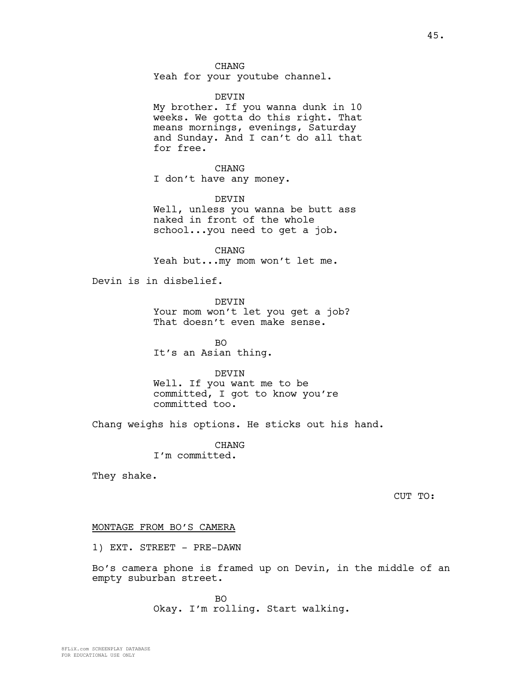## CHANG

Yeah for your youtube channel.

### DEVIN

My brother. If you wanna dunk in 10 weeks. We gotta do this right. That means mornings, evenings, Saturday and Sunday. And I can't do all that for free.

CHANG I don't have any money.

DEVIN

Well, unless you wanna be butt ass naked in front of the whole school...you need to get a job.

CHANG Yeah but...my mom won't let me.

Devin is in disbelief.

DEVIN Your mom won't let you get a job? That doesn't even make sense.

BO It's an Asian thing.

DEVIN Well. If you want me to be committed, I got to know you're committed too.

Chang weighs his options. He sticks out his hand.

CHANG I'm committed.

They shake.

CUT TO:

#### MONTAGE FROM BO'S CAMERA

1) EXT. STREET - PRE-DAWN

Bo's camera phone is framed up on Devin, in the middle of an empty suburban street.

> BO Okay. I'm rolling. Start walking.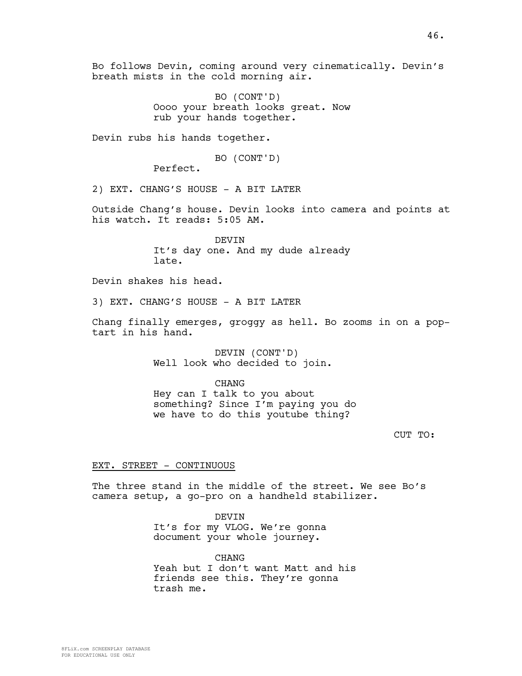Bo follows Devin, coming around very cinematically. Devin's breath mists in the cold morning air.

> BO (CONT'D) Oooo your breath looks great. Now rub your hands together.

Devin rubs his hands together.

BO (CONT'D)

Perfect.

2) EXT. CHANG'S HOUSE - A BIT LATER

Outside Chang's house. Devin looks into camera and points at his watch. It reads: 5:05 AM.

> DEVIN It's day one. And my dude already late.

Devin shakes his head.

3) EXT. CHANG'S HOUSE - A BIT LATER

Chang finally emerges, groggy as hell. Bo zooms in on a poptart in his hand.

> DEVIN (CONT'D) Well look who decided to join.

CHANG Hey can I talk to you about something? Since I'm paying you do we have to do this youtube thing?

CUT TO:

### EXT. STREET - CONTINUOUS

The three stand in the middle of the street. We see Bo's camera setup, a go-pro on a handheld stabilizer.

DEVIN

It's for my VLOG. We're gonna document your whole journey.

**CHANG** Yeah but I don't want Matt and his friends see this. They're gonna trash me.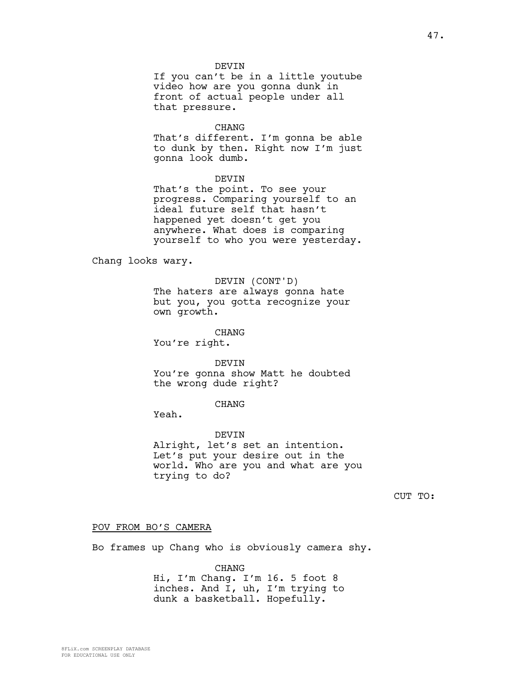### DEVIN

If you can't be in a little youtube video how are you gonna dunk in front of actual people under all that pressure.

#### CHANG

That's different. I'm gonna be able to dunk by then. Right now I'm just gonna look dumb.

## DEVIN

That's the point. To see your progress. Comparing yourself to an ideal future self that hasn't happened yet doesn't get you anywhere. What does is comparing yourself to who you were yesterday.

Chang looks wary.

## DEVIN (CONT'D)

The haters are always gonna hate but you, you gotta recognize your own growth.

## CHANG

You're right.

#### DEVIN

You're gonna show Matt he doubted the wrong dude right?

## CHANG

Yeah.

# DEVIN

Alright, let's set an intention. Let's put your desire out in the world. Who are you and what are you trying to do?

CUT TO:

#### POV FROM BO'S CAMERA

Bo frames up Chang who is obviously camera shy.

CHANG

Hi, I'm Chang. I'm 16. 5 foot 8 inches. And I, uh, I'm trying to dunk a basketball. Hopefully.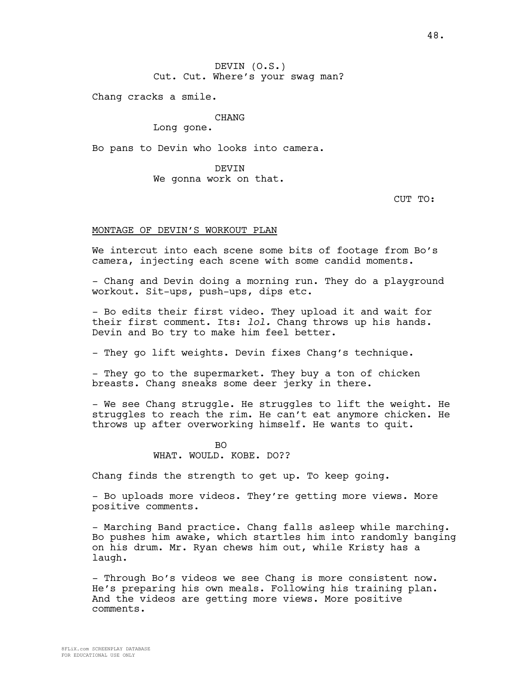DEVIN (O.S.) Cut. Cut. Where's your swag man?

Chang cracks a smile.

## CHANG

Long gone.

Bo pans to Devin who looks into camera.

DEVIN We gonna work on that.

CUT TO:

## MONTAGE OF DEVIN'S WORKOUT PLAN

We intercut into each scene some bits of footage from Bo's camera, injecting each scene with some candid moments.

- Chang and Devin doing a morning run. They do a playground workout. Sit-ups, push-ups, dips etc.

- Bo edits their first video. They upload it and wait for their first comment. Its: *lol.* Chang throws up his hands. Devin and Bo try to make him feel better.

- They go lift weights. Devin fixes Chang's technique.

- They go to the supermarket. They buy a ton of chicken breasts. Chang sneaks some deer jerky in there.

- We see Chang struggle. He struggles to lift the weight. He struggles to reach the rim. He can't eat anymore chicken. He throws up after overworking himself. He wants to quit.

## $B<sub>O</sub>$ WHAT. WOULD. KOBE. DO??

Chang finds the strength to get up. To keep going.

- Bo uploads more videos. They're getting more views. More positive comments.

- Marching Band practice. Chang falls asleep while marching. Bo pushes him awake, which startles him into randomly banging on his drum. Mr. Ryan chews him out, while Kristy has a laugh.

- Through Bo's videos we see Chang is more consistent now. He's preparing his own meals. Following his training plan. And the videos are getting more views. More positive comments.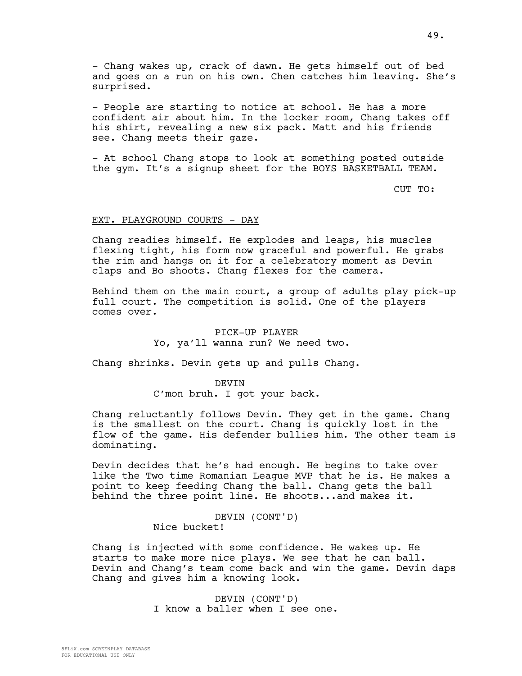- Chang wakes up, crack of dawn. He gets himself out of bed and goes on a run on his own. Chen catches him leaving. She's surprised.

- People are starting to notice at school. He has a more confident air about him. In the locker room, Chang takes off his shirt, revealing a new six pack. Matt and his friends see. Chang meets their gaze.

- At school Chang stops to look at something posted outside the gym. It's a signup sheet for the BOYS BASKETBALL TEAM.

CUT TO:

## EXT. PLAYGROUND COURTS - DAY

Chang readies himself. He explodes and leaps, his muscles flexing tight, his form now graceful and powerful. He grabs the rim and hangs on it for a celebratory moment as Devin claps and Bo shoots. Chang flexes for the camera.

Behind them on the main court, a group of adults play pick-up full court. The competition is solid. One of the players comes over.

## PICK-UP PLAYER Yo, ya'll wanna run? We need two.

Chang shrinks. Devin gets up and pulls Chang.

#### **DEVIN**

C'mon bruh. I got your back.

Chang reluctantly follows Devin. They get in the game. Chang is the smallest on the court. Chang is quickly lost in the flow of the game. His defender bullies him. The other team is dominating.

Devin decides that he's had enough. He begins to take over like the Two time Romanian League MVP that he is. He makes a point to keep feeding Chang the ball. Chang gets the ball behind the three point line. He shoots...and makes it.

## DEVIN (CONT'D) Nice bucket!

Chang is injected with some confidence. He wakes up. He starts to make more nice plays. We see that he can ball. Devin and Chang's team come back and win the game. Devin daps Chang and gives him a knowing look.

> DEVIN (CONT'D) I know a baller when I see one.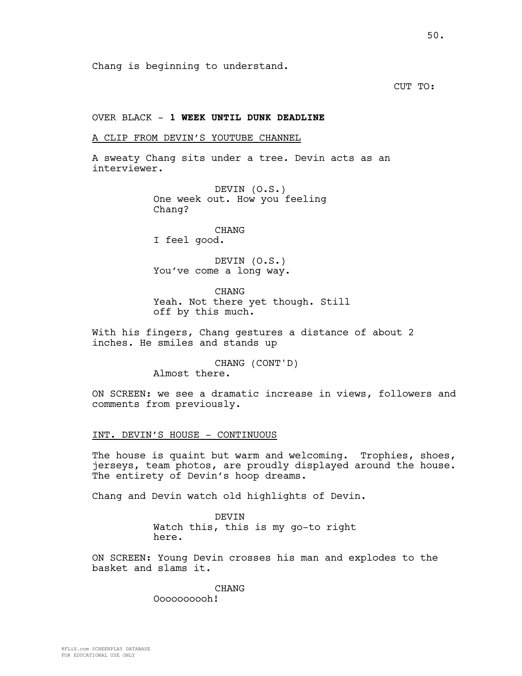Chang is beginning to understand.

CUT TO:

## OVER BLACK - **1 WEEK UNTIL DUNK DEADLINE**

## A CLIP FROM DEVIN'S YOUTUBE CHANNEL

A sweaty Chang sits under a tree. Devin acts as an interviewer.

> DEVIN (O.S.) One week out. How you feeling Chang?

CHANG I feel good.

DEVIN (O.S.) You've come a long way.

**CHANG** Yeah. Not there yet though. Still off by this much.

With his fingers, Chang gestures a distance of about 2 inches. He smiles and stands up

> CHANG (CONT'D) Almost there.

ON SCREEN: we see a dramatic increase in views, followers and comments from previously.

## INT. DEVIN'S HOUSE - CONTINUOUS

The house is quaint but warm and welcoming. Trophies, shoes, jerseys, team photos, are proudly displayed around the house. The entirety of Devin's hoop dreams.

Chang and Devin watch old highlights of Devin.

DEVIN Watch this, this is my go-to right here.

ON SCREEN: Young Devin crosses his man and explodes to the basket and slams it.

## CHANG

Oooooooooh!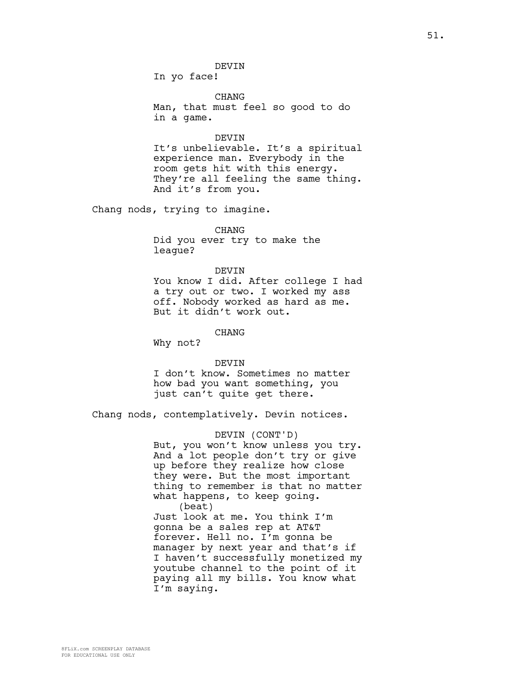In yo face!

CHANG Man, that must feel so good to do in a game.

#### DEVIN

It's unbelievable. It's a spiritual experience man. Everybody in the room gets hit with this energy. They're all feeling the same thing. And it's from you.

Chang nods, trying to imagine.

## CHANG

Did you ever try to make the league?

#### DEVIN

You know I did. After college I had a try out or two. I worked my ass off. Nobody worked as hard as me. But it didn't work out.

CHANG

Why not?

#### DEVIN

I don't know. Sometimes no matter how bad you want something, you just can't quite get there.

Chang nods, contemplatively. Devin notices.

#### DEVIN (CONT'D)

But, you won't know unless you try. And a lot people don't try or give up before they realize how close they were. But the most important thing to remember is that no matter what happens, to keep going. (beat)

Just look at me. You think I'm gonna be a sales rep at AT&T forever. Hell no. I'm gonna be manager by next year and that's if I haven't successfully monetized my youtube channel to the point of it paying all my bills. You know what I'm saying.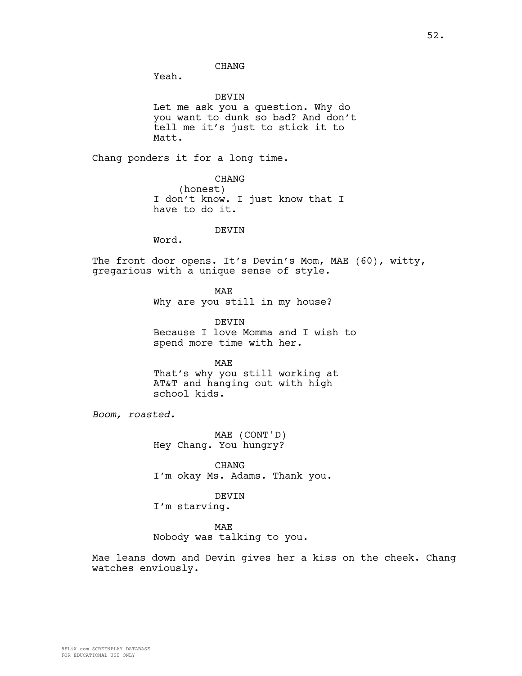## CHANG

Yeah.

DEVIN

Let me ask you a question. Why do you want to dunk so bad? And don't tell me it's just to stick it to Matt.

Chang ponders it for a long time.

CHANG (honest) I don't know. I just know that I have to do it.

## DEVIN

Word.

The front door opens. It's Devin's Mom, MAE (60), witty, gregarious with a unique sense of style.

**MAE** 

Why are you still in my house?

**DEVIN** Because I love Momma and I wish to spend more time with her.

MAE

That's why you still working at AT&T and hanging out with high school kids.

*Boom, roasted.* 

MAE (CONT'D) Hey Chang. You hungry?

CHANG I'm okay Ms. Adams. Thank you.

DEVIN

I'm starving.

MAE

Nobody was talking to you.

Mae leans down and Devin gives her a kiss on the cheek. Chang watches enviously.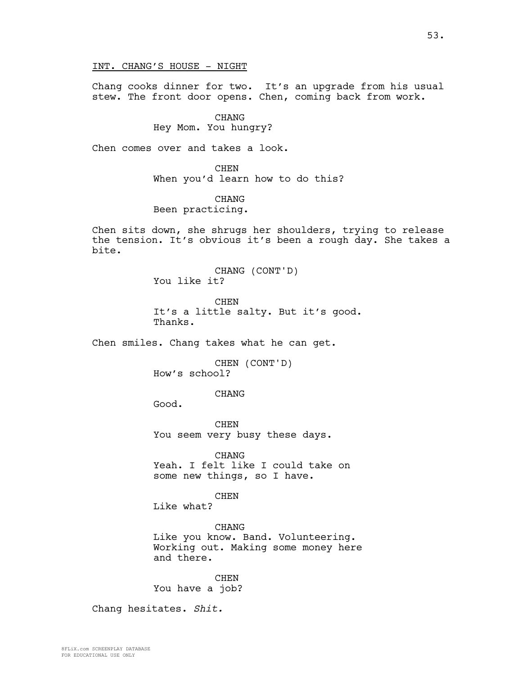Chang cooks dinner for two. It's an upgrade from his usual stew. The front door opens. Chen, coming back from work.

CHANG

Hey Mom. You hungry?

Chen comes over and takes a look.

CHEN When you'd learn how to do this?

**CHANG** Been practicing.

Chen sits down, she shrugs her shoulders, trying to release the tension. It's obvious it's been a rough day. She takes a bite.

> CHANG (CONT'D) You like it?

CHEN It's a little salty. But it's good. Thanks.

Chen smiles. Chang takes what he can get.

CHEN (CONT'D) How's school?

CHANG

Good.

**CHEN** You seem very busy these days.

CHANG Yeah. I felt like I could take on some new things, so I have.

CHEN

Like what?

CHANG Like you know. Band. Volunteering. Working out. Making some money here and there.

CHEN You have a job?

Chang hesitates. *Shit.*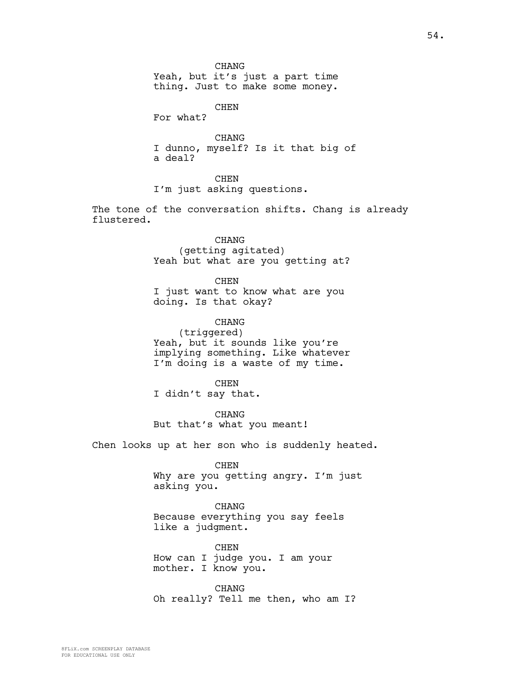CHANG Yeah, but it's just a part time thing. Just to make some money.

CHEN

For what?

CHANG I dunno, myself? Is it that big of a deal?

CHEN

I'm just asking questions.

The tone of the conversation shifts. Chang is already flustered.

> CHANG (getting agitated) Yeah but what are you getting at?

> > CHEN

I just want to know what are you doing. Is that okay?

CHANG (triggered) Yeah, but it sounds like you're implying something. Like whatever I'm doing is a waste of my time.

**CHEN** I didn't say that.

CHANG But that's what you meant!

Chen looks up at her son who is suddenly heated.

CHEN

Why are you getting angry. I'm just asking you.

CHANG Because everything you say feels like a judgment.

CHEN How can I judge you. I am your mother. I know you.

CHANG Oh really? Tell me then, who am I?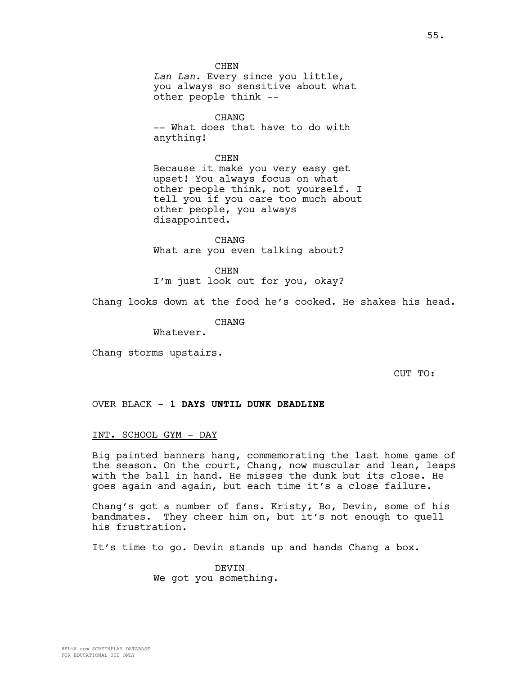**CHEN** *Lan Lan.* Every since you little, you always so sensitive about what other people think --

CHANG -- What does that have to do with anything!

CHEN Because it make you very easy get upset! You always focus on what other people think, not yourself. I tell you if you care too much about other people, you always disappointed.

CHANG What are you even talking about?

**CHEN** I'm just look out for you, okay?

Chang looks down at the food he's cooked. He shakes his head.

CHANG

Whatever.

Chang storms upstairs.

CUT TO:

OVER BLACK - **1 DAYS UNTIL DUNK DEADLINE**

### INT. SCHOOL GYM - DAY

Big painted banners hang, commemorating the last home game of the season. On the court, Chang, now muscular and lean, leaps with the ball in hand. He misses the dunk but its close. He goes again and again, but each time it's a close failure.

Chang's got a number of fans. Kristy, Bo, Devin, some of his bandmates. They cheer him on, but it's not enough to quell his frustration.

It's time to go. Devin stands up and hands Chang a box.

DEVIN We got you something.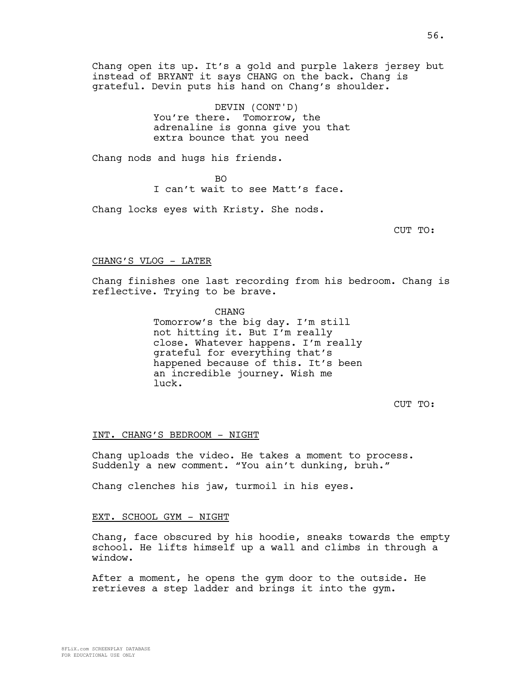Chang open its up. It's a gold and purple lakers jersey but instead of BRYANT it says CHANG on the back. Chang is grateful. Devin puts his hand on Chang's shoulder.

> DEVIN (CONT'D) You're there. Tomorrow, the adrenaline is gonna give you that extra bounce that you need

Chang nods and hugs his friends.

 $B<sub>O</sub>$ I can't wait to see Matt's face.

Chang locks eyes with Kristy. She nods.

CUT TO:

## CHANG'S VLOG - LATER

Chang finishes one last recording from his bedroom. Chang is reflective. Trying to be brave.

> **CHANG** Tomorrow's the big day. I'm still not hitting it. But I'm really close. Whatever happens. I'm really grateful for everything that's happened because of this. It's been an incredible journey. Wish me luck.

> > CUT TO:

## INT. CHANG'S BEDROOM - NIGHT

Chang uploads the video. He takes a moment to process. Suddenly a new comment. "You ain't dunking, bruh."

Chang clenches his jaw, turmoil in his eyes.

## EXT. SCHOOL GYM - NIGHT

Chang, face obscured by his hoodie, sneaks towards the empty school. He lifts himself up a wall and climbs in through a window.

After a moment, he opens the gym door to the outside. He retrieves a step ladder and brings it into the gym.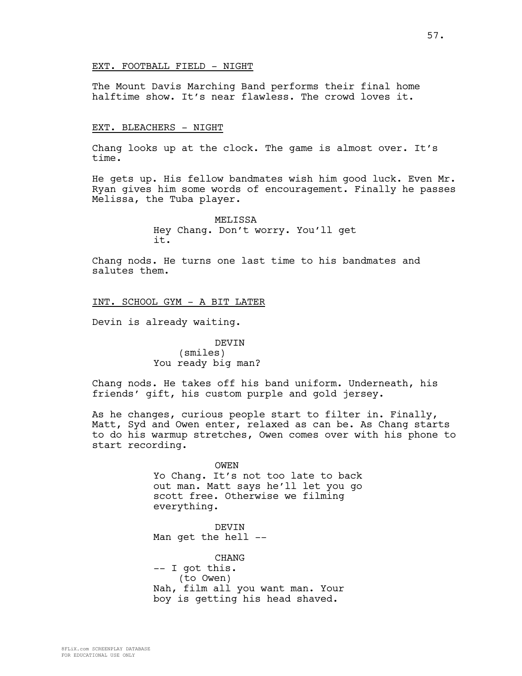## EXT. FOOTBALL FIELD - NIGHT

The Mount Davis Marching Band performs their final home halftime show. It's near flawless. The crowd loves it.

#### EXT. BLEACHERS - NIGHT

Chang looks up at the clock. The game is almost over. It's time.

He gets up. His fellow bandmates wish him good luck. Even Mr. Ryan gives him some words of encouragement. Finally he passes Melissa, the Tuba player.

> **MELISSA** Hey Chang. Don't worry. You'll get it.

Chang nods. He turns one last time to his bandmates and salutes them.

INT. SCHOOL GYM - A BIT LATER

Devin is already waiting.

DEVIN (smiles) You ready big man?

Chang nods. He takes off his band uniform. Underneath, his friends' gift, his custom purple and gold jersey.

As he changes, curious people start to filter in. Finally, Matt, Syd and Owen enter, relaxed as can be. As Chang starts to do his warmup stretches, Owen comes over with his phone to start recording.

#### OWEN

Yo Chang. It's not too late to back out man. Matt says he'll let you go scott free. Otherwise we filming everything.

DEVIN Man get the hell --

CHANG -- I got this. (to Owen) Nah, film all you want man. Your boy is getting his head shaved.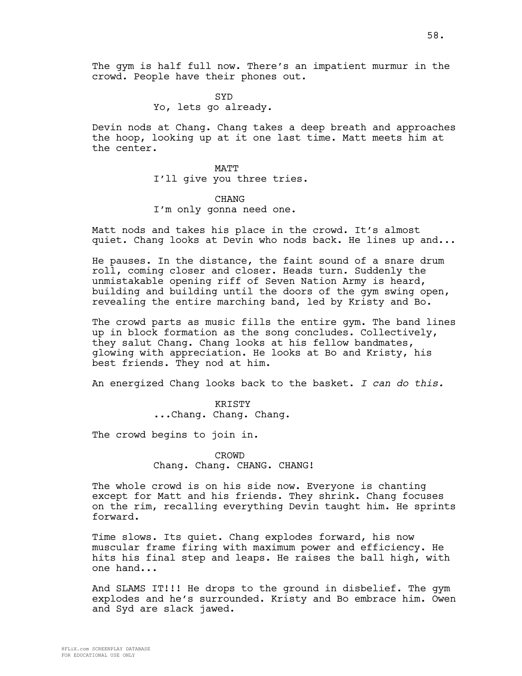The gym is half full now. There's an impatient murmur in the crowd. People have their phones out.

> **SYD** Yo, lets go already.

Devin nods at Chang. Chang takes a deep breath and approaches the hoop, looking up at it one last time. Matt meets him at the center.

> MATT I'll give you three tries.

## **CHANG**

I'm only gonna need one.

Matt nods and takes his place in the crowd. It's almost quiet. Chang looks at Devin who nods back. He lines up and...

He pauses. In the distance, the faint sound of a snare drum roll, coming closer and closer. Heads turn. Suddenly the unmistakable opening riff of Seven Nation Army is heard, building and building until the doors of the gym swing open, revealing the entire marching band, led by Kristy and Bo.

The crowd parts as music fills the entire gym. The band lines up in block formation as the song concludes. Collectively, they salut Chang. Chang looks at his fellow bandmates, glowing with appreciation. He looks at Bo and Kristy, his best friends. They nod at him.

An energized Chang looks back to the basket. *I can do this.* 

KRISTY ...Chang. Chang. Chang.

The crowd begins to join in.

CROWD Chang. Chang. CHANG. CHANG!

The whole crowd is on his side now. Everyone is chanting except for Matt and his friends. They shrink. Chang focuses on the rim, recalling everything Devin taught him. He sprints forward.

Time slows. Its quiet. Chang explodes forward, his now muscular frame firing with maximum power and efficiency. He hits his final step and leaps. He raises the ball high, with one hand...

And SLAMS IT!!! He drops to the ground in disbelief. The gym explodes and he's surrounded. Kristy and Bo embrace him. Owen and Syd are slack jawed.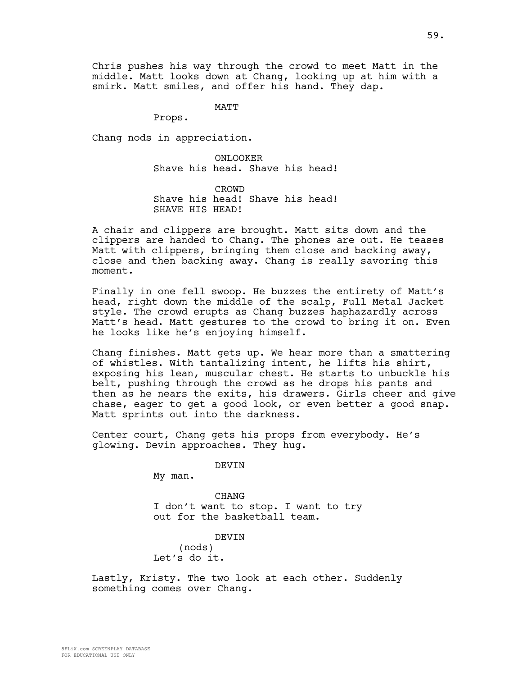Chris pushes his way through the crowd to meet Matt in the middle. Matt looks down at Chang, looking up at him with a smirk. Matt smiles, and offer his hand. They dap.

MATT

Props.

Chang nods in appreciation.

ONLOOKER Shave his head. Shave his head!

CROWD Shave his head! Shave his head! SHAVE HIS HEAD!

A chair and clippers are brought. Matt sits down and the clippers are handed to Chang. The phones are out. He teases Matt with clippers, bringing them close and backing away, close and then backing away. Chang is really savoring this moment.

Finally in one fell swoop. He buzzes the entirety of Matt's head, right down the middle of the scalp, Full Metal Jacket style. The crowd erupts as Chang buzzes haphazardly across Matt's head. Matt gestures to the crowd to bring it on. Even he looks like he's enjoying himself.

Chang finishes. Matt gets up. We hear more than a smattering of whistles. With tantalizing intent, he lifts his shirt, exposing his lean, muscular chest. He starts to unbuckle his belt, pushing through the crowd as he drops his pants and then as he nears the exits, his drawers. Girls cheer and give chase, eager to get a good look, or even better a good snap. Matt sprints out into the darkness.

Center court, Chang gets his props from everybody. He's glowing. Devin approaches. They hug.

DEVIN

My man.

CHANG I don't want to stop. I want to try out for the basketball team.

DEVIN (nods) Let's do it.

Lastly, Kristy. The two look at each other. Suddenly something comes over Chang.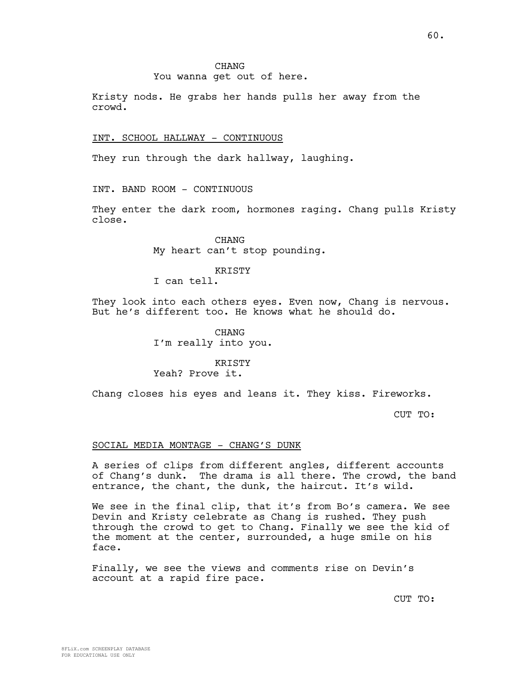## **CHANG**

## You wanna get out of here.

Kristy nods. He grabs her hands pulls her away from the crowd.

### INT. SCHOOL HALLWAY - CONTINUOUS

They run through the dark hallway, laughing.

INT. BAND ROOM - CONTINUOUS

They enter the dark room, hormones raging. Chang pulls Kristy close.

> CHANG My heart can't stop pounding.

> > **KRISTY**

I can tell.

They look into each others eyes. Even now, Chang is nervous. But he's different too. He knows what he should do.

> CHANG I'm really into you.

> > **KRISTY**

# Yeah? Prove it.

Chang closes his eyes and leans it. They kiss. Fireworks.

CUT TO:

### SOCIAL MEDIA MONTAGE - CHANG'S DUNK

A series of clips from different angles, different accounts of Chang's dunk. The drama is all there. The crowd, the band entrance, the chant, the dunk, the haircut. It's wild.

We see in the final clip, that it's from Bo's camera. We see Devin and Kristy celebrate as Chang is rushed. They push through the crowd to get to Chang. Finally we see the kid of the moment at the center, surrounded, a huge smile on his face.

Finally, we see the views and comments rise on Devin's account at a rapid fire pace.

CUT TO: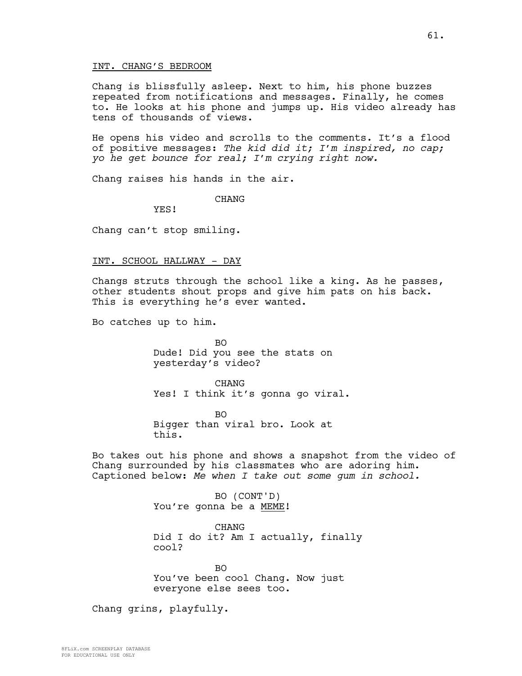Chang is blissfully asleep. Next to him, his phone buzzes repeated from notifications and messages. Finally, he comes to. He looks at his phone and jumps up. His video already has tens of thousands of views.

He opens his video and scrolls to the comments. It's a flood of positive messages: *The kid did it; I'm inspired, no cap; yo he get bounce for real; I'm crying right now.*

Chang raises his hands in the air.

CHANG

YES!

Chang can't stop smiling.

#### INT. SCHOOL HALLWAY - DAY

Changs struts through the school like a king. As he passes, other students shout props and give him pats on his back. This is everything he's ever wanted.

Bo catches up to him.

BO Dude! Did you see the stats on yesterday's video?

**CHANG** Yes! I think it's gonna go viral.

BO Bigger than viral bro. Look at this.

Bo takes out his phone and shows a snapshot from the video of Chang surrounded by his classmates who are adoring him. Captioned below: *Me when I take out some gum in school.* 

> BO (CONT'D) You're gonna be a MEME!

CHANG Did I do it? Am I actually, finally cool?

BO You've been cool Chang. Now just everyone else sees too.

Chang grins, playfully.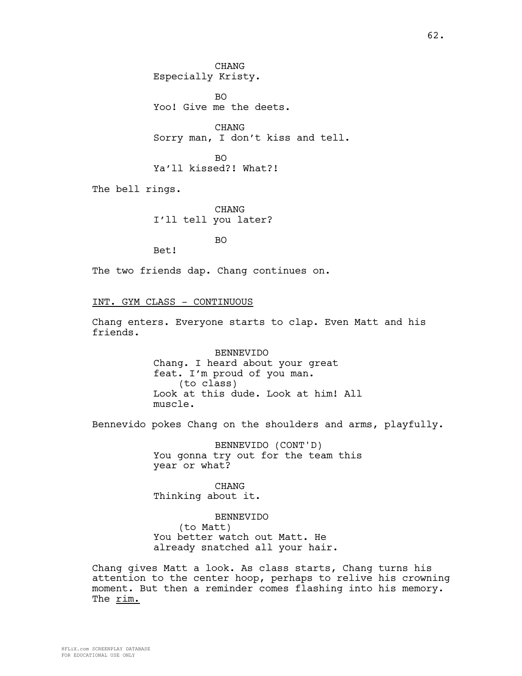CHANG Especially Kristy.

BO Yoo! Give me the deets.

CHANG Sorry man, I don't kiss and tell.

BO Ya'll kissed?! What?!

The bell rings.

CHANG I'll tell you later?

BO

The two friends dap. Chang continues on.

## INT. GYM CLASS - CONTINUOUS

Bet!

Chang enters. Everyone starts to clap. Even Matt and his friends.

> BENNEVIDO Chang. I heard about your great feat. I'm proud of you man. (to class) Look at this dude. Look at him! All muscle.

Bennevido pokes Chang on the shoulders and arms, playfully.

BENNEVIDO (CONT'D) You gonna try out for the team this year or what?

CHANG Thinking about it.

BENNEVIDO (to Matt) You better watch out Matt. He already snatched all your hair.

Chang gives Matt a look. As class starts, Chang turns his attention to the center hoop, perhaps to relive his crowning moment. But then a reminder comes flashing into his memory. The rim.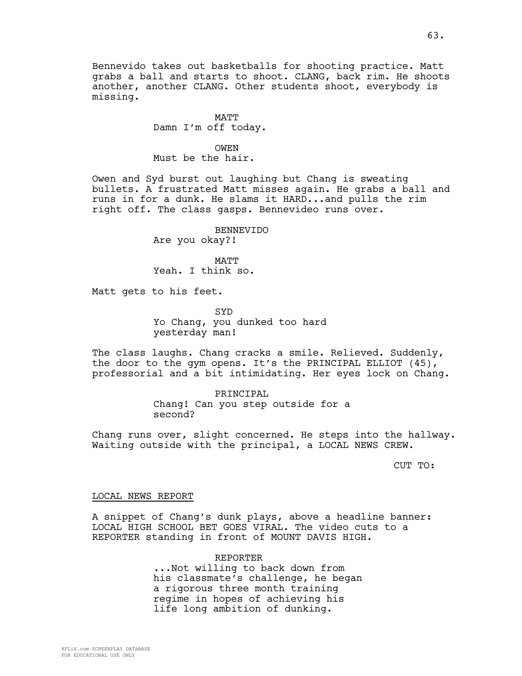Bennevido takes out basketballs for shooting practice. Matt grabs a ball and starts to shoot. CLANG, back rim. He shoots another, another CLANG. Other students shoot, everybody is missing.

> MATT Damn I'm off today.

OWEN Must be the hair.

Owen and Syd burst out laughing but Chang is sweating bullets. A frustrated Matt misses again. He grabs a ball and runs in for a dunk. He slams it HARD...and pulls the rim right off. The class gasps. Bennevideo runs over.

> BENNEVIDO Are you okay?!

MATT Yeah. I think so.

Matt gets to his feet.

SYD Yo Chang, you dunked too hard yesterday man!

The class laughs. Chang cracks a smile. Relieved. Suddenly, the door to the gym opens. It's the PRINCIPAL ELLIOT (45), professorial and a bit intimidating. Her eyes lock on Chang.

> PRINCIPAL Chang! Can you step outside for a second?

Chang runs over, slight concerned. He steps into the hallway. Waiting outside with the principal, a LOCAL NEWS CREW.

CUT TO:

## LOCAL NEWS REPORT

A snippet of Chang's dunk plays, above a headline banner: LOCAL HIGH SCHOOL BET GOES VIRAL. The video cuts to a REPORTER standing in front of MOUNT DAVIS HIGH.

> REPORTER ...Not willing to back down from his classmate's challenge, he began a rigorous three month training regime in hopes of achieving his life long ambition of dunking.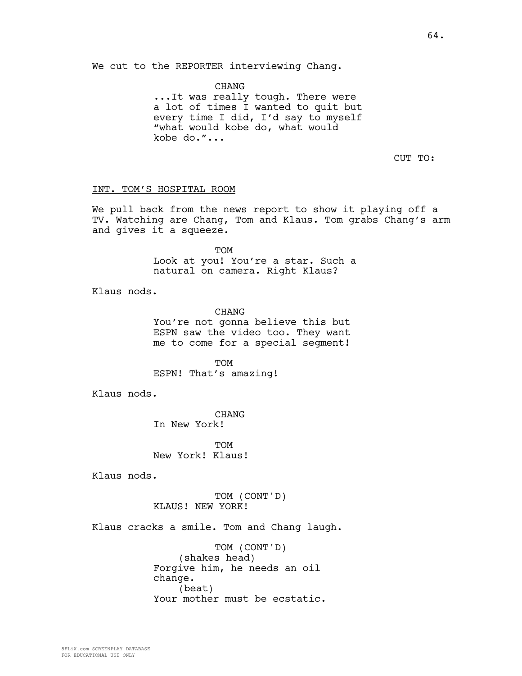We cut to the REPORTER interviewing Chang.

CHANG ...It was really tough. There were a lot of times I wanted to quit but every time I did, I'd say to myself "what would kobe do, what would kobe do."...

CUT TO:

### INT. TOM'S HOSPITAL ROOM

We pull back from the news report to show it playing off a TV. Watching are Chang, Tom and Klaus. Tom grabs Chang's arm and gives it a squeeze.

TOM

Look at you! You're a star. Such a natural on camera. Right Klaus?

Klaus nods.

**CHANG** You're not gonna believe this but ESPN saw the video too. They want me to come for a special segment!

TOM ESPN! That's amazing!

Klaus nods.

CHANG In New York!

**TOM** New York! Klaus!

Klaus nods.

TOM (CONT'D) KLAUS! NEW YORK!

Klaus cracks a smile. Tom and Chang laugh.

TOM (CONT'D) (shakes head) Forgive him, he needs an oil change. (beat) Your mother must be ecstatic.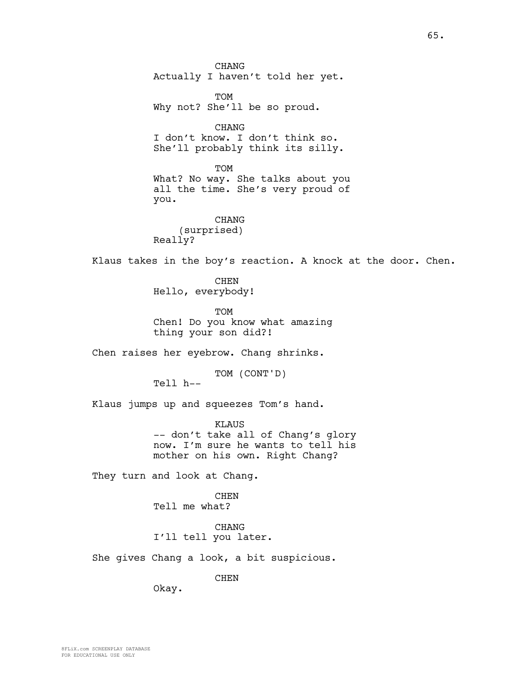CHANG Actually I haven't told her yet.

TOM Why not? She'll be so proud.

CHANG I don't know. I don't think so. She'll probably think its silly.

TOM What? No way. She talks about you all the time. She's very proud of you.

CHANG (surprised) Really?

Klaus takes in the boy's reaction. A knock at the door. Chen.

CHEN Hello, everybody!

**TOM** Chen! Do you know what amazing thing your son did?!

Chen raises her eyebrow. Chang shrinks.

TOM (CONT'D)

Tell h--

Klaus jumps up and squeezes Tom's hand.

KLAUS -- don't take all of Chang's glory now. I'm sure he wants to tell his mother on his own. Right Chang?

They turn and look at Chang.

CHEN Tell me what?

CHANG I'll tell you later.

She gives Chang a look, a bit suspicious.

CHEN

Okay.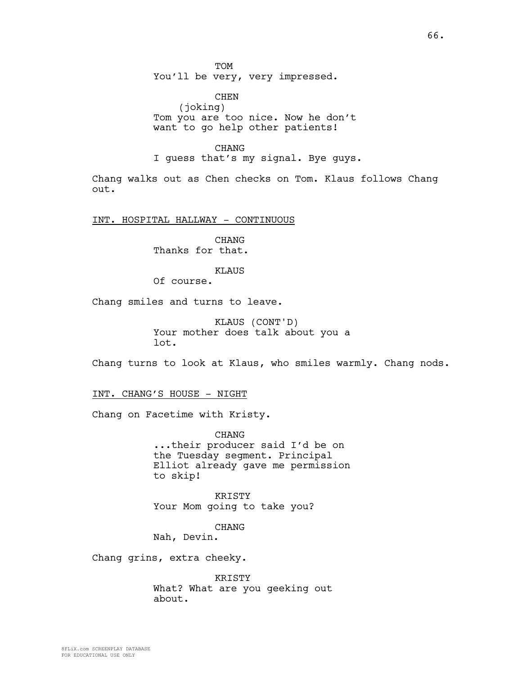TOM You'll be very, very impressed.

CHEN (joking) Tom you are too nice. Now he don't want to go help other patients!

CHANG

I guess that's my signal. Bye guys.

Chang walks out as Chen checks on Tom. Klaus follows Chang out.

INT. HOSPITAL HALLWAY - CONTINUOUS

CHANG Thanks for that.

## KLAUS

Of course.

Chang smiles and turns to leave.

KLAUS (CONT'D) Your mother does talk about you a lot.

Chang turns to look at Klaus, who smiles warmly. Chang nods.

INT. CHANG'S HOUSE - NIGHT

Chang on Facetime with Kristy.

CHANG ...their producer said I'd be on the Tuesday segment. Principal Elliot already gave me permission to skip!

KRISTY Your Mom going to take you?

CHANG

Nah, Devin.

Chang grins, extra cheeky.

KRISTY What? What are you geeking out about.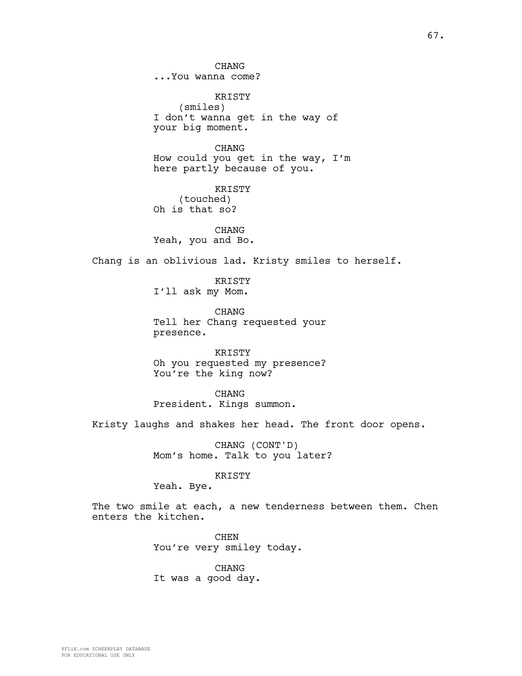CHANG ...You wanna come?

KRISTY (smiles) I don't wanna get in the way of your big moment.

CHANG How could you get in the way, I'm here partly because of you.

KRISTY (touched) Oh is that so?

CHANG Yeah, you and Bo.

Chang is an oblivious lad. Kristy smiles to herself.

KRISTY I'll ask my Mom.

**CHANG** Tell her Chang requested your presence.

KRISTY Oh you requested my presence? You're the king now?

CHANG President. Kings summon.

Kristy laughs and shakes her head. The front door opens.

CHANG (CONT'D) Mom's home. Talk to you later?

#### KRISTY

Yeah. Bye.

The two smile at each, a new tenderness between them. Chen enters the kitchen.

> CHEN You're very smiley today.

CHANG It was a good day.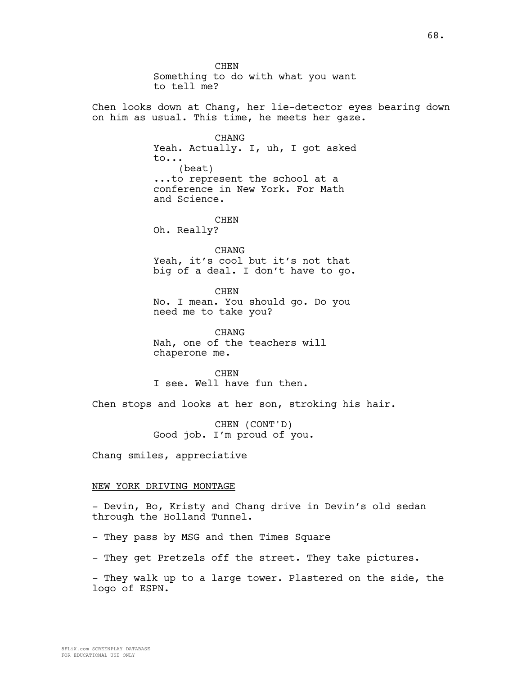**CHEN** Something to do with what you want to tell me? Chen looks down at Chang, her lie-detector eyes bearing down on him as usual. This time, he meets her gaze. CHANG Yeah. Actually. I, uh, I got asked to... (beat) ...to represent the school at a conference in New York. For Math and Science. **CHEN** Oh. Really? CHANG Yeah, it's cool but it's not that big of a deal. I don't have to go. **CHEN** No. I mean. You should go. Do you need me to take you? CHANG Nah, one of the teachers will chaperone me. **CHEN** I see. Well have fun then. Chen stops and looks at her son, stroking his hair. CHEN (CONT'D) Good job. I'm proud of you. Chang smiles, appreciative NEW YORK DRIVING MONTAGE - Devin, Bo, Kristy and Chang drive in Devin's old sedan through the Holland Tunnel. - They pass by MSG and then Times Square

- They get Pretzels off the street. They take pictures.

- They walk up to a large tower. Plastered on the side, the logo of ESPN.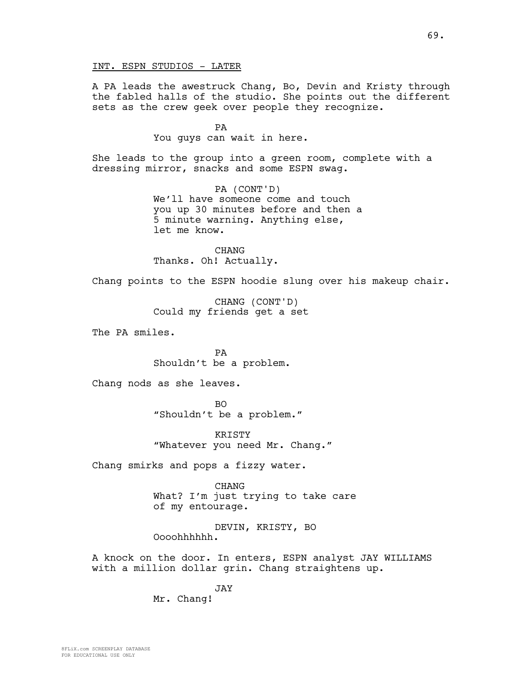A PA leads the awestruck Chang, Bo, Devin and Kristy through the fabled halls of the studio. She points out the different sets as the crew geek over people they recognize.

> PA You guys can wait in here.

She leads to the group into a green room, complete with a dressing mirror, snacks and some ESPN swag.

> PA (CONT'D) We'll have someone come and touch you up 30 minutes before and then a 5 minute warning. Anything else, let me know.

CHANG Thanks. Oh! Actually.

Chang points to the ESPN hoodie slung over his makeup chair.

CHANG (CONT'D) Could my friends get a set

The PA smiles.

PA Shouldn't be a problem.

Chang nods as she leaves.

BO "Shouldn't be a problem."

KRISTY "Whatever you need Mr. Chang."

Chang smirks and pops a fizzy water.

CHANG What? I'm just trying to take care of my entourage.

DEVIN, KRISTY, BO Oooohhhhhh.

A knock on the door. In enters, ESPN analyst JAY WILLIAMS with a million dollar grin. Chang straightens up.

JAY

Mr. Chang!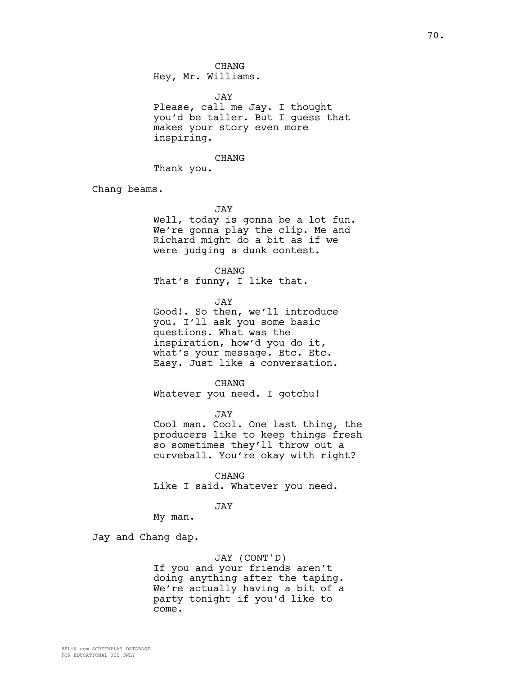CHANG Hey, Mr. Williams.

JAY

Please, call me Jay. I thought you'd be taller. But I guess that makes your story even more inspiring.

#### CHANG

Thank you.

Chang beams.

JAY

Well, today is gonna be a lot fun. We're gonna play the clip. Me and Richard might do a bit as if we were judging a dunk contest.

CHANG

That's funny, I like that.

JAY

Good!. So then, we'll introduce you. I'll ask you some basic questions. What was the inspiration, how'd you do it, what's your message. Etc. Etc. Easy. Just like a conversation.

CHANG

Whatever you need. I gotchu!

JAY

Cool man. Cool. One last thing, the producers like to keep things fresh so sometimes they'll throw out a curveball. You're okay with right?

CHANG

Like I said. Whatever you need.

## JAY

My man.

Jay and Chang dap.

### JAY (CONT'D)

If you and your friends aren't doing anything after the taping. We're actually having a bit of a party tonight if you'd like to come.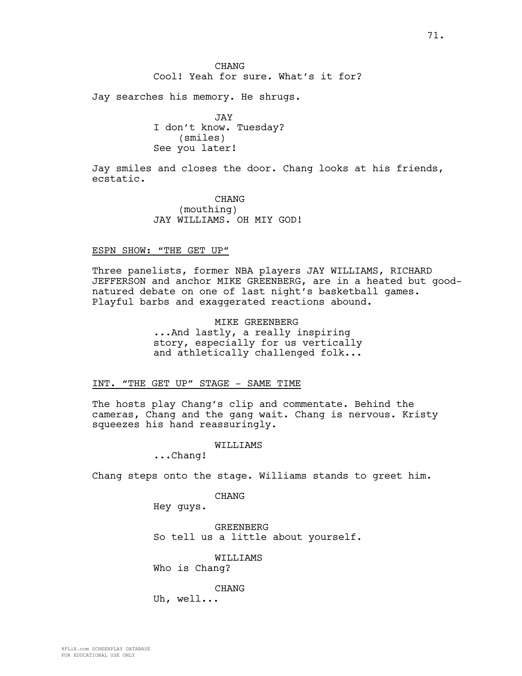Jay searches his memory. He shrugs.

JAY I don't know. Tuesday? (smiles) See you later!

Jay smiles and closes the door. Chang looks at his friends, ecstatic.

> **CHANG** (mouthing) JAY WILLIAMS. OH MIY GOD!

## ESPN SHOW: "THE GET UP"

Three panelists, former NBA players JAY WILLIAMS, RICHARD JEFFERSON and anchor MIKE GREENBERG, are in a heated but goodnatured debate on one of last night's basketball games. Playful barbs and exaggerated reactions abound.

> MIKE GREENBERG ...And lastly, a really inspiring story, especially for us vertically and athletically challenged folk...

## INT. "THE GET UP" STAGE - SAME TIME

The hosts play Chang's clip and commentate. Behind the cameras, Chang and the gang wait. Chang is nervous. Kristy squeezes his hand reassuringly.

### WILLIAMS

...Chang!

Chang steps onto the stage. Williams stands to greet him.

CHANG

Hey guys.

GREENBERG So tell us a little about yourself.

WILLIAMS

Who is Chang?

CHANG

Uh, well...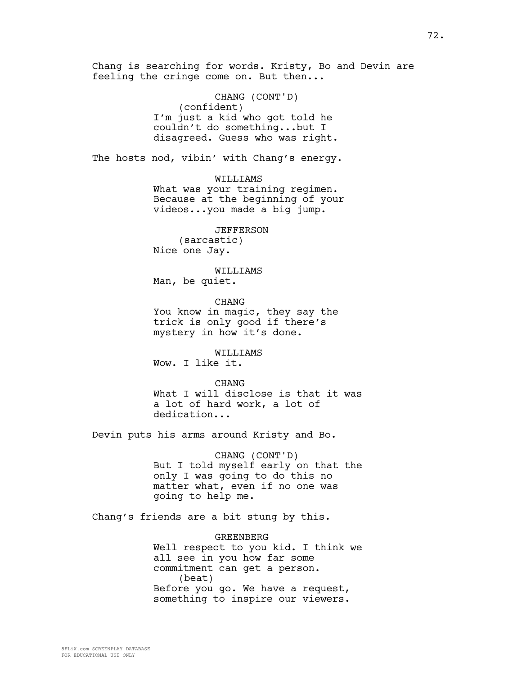feeling the cringe come on. But then... CHANG (CONT'D) (confident) I'm just a kid who got told he couldn't do something...but I disagreed. Guess who was right. The hosts nod, vibin' with Chang's energy. WILLIAMS What was your training regimen. Because at the beginning of your videos...you made a big jump. JEFFERSON (sarcastic) Nice one Jay. WILLIAMS Man, be quiet. CHANG You know in magic, they say the trick is only good if there's mystery in how it's done. WILLIAMS Wow. I like it. CHANG What I will disclose is that it was a lot of hard work, a lot of dedication... Devin puts his arms around Kristy and Bo. CHANG (CONT'D) But I told myself early on that the only I was going to do this no matter what, even if no one was going to help me. Chang's friends are a bit stung by this. GREENBERG Well respect to you kid. I think we all see in you how far some commitment can get a person. (beat) Before you go. We have a request, something to inspire our viewers.

Chang is searching for words. Kristy, Bo and Devin are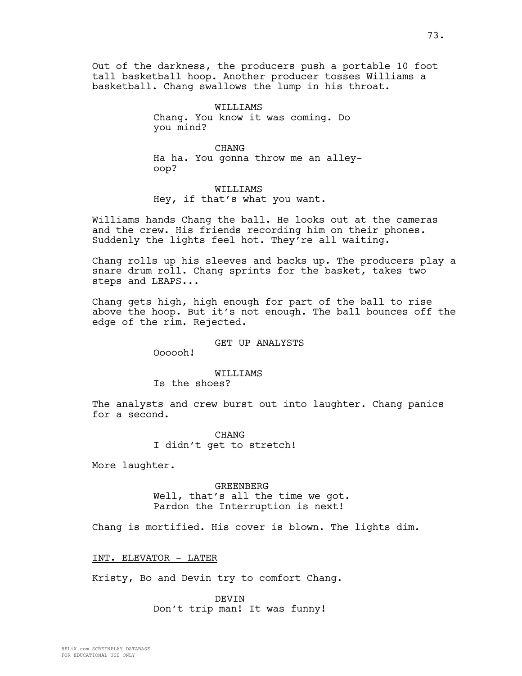Out of the darkness, the producers push a portable 10 foot tall basketball hoop. Another producer tosses Williams a basketball. Chang swallows the lump in his throat.

> WILLIAMS Chang. You know it was coming. Do you mind?

CHANG Ha ha. You gonna throw me an alleyoop?

WILLIAMS Hey, if that's what you want.

Williams hands Chang the ball. He looks out at the cameras and the crew. His friends recording him on their phones. Suddenly the lights feel hot. They're all waiting.

Chang rolls up his sleeves and backs up. The producers play a snare drum roll. Chang sprints for the basket, takes two steps and LEAPS...

Chang gets high, high enough for part of the ball to rise above the hoop. But it's not enough. The ball bounces off the edge of the rim. Rejected.

## GET UP ANALYSTS

Oooooh!

## WILLIAMS

Is the shoes?

The analysts and crew burst out into laughter. Chang panics for a second.

> CHANG I didn't get to stretch!

More laughter.

GREENBERG Well, that's all the time we got. Pardon the Interruption is next!

Chang is mortified. His cover is blown. The lights dim.

INT. ELEVATOR - LATER

Kristy, Bo and Devin try to comfort Chang.

DEVIN Don't trip man! It was funny!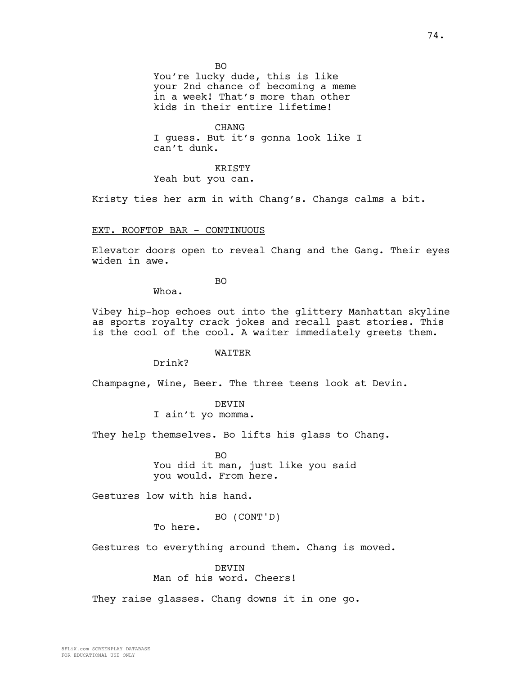BO

You're lucky dude, this is like your 2nd chance of becoming a meme in a week! That's more than other kids in their entire lifetime!

CHANG I guess. But it's gonna look like I can't dunk.

KRISTY Yeah but you can.

Kristy ties her arm in with Chang's. Changs calms a bit.

## EXT. ROOFTOP BAR - CONTINUOUS

Elevator doors open to reveal Chang and the Gang. Their eyes widen in awe.

BO

Whoa.

Vibey hip-hop echoes out into the glittery Manhattan skyline as sports royalty crack jokes and recall past stories. This is the cool of the cool. A waiter immediately greets them.

## WAITER

Drink?

Champagne, Wine, Beer. The three teens look at Devin.

DEVIN I ain't yo momma.

They help themselves. Bo lifts his glass to Chang.

BO You did it man, just like you said you would. From here.

Gestures low with his hand.

BO (CONT'D)

To here.

Gestures to everything around them. Chang is moved.

### DEVIN

Man of his word. Cheers!

They raise glasses. Chang downs it in one go.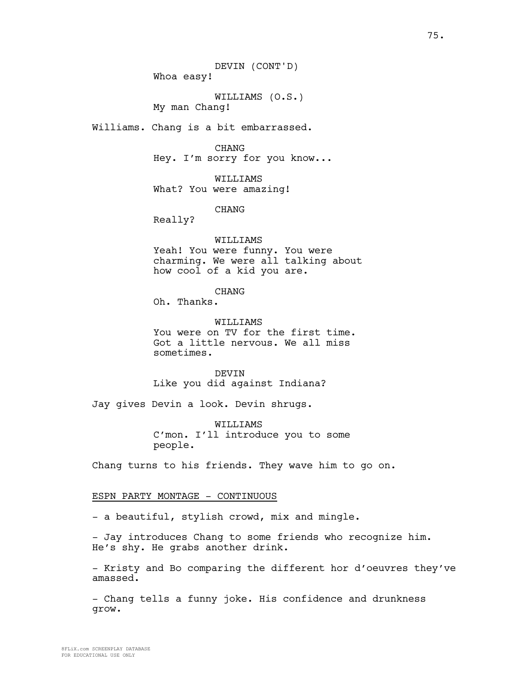75.

DEVIN (CONT'D) Whoa easy!

WILLIAMS (O.S.) My man Chang!

Williams. Chang is a bit embarrassed.

CHANG Hey. I'm sorry for you know...

WILLIAMS What? You were amazing!

CHANG

Really?

WILLIAMS Yeah! You were funny. You were charming. We were all talking about how cool of a kid you are.

**CHANG** 

Oh. Thanks.

WILLIAMS You were on TV for the first time. Got a little nervous. We all miss sometimes.

DEVIN Like you did against Indiana?

Jay gives Devin a look. Devin shrugs.

WILLIAMS C'mon. I'll introduce you to some people.

Chang turns to his friends. They wave him to go on.

## ESPN PARTY MONTAGE - CONTINUOUS

- a beautiful, stylish crowd, mix and mingle.

- Jay introduces Chang to some friends who recognize him. He's shy. He grabs another drink.

- Kristy and Bo comparing the different hor d'oeuvres they've amassed.

- Chang tells a funny joke. His confidence and drunkness grow.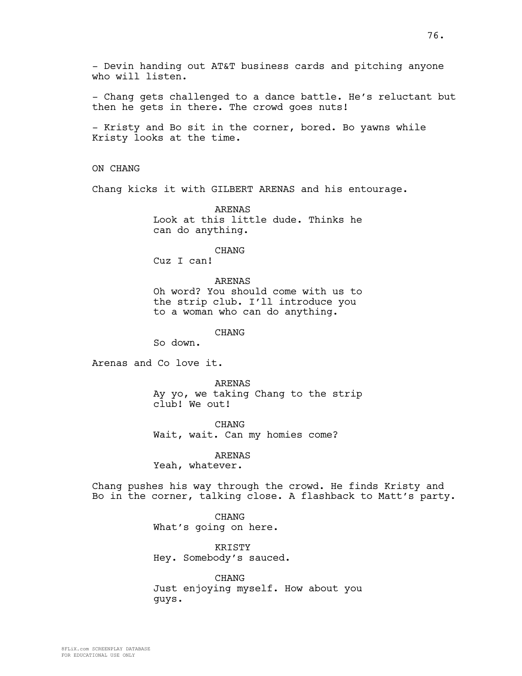- Devin handing out AT&T business cards and pitching anyone who will listen.

- Chang gets challenged to a dance battle. He's reluctant but then he gets in there. The crowd goes nuts!

- Kristy and Bo sit in the corner, bored. Bo yawns while Kristy looks at the time.

ON CHANG

Chang kicks it with GILBERT ARENAS and his entourage.

ARENAS Look at this little dude. Thinks he can do anything.

CHANG

Cuz I can!

ARENAS

Oh word? You should come with us to the strip club. I'll introduce you to a woman who can do anything.

CHANG

So down.

Arenas and Co love it.

ARENAS Ay yo, we taking Chang to the strip club! We out!

CHANG Wait, wait. Can my homies come?

ARENAS

Yeah, whatever.

Chang pushes his way through the crowd. He finds Kristy and Bo in the corner, talking close. A flashback to Matt's party.

> CHANG What's going on here.

KRISTY Hey. Somebody's sauced.

CHANG Just enjoying myself. How about you guys.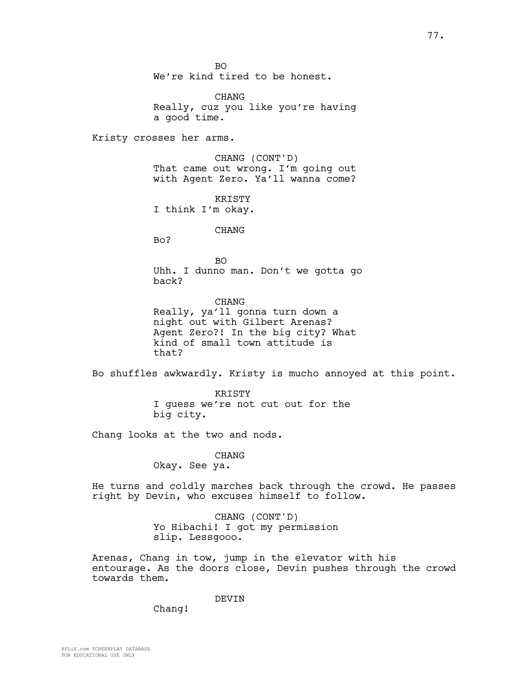BO We're kind tired to be honest.

CHANG Really, cuz you like you're having a good time.

Kristy crosses her arms.

CHANG (CONT'D) That came out wrong. I'm going out with Agent Zero. Ya'll wanna come?

**KRISTY** I think I'm okay.

## CHANG

Bo?

BO Uhh. I dunno man. Don't we gotta go back?

CHANG Really, ya'll gonna turn down a night out with Gilbert Arenas? Agent Zero?! In the big city? What kind of small town attitude is that?

Bo shuffles awkwardly. Kristy is mucho annoyed at this point.

KRISTY I guess we're not cut out for the big city.

Chang looks at the two and nods.

## CHANG

Okay. See ya.

He turns and coldly marches back through the crowd. He passes right by Devin, who excuses himself to follow.

> CHANG (CONT'D) Yo Hibachi! I got my permission slip. Lessgooo.

Arenas, Chang in tow, jump in the elevator with his entourage. As the doors close, Devin pushes through the crowd towards them.

## DEVIN

Chang!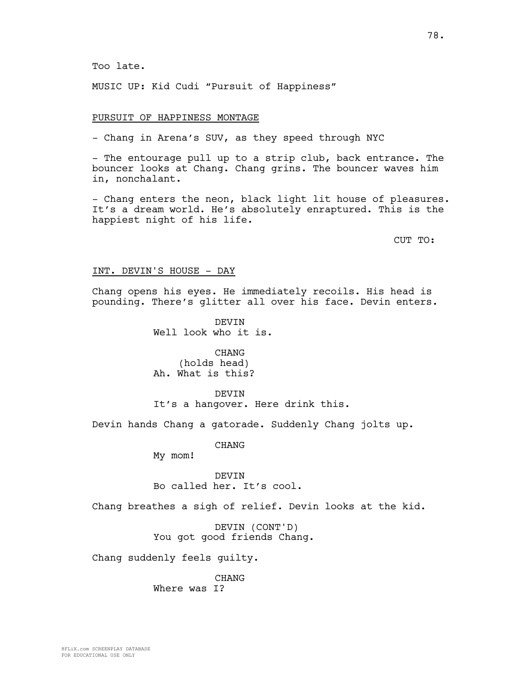Too late.

MUSIC UP: Kid Cudi "Pursuit of Happiness"

### PURSUIT OF HAPPINESS MONTAGE

- Chang in Arena's SUV, as they speed through NYC

- The entourage pull up to a strip club, back entrance. The bouncer looks at Chang. Chang grins. The bouncer waves him in, nonchalant.

- Chang enters the neon, black light lit house of pleasures. It's a dream world. He's absolutely enraptured. This is the happiest night of his life.

CUT TO:

#### INT. DEVIN'S HOUSE - DAY

Chang opens his eyes. He immediately recoils. His head is pounding. There's glitter all over his face. Devin enters.

> DEVIN Well look who it is.

CHANG (holds head) Ah. What is this?

DEVIN It's a hangover. Here drink this.

Devin hands Chang a gatorade. Suddenly Chang jolts up.

CHANG

My mom!

DEVIN Bo called her. It's cool.

Chang breathes a sigh of relief. Devin looks at the kid.

DEVIN (CONT'D) You got good friends Chang.

Chang suddenly feels guilty.

CHANG Where was I?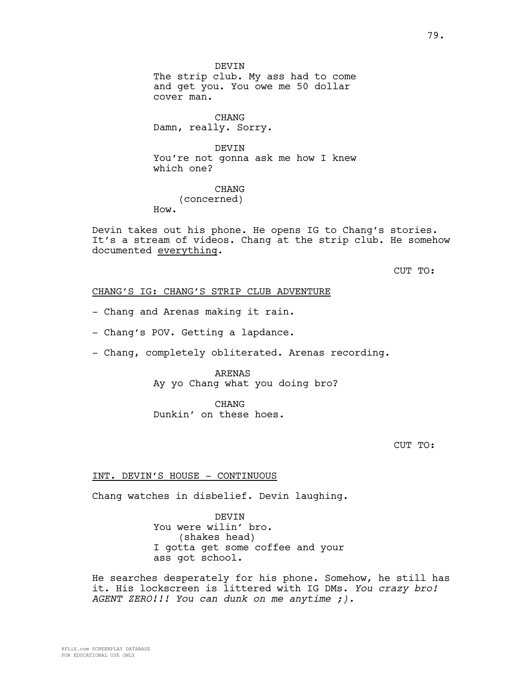DEVIN The strip club. My ass had to come and get you. You owe me 50 dollar cover man.

CHANG Damn, really. Sorry.

DEVIN You're not gonna ask me how I knew which one?

CHANG (concerned) How.

Devin takes out his phone. He opens IG to Chang's stories. It's a stream of videos. Chang at the strip club. He somehow documented everything.

CUT TO:

## CHANG'S IG: CHANG'S STRIP CLUB ADVENTURE

- Chang and Arenas making it rain.

- Chang's POV. Getting a lapdance.

- Chang, completely obliterated. Arenas recording.

# ARENAS Ay yo Chang what you doing bro?

CHANG Dunkin' on these hoes.

CUT TO:

## INT. DEVIN'S HOUSE - CONTINUOUS

Chang watches in disbelief. Devin laughing.

**DEVIN** You were wilin' bro. (shakes head) I gotta get some coffee and your ass got school.

He searches desperately for his phone. Somehow, he still has it. His lockscreen is littered with IG DMs. *You crazy bro! AGENT ZERO!!! You can dunk on me anytime ;).*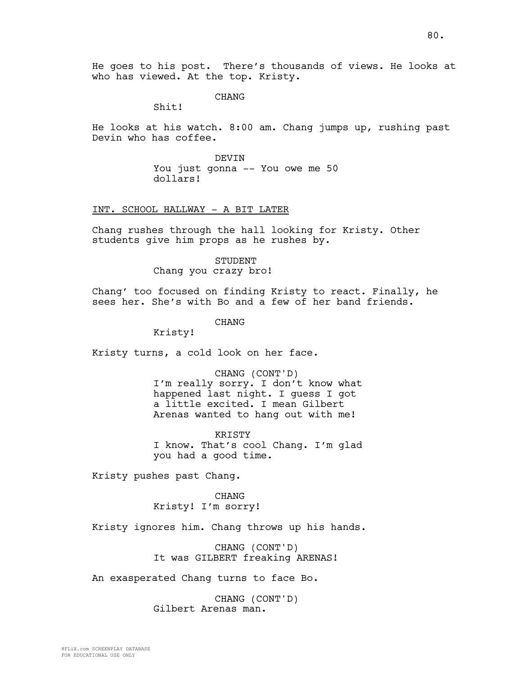He goes to his post. There's thousands of views. He looks at who has viewed. At the top. Kristy.

CHANG

Shit!

He looks at his watch. 8:00 am. Chang jumps up, rushing past Devin who has coffee.

> DEVIN You just gonna -- You owe me 50 dollars!

INT. SCHOOL HALLWAY - A BIT LATER

Chang rushes through the hall looking for Kristy. Other students give him props as he rushes by.

> STUDENT Chang you crazy bro!

Chang' too focused on finding Kristy to react. Finally, he sees her. She's with Bo and a few of her band friends.

CHANG

Kristy!

Kristy turns, a cold look on her face.

CHANG (CONT'D) I'm really sorry. I don't know what happened last night. I guess I got a little excited. I mean Gilbert Arenas wanted to hang out with me!

KRISTY I know. That's cool Chang. I'm glad you had a good time.

Kristy pushes past Chang.

CHANG Kristy! I'm sorry!

Kristy ignores him. Chang throws up his hands.

CHANG (CONT'D) It was GILBERT freaking ARENAS!

An exasperated Chang turns to face Bo.

CHANG (CONT'D) Gilbert Arenas man.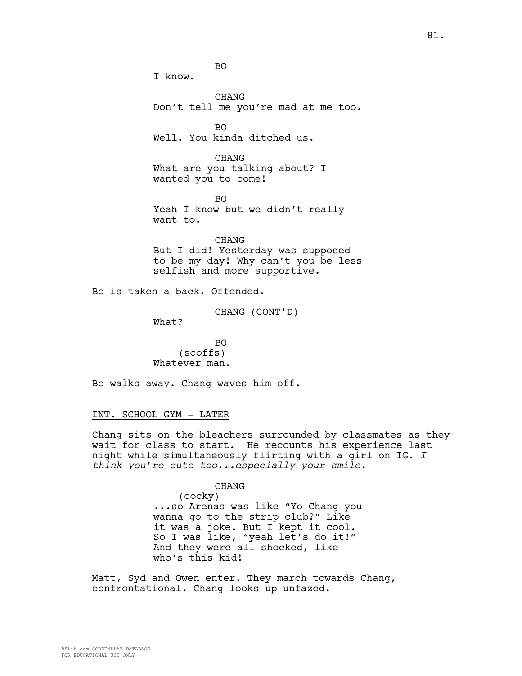81.

BO

I know.

CHANG Don't tell me you're mad at me too.

 $BO$ Well. You kinda ditched us.

CHANG What are you talking about? I wanted you to come!

 $BO$ Yeah I know but we didn't really want to.

CHANG But I did! Yesterday was supposed to be my day! Why can't you be less selfish and more supportive.

Bo is taken a back. Offended.

CHANG (CONT'D)

What?

BO (scoffs) Whatever man.

Bo walks away. Chang waves him off.

## INT. SCHOOL GYM - LATER

Chang sits on the bleachers surrounded by classmates as they wait for class to start. He recounts his experience last night while simultaneously flirting with a girl on IG. *I think you're cute too...especially your smile.*

> CHANG (cocky) ...so Arenas was like "Yo Chang you wanna go to the strip club?" Like it was a joke. But I kept it cool. So I was like, "yeah let's do it!" And they were all shocked, like who's this kid!

Matt, Syd and Owen enter. They march towards Chang, confrontational. Chang looks up unfazed.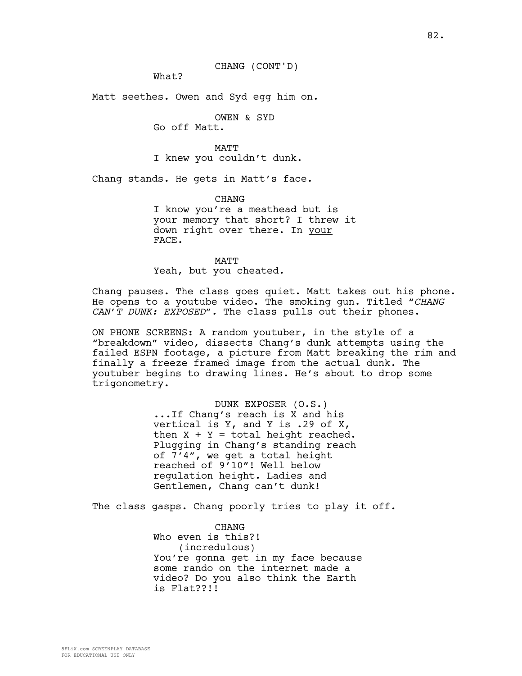CHANG (CONT'D)

What?

Matt seethes. Owen and Syd egg him on.

OWEN & SYD

Go off Matt.

MATT I knew you couldn't dunk.

Chang stands. He gets in Matt's face.

**CHANG** 

I know you're a meathead but is your memory that short? I threw it down right over there. In your FACE.

### MATT

Yeah, but you cheated.

Chang pauses. The class goes quiet. Matt takes out his phone. He opens to a youtube video. The smoking gun. Titled *"CHANG CAN'T DUNK: EXPOSED".* The class pulls out their phones.

ON PHONE SCREENS: A random youtuber, in the style of a "breakdown" video, dissects Chang's dunk attempts using the failed ESPN footage, a picture from Matt breaking the rim and finally a freeze framed image from the actual dunk. The youtuber begins to drawing lines. He's about to drop some trigonometry.

> DUNK EXPOSER (O.S.) ...If Chang's reach is X and his vertical is Y, and Y is .29 of X, then  $X + Y = total height reached$ . Plugging in Chang's standing reach of 7'4", we get a total height reached of 9'10"! Well below regulation height. Ladies and Gentlemen, Chang can't dunk!

The class gasps. Chang poorly tries to play it off.

CHANG Who even is this?! (incredulous) You're gonna get in my face because some rando on the internet made a video? Do you also think the Earth is Flat??!!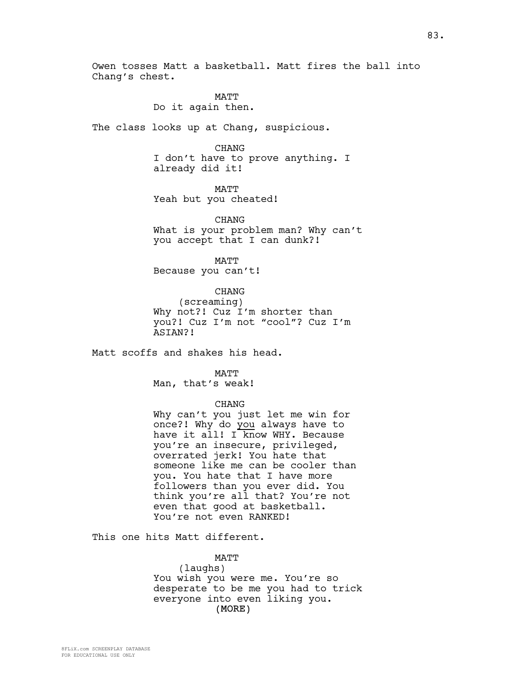Owen tosses Matt a basketball. Matt fires the ball into Chang's chest.

> MATT Do it again then.

The class looks up at Chang, suspicious.

CHANG

I don't have to prove anything. I already did it!

MATT Yeah but you cheated!

CHANG What is your problem man? Why can't you accept that I can dunk?!

MATT Because you can't!

CHANG (screaming) Why not?! Cuz I'm shorter than you?! Cuz I'm not "cool"? Cuz I'm ASIAN?!

Matt scoffs and shakes his head.

MATT Man, that's weak!

# CHANG

Why can't you just let me win for once?! Why do you always have to have it all! I know WHY. Because you're an insecure, privileged, overrated jerk! You hate that someone like me can be cooler than you. You hate that I have more followers than you ever did. You think you're all that? You're not even that good at basketball. You're not even RANKED!

This one hits Matt different.

### MATT

(laughs)

(MORE) You wish you were me. You're so desperate to be me you had to trick everyone into even liking you.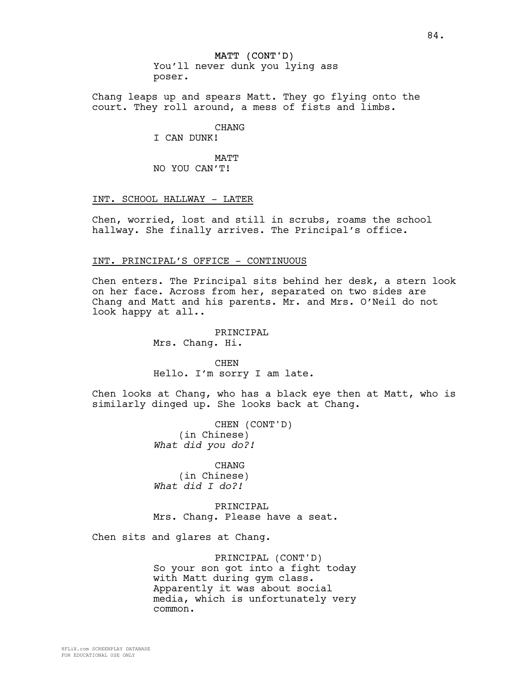Chang leaps up and spears Matt. They go flying onto the court. They roll around, a mess of fists and limbs.

CHANG

I CAN DUNK!

MATT NO YOU CAN'T!

## INT. SCHOOL HALLWAY - LATER

Chen, worried, lost and still in scrubs, roams the school hallway. She finally arrives. The Principal's office.

## INT. PRINCIPAL'S OFFICE - CONTINUOUS

Chen enters. The Principal sits behind her desk, a stern look on her face. Across from her, separated on two sides are Chang and Matt and his parents. Mr. and Mrs. O'Neil do not look happy at all..

> PRINCIPAL Mrs. Chang. Hi.

CHEN Hello. I'm sorry I am late.

Chen looks at Chang, who has a black eye then at Matt, who is similarly dinged up. She looks back at Chang.

> CHEN (CONT'D) (in Chinese) *What did you do?!*

CHANG (in Chinese) *What did I do?!*

PRINCIPAL Mrs. Chang. Please have a seat.

Chen sits and glares at Chang.

PRINCIPAL (CONT'D) So your son got into a fight today with Matt during gym class. Apparently it was about social media, which is unfortunately very common.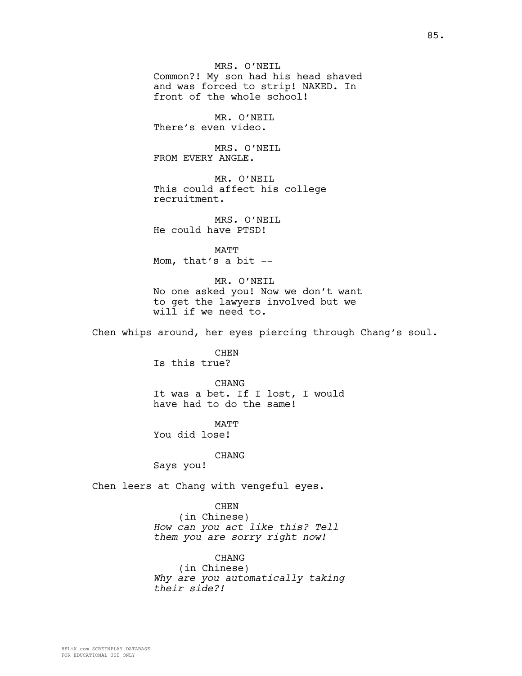MRS. O'NEIL Common?! My son had his head shaved and was forced to strip! NAKED. In front of the whole school!

MR. O'NEIL There's even video.

MRS. O'NEIL FROM EVERY ANGLE.

MR. O'NEIL This could affect his college recruitment.

MRS. O'NEIL He could have PTSD!

MATT Mom, that's a bit --

MR. O'NEIL No one asked you! Now we don't want to get the lawyers involved but we will if we need to.

Chen whips around, her eyes piercing through Chang's soul.

CHEN Is this true?

CHANG It was a bet. If I lost, I would have had to do the same!

**MATT** You did lose!

# CHANG

Says you!

Chen leers at Chang with vengeful eyes.

CHEN

(in Chinese) *How can you act like this? Tell them you are sorry right now!*

CHANG (in Chinese) *Why are you automatically taking their side?!*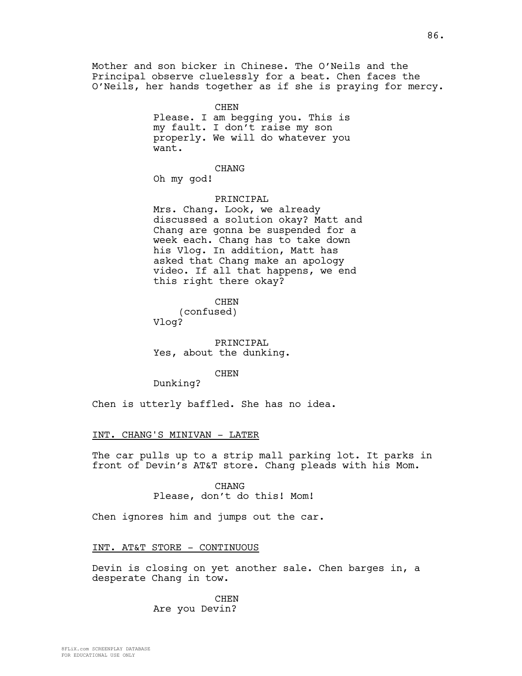Mother and son bicker in Chinese. The O'Neils and the Principal observe cluelessly for a beat. Chen faces the O'Neils, her hands together as if she is praying for mercy.

> CHEN Please. I am begging you. This is my fault. I don't raise my son properly. We will do whatever you want.

CHANG Oh my god!

## PRINCIPAL

Mrs. Chang. Look, we already discussed a solution okay? Matt and Chang are gonna be suspended for a week each. Chang has to take down his Vlog. In addition, Matt has asked that Chang make an apology video. If all that happens, we end this right there okay?

CHEN (confused) Vlog?

PRINCIPAL Yes, about the dunking.

## CHEN

Dunking?

Chen is utterly baffled. She has no idea.

## INT. CHANG'S MINIVAN - LATER

The car pulls up to a strip mall parking lot. It parks in front of Devin's AT&T store. Chang pleads with his Mom.

## CHANG

Please, don't do this! Mom!

Chen ignores him and jumps out the car.

## INT. AT&T STORE - CONTINUOUS

Devin is closing on yet another sale. Chen barges in, a desperate Chang in tow.

> CHEN Are you Devin?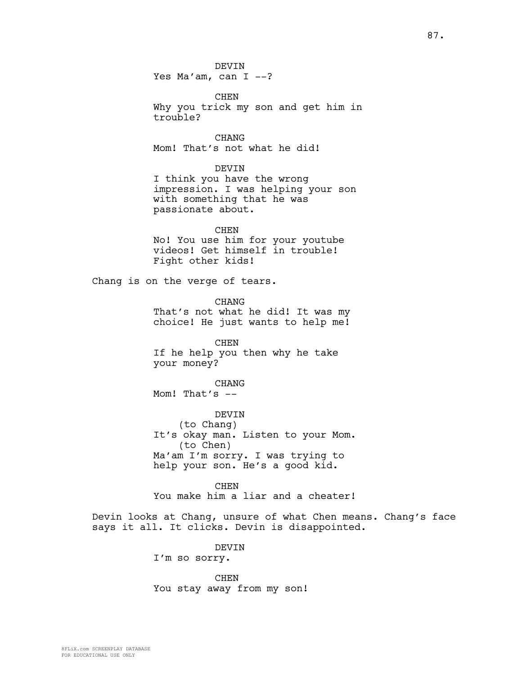DEVIN Yes Ma'am, can  $I$  --?

CHEN Why you trick my son and get him in trouble?

CHANG Mom! That's not what he did!

DEVIN

I think you have the wrong impression. I was helping your son with something that he was passionate about.

CHEN No! You use him for your youtube videos! Get himself in trouble! Fight other kids!

Chang is on the verge of tears.

CHANG That's not what he did! It was my choice! He just wants to help me!

CHEN If he help you then why he take your money?

CHANG

Mom! That's --

DEVIN (to Chang) It's okay man. Listen to your Mom. (to Chen) Ma'am I'm sorry. I was trying to help your son. He's a good kid.

CHEN You make him a liar and a cheater!

Devin looks at Chang, unsure of what Chen means. Chang's face says it all. It clicks. Devin is disappointed.

> DEVIN I'm so sorry.

CHEN You stay away from my son!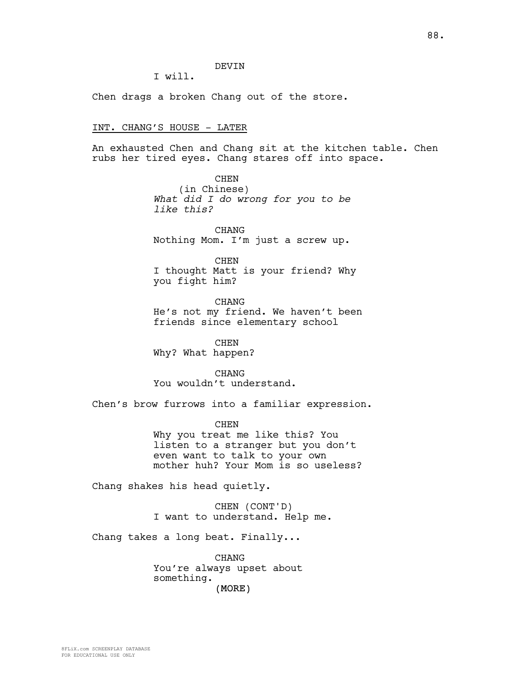## DEVIN

I will.

Chen drags a broken Chang out of the store.

### INT. CHANG'S HOUSE - LATER

An exhausted Chen and Chang sit at the kitchen table. Chen rubs her tired eyes. Chang stares off into space.

> CHEN (in Chinese) *What did I do wrong for you to be like this?*

CHANG Nothing Mom. I'm just a screw up.

CHEN I thought Matt is your friend? Why you fight him?

CHANG He's not my friend. We haven't been friends since elementary school

CHEN Why? What happen?

**CHANG** You wouldn't understand.

Chen's brow furrows into a familiar expression.

**CHEN** Why you treat me like this? You listen to a stranger but you don't even want to talk to your own mother huh? Your Mom is so useless?

Chang shakes his head quietly.

CHEN (CONT'D) I want to understand. Help me.

Chang takes a long beat. Finally...

(MORE) CHANG You're always upset about something.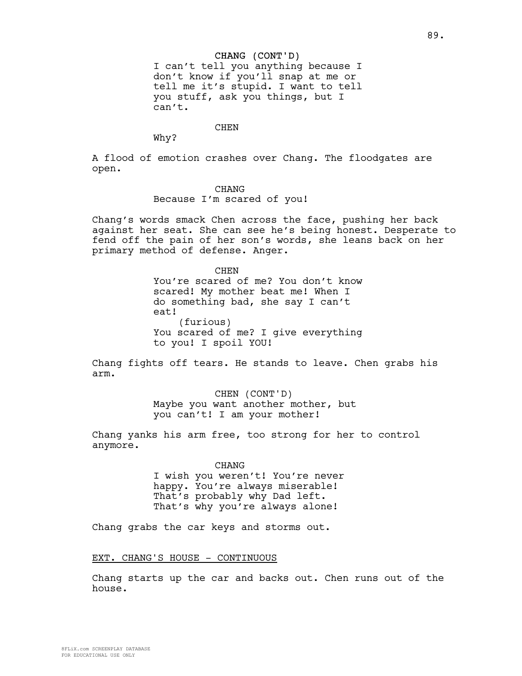#### CHANG (CONT'D)

I can't tell you anything because I don't know if you'll snap at me or tell me it's stupid. I want to tell you stuff, ask you things, but I can't.

CHEN

Why?

A flood of emotion crashes over Chang. The floodgates are open.

#### CHANG

Because I'm scared of you!

Chang's words smack Chen across the face, pushing her back against her seat. She can see he's being honest. Desperate to fend off the pain of her son's words, she leans back on her primary method of defense. Anger.

> **CHEN** You're scared of me? You don't know scared! My mother beat me! When I do something bad, she say I can't eat! (furious) You scared of me? I give everything to you! I spoil YOU!

Chang fights off tears. He stands to leave. Chen grabs his arm.

> CHEN (CONT'D) Maybe you want another mother, but you can't! I am your mother!

Chang yanks his arm free, too strong for her to control anymore.

> CHANG I wish you weren't! You're never happy. You're always miserable! That's probably why Dad left. That's why you're always alone!

Chang grabs the car keys and storms out.

### EXT. CHANG'S HOUSE - CONTINUOUS

Chang starts up the car and backs out. Chen runs out of the house.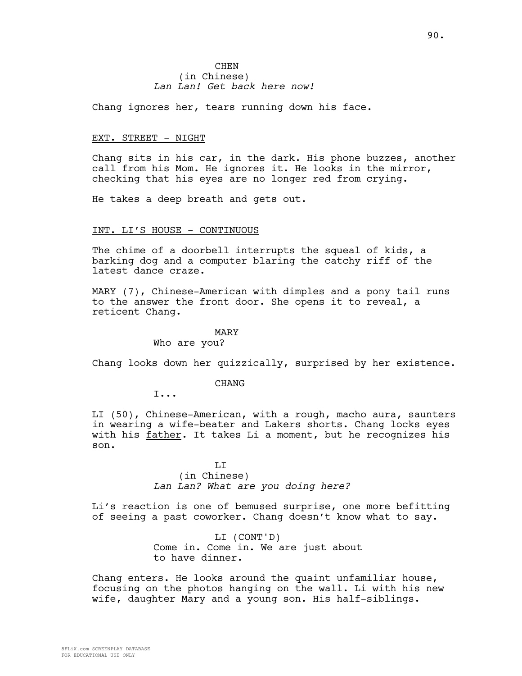## **CHEN** (in Chinese) *Lan Lan! Get back here now!*

Chang ignores her, tears running down his face.

## EXT. STREET - NIGHT

Chang sits in his car, in the dark. His phone buzzes, another call from his Mom. He ignores it. He looks in the mirror, checking that his eyes are no longer red from crying.

He takes a deep breath and gets out.

### INT. LI'S HOUSE - CONTINUOUS

The chime of a doorbell interrupts the squeal of kids, a barking dog and a computer blaring the catchy riff of the latest dance craze.

MARY (7), Chinese-American with dimples and a pony tail runs to the answer the front door. She opens it to reveal, a reticent Chang.

### MARY

## Who are you?

Chang looks down her quizzically, surprised by her existence.

## **CHANG**

I...

LI (50), Chinese-American, with a rough, macho aura, saunters in wearing a wife-beater and Lakers shorts. Chang locks eyes with his father. It takes Li a moment, but he recognizes his son.

> LI (in Chinese) *Lan Lan? What are you doing here?*

Li's reaction is one of bemused surprise, one more befitting of seeing a past coworker. Chang doesn't know what to say.

> LI (CONT'D) Come in. Come in. We are just about to have dinner.

Chang enters. He looks around the quaint unfamiliar house, focusing on the photos hanging on the wall. Li with his new wife, daughter Mary and a young son. His half-siblings.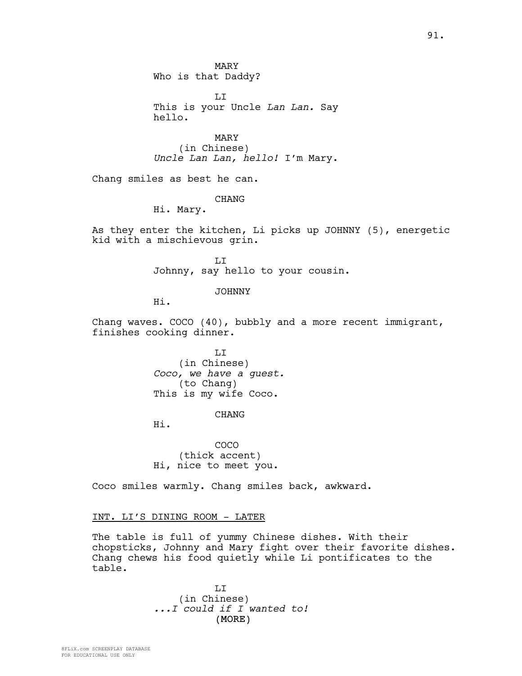MARY Who is that Daddy?

LI This is your Uncle *Lan Lan.* Say hello.

MARY (in Chinese) *Uncle Lan Lan, hello!* I'm Mary.

Chang smiles as best he can.

CHANG

Hi. Mary.

As they enter the kitchen, Li picks up JOHNNY (5), energetic kid with a mischievous grin.

> LI Johnny, say hello to your cousin.

> > JOHNNY

Hi.

Chang waves. COCO (40), bubbly and a more recent immigrant, finishes cooking dinner.

> LI (in Chinese) *Coco, we have a guest.* (to Chang) This is my wife Coco.

## CHANG

Hi.

COCO (thick accent) Hi, nice to meet you.

Coco smiles warmly. Chang smiles back, awkward.

## INT. LI'S DINING ROOM - LATER

The table is full of yummy Chinese dishes. With their chopsticks, Johnny and Mary fight over their favorite dishes. Chang chews his food quietly while Li pontificates to the table.

> (MORE) LI (in Chinese) *...I could if I wanted to!*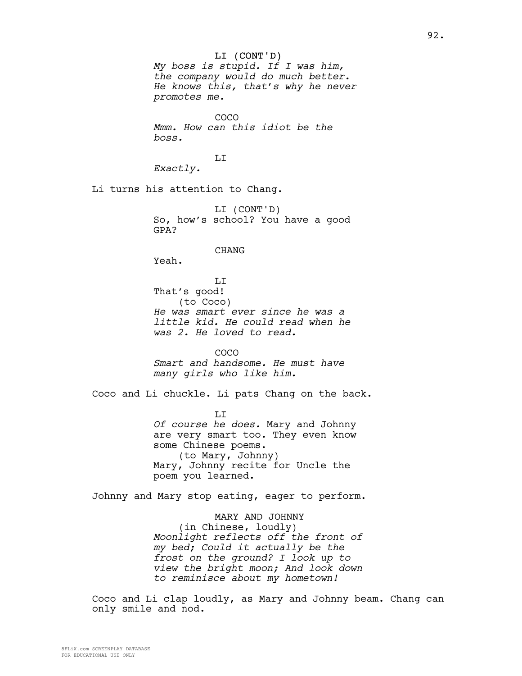## LI (CONT'D)

*My boss is stupid. If I was him, the company would do much better. He knows this, that's why he never promotes me.* 

COCO *Mmm. How can this idiot be the boss.*

## LI

*Exactly.*

Li turns his attention to Chang.

LI (CONT'D) So, how's school? You have a good GPA?

#### CHANG

Yeah.

LI That's good! (to Coco) *He was smart ever since he was a little kid. He could read when he was 2. He loved to read.*

COCO

*Smart and handsome. He must have many girls who like him.*

Coco and Li chuckle. Li pats Chang on the back.

LI *Of course he does.* Mary and Johnny are very smart too. They even know some Chinese poems. (to Mary, Johnny) Mary, Johnny recite for Uncle the poem you learned.

Johnny and Mary stop eating, eager to perform.

MARY AND JOHNNY (in Chinese, loudly) *Moonlight reflects off the front of my bed; Could it actually be the frost on the ground? I look up to view the bright moon; And look down to reminisce about my hometown!*

Coco and Li clap loudly, as Mary and Johnny beam. Chang can only smile and nod.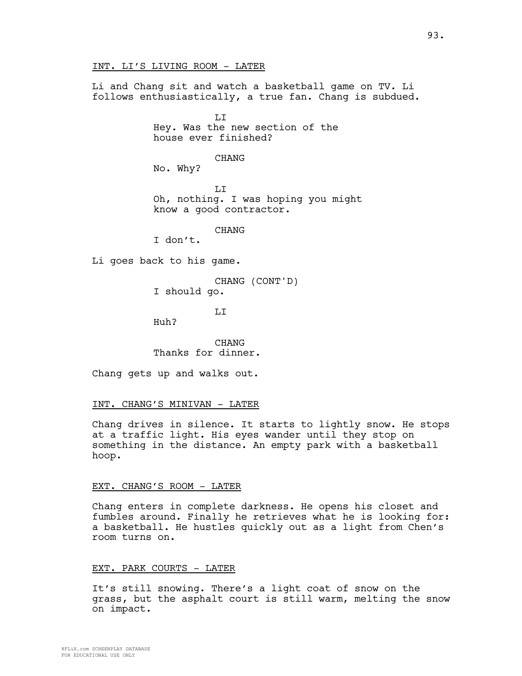INT. LI'S LIVING ROOM - LATER

Li and Chang sit and watch a basketball game on TV. Li follows enthusiastically, a true fan. Chang is subdued.

> LI Hey. Was the new section of the house ever finished?

> > CHANG

No. Why?

LI Oh, nothing. I was hoping you might know a good contractor.

CHANG

I don't.

Li goes back to his game.

CHANG (CONT'D) I should go.

LI

Huh?

CHANG Thanks for dinner.

Chang gets up and walks out.

## INT. CHANG'S MINIVAN - LATER

Chang drives in silence. It starts to lightly snow. He stops at a traffic light. His eyes wander until they stop on something in the distance. An empty park with a basketball hoop.

# EXT. CHANG'S ROOM - LATER

Chang enters in complete darkness. He opens his closet and fumbles around. Finally he retrieves what he is looking for: a basketball. He hustles quickly out as a light from Chen's room turns on.

## EXT. PARK COURTS - LATER

It's still snowing. There's a light coat of snow on the grass, but the asphalt court is still warm, melting the snow on impact.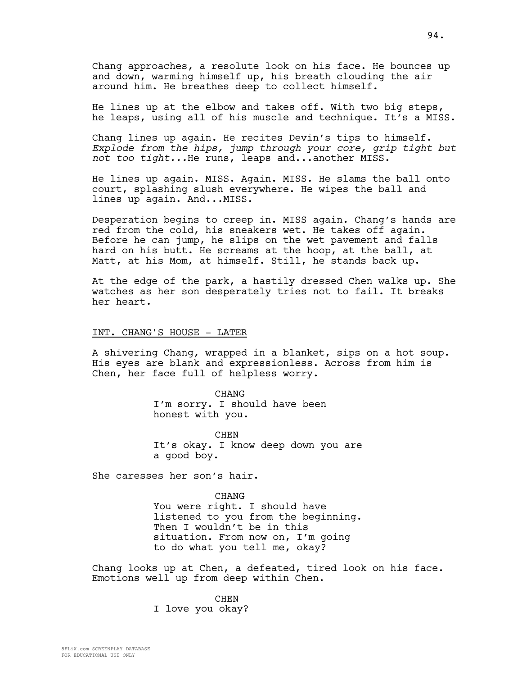Chang approaches, a resolute look on his face. He bounces up and down, warming himself up, his breath clouding the air around him. He breathes deep to collect himself.

He lines up at the elbow and takes off. With two big steps, he leaps, using all of his muscle and technique. It's a MISS.

Chang lines up again. He recites Devin's tips to himself. *Explode from the hips, jump through your core, grip tight but not too tight...*He runs, leaps and...another MISS.

He lines up again. MISS. Again. MISS. He slams the ball onto court, splashing slush everywhere. He wipes the ball and lines up again. And...MISS.

Desperation begins to creep in. MISS again. Chang's hands are red from the cold, his sneakers wet. He takes off again. Before he can jump, he slips on the wet pavement and falls hard on his butt. He screams at the hoop, at the ball, at Matt, at his Mom, at himself. Still, he stands back up.

At the edge of the park, a hastily dressed Chen walks up. She watches as her son desperately tries not to fail. It breaks her heart.

# INT. CHANG'S HOUSE - LATER

A shivering Chang, wrapped in a blanket, sips on a hot soup. His eyes are blank and expressionless. Across from him is Chen, her face full of helpless worry.

> CHANG I'm sorry. I should have been honest with you.

**CHEN** It's okay. I know deep down you are a good boy.

She caresses her son's hair.

**CHANG** You were right. I should have listened to you from the beginning. Then I wouldn't be in this situation. From now on, I'm going to do what you tell me, okay?

Chang looks up at Chen, a defeated, tired look on his face. Emotions well up from deep within Chen.

> CHEN I love you okay?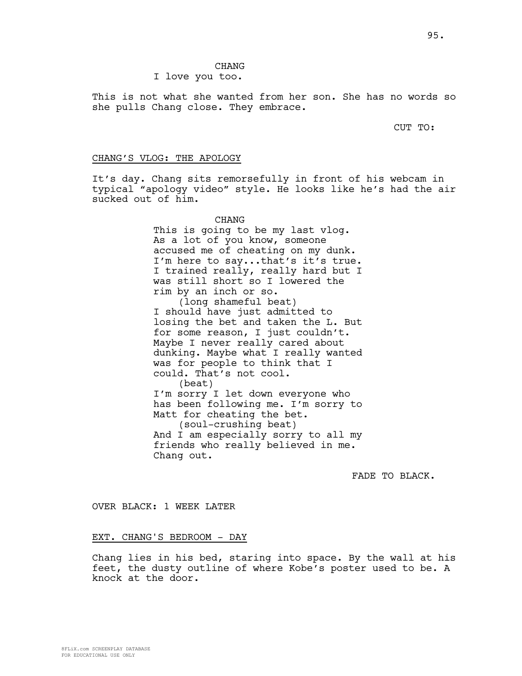# CHANG

## I love you too.

This is not what she wanted from her son. She has no words so she pulls Chang close. They embrace.

CUT TO:

### CHANG'S VLOG: THE APOLOGY

It's day. Chang sits remorsefully in front of his webcam in typical "apology video" style. He looks like he's had the air sucked out of him.

> CHANG This is going to be my last vlog. As a lot of you know, someone accused me of cheating on my dunk. I'm here to say...that's it's true. I trained really, really hard but I was still short so I lowered the rim by an inch or so. (long shameful beat) I should have just admitted to losing the bet and taken the L. But for some reason, I just couldn't. Maybe I never really cared about dunking. Maybe what I really wanted was for people to think that I could. That's not cool. (beat) I'm sorry I let down everyone who has been following me. I'm sorry to Matt for cheating the bet. (soul-crushing beat) And I am especially sorry to all my friends who really believed in me. Chang out.

> > FADE TO BLACK.

OVER BLACK: 1 WEEK LATER

## EXT. CHANG'S BEDROOM - DAY

Chang lies in his bed, staring into space. By the wall at his feet, the dusty outline of where Kobe's poster used to be. A knock at the door.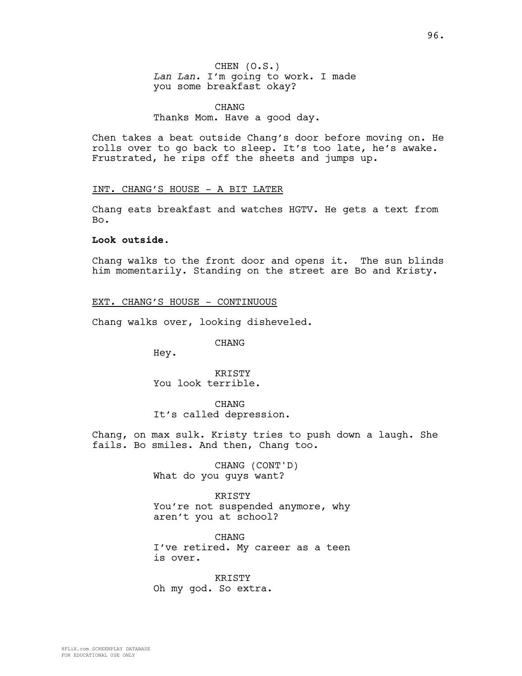# CHANG Thanks Mom. Have a good day.

Chen takes a beat outside Chang's door before moving on. He rolls over to go back to sleep. It's too late, he's awake. Frustrated, he rips off the sheets and jumps up.

## INT. CHANG'S HOUSE - A BIT LATER

Chang eats breakfast and watches HGTV. He gets a text from Bo.

## **Look outside.**

Chang walks to the front door and opens it. The sun blinds him momentarily. Standing on the street are Bo and Kristy.

## EXT. CHANG'S HOUSE - CONTINUOUS

Chang walks over, looking disheveled.

## CHANG

Hey.

**KRISTY** You look terrible.

**CHANG** It's called depression.

Chang, on max sulk. Kristy tries to push down a laugh. She fails. Bo smiles. And then, Chang too.

> CHANG (CONT'D) What do you guys want?

KRISTY You're not suspended anymore, why aren't you at school?

CHANG I've retired. My career as a teen is over.

KRISTY Oh my god. So extra.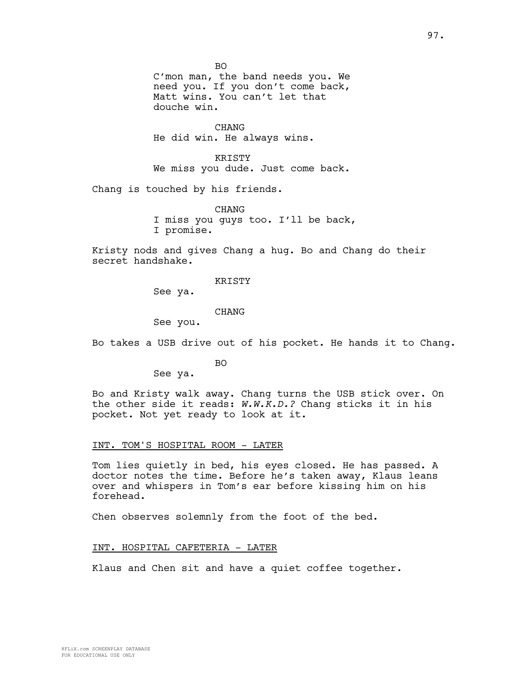BO C'mon man, the band needs you. We need you. If you don't come back, Matt wins. You can't let that douche win.

CHANG He did win. He always wins.

KRISTY We miss you dude. Just come back.

Chang is touched by his friends.

CHANG I miss you guys too. I'll be back, I promise.

Kristy nods and gives Chang a hug. Bo and Chang do their secret handshake.

KRISTY

See ya.

CHANG

See you.

Bo takes a USB drive out of his pocket. He hands it to Chang.

BO

See ya.

Bo and Kristy walk away. Chang turns the USB stick over. On the other side it reads: *W.W.K.D.?* Chang sticks it in his pocket. Not yet ready to look at it.

## INT. TOM'S HOSPITAL ROOM - LATER

Tom lies quietly in bed, his eyes closed. He has passed. A doctor notes the time. Before he's taken away, Klaus leans over and whispers in Tom's ear before kissing him on his forehead.

Chen observes solemnly from the foot of the bed.

## INT. HOSPITAL CAFETERIA - LATER

Klaus and Chen sit and have a quiet coffee together.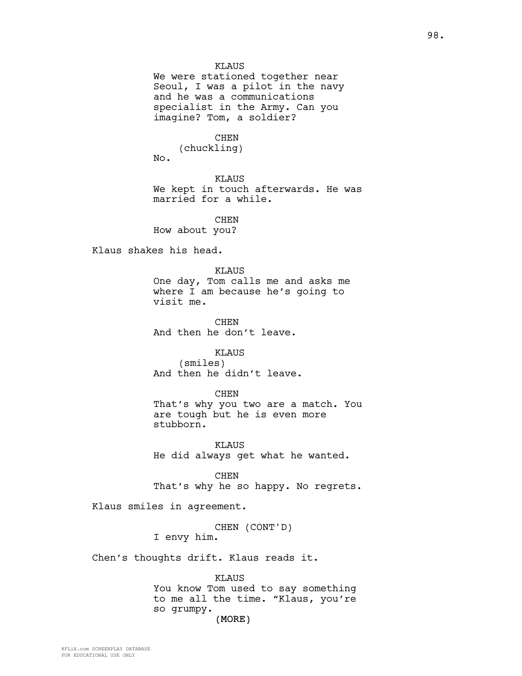KLAUS

We were stationed together near Seoul, I was a pilot in the navy and he was a communications specialist in the Army. Can you imagine? Tom, a soldier?

CHEN

(chuckling) No.

KLAUS We kept in touch afterwards. He was married for a while.

CHEN How about you?

Klaus shakes his head.

KLAUS One day, Tom calls me and asks me where I am because he's going to visit me.

CHEN And then he don't leave.

KLAUS (smiles) And then he didn't leave.

#### CHEN

That's why you two are a match. You are tough but he is even more stubborn.

KLAUS He did always get what he wanted.

CHEN That's why he so happy. No regrets.

Klaus smiles in agreement.

CHEN (CONT'D)

I envy him.

Chen's thoughts drift. Klaus reads it.

KLAUS You know Tom used to say something to me all the time. "Klaus, you're so grumpy.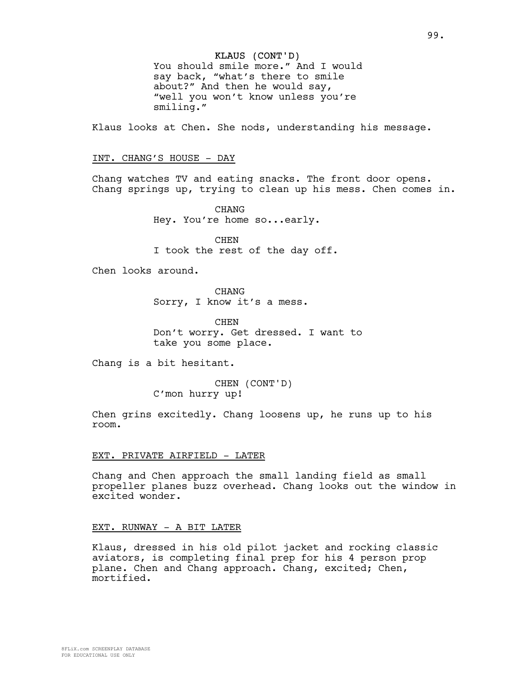## KLAUS (CONT'D)

You should smile more." And I would say back, "what's there to smile about?" And then he would say, "well you won't know unless you're smiling."

Klaus looks at Chen. She nods, understanding his message.

#### INT. CHANG'S HOUSE - DAY

Chang watches TV and eating snacks. The front door opens. Chang springs up, trying to clean up his mess. Chen comes in.

> CHANG Hey. You're home so...early.

CHEN I took the rest of the day off.

Chen looks around.

CHANG Sorry, I know it's a mess.

CHEN Don't worry. Get dressed. I want to take you some place.

Chang is a bit hesitant.

CHEN (CONT'D) C'mon hurry up!

Chen grins excitedly. Chang loosens up, he runs up to his room.

### EXT. PRIVATE AIRFIELD - LATER

Chang and Chen approach the small landing field as small propeller planes buzz overhead. Chang looks out the window in excited wonder.

### EXT. RUNWAY - A BIT LATER

Klaus, dressed in his old pilot jacket and rocking classic aviators, is completing final prep for his 4 person prop plane. Chen and Chang approach. Chang, excited; Chen, mortified.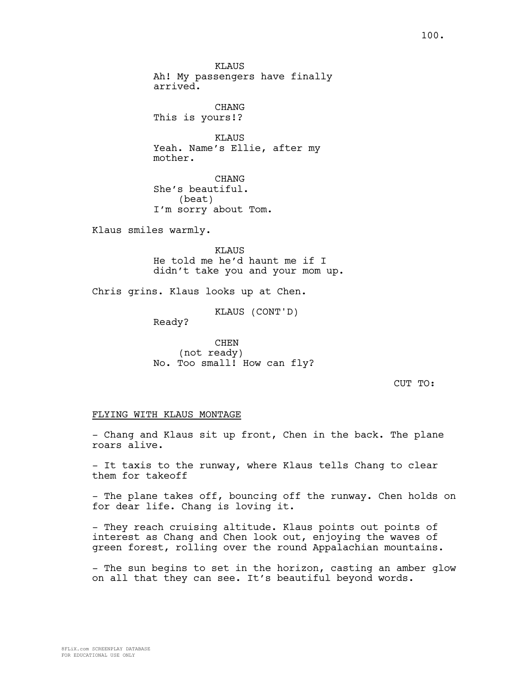**KLAUS** Ah! My passengers have finally arrived.

CHANG This is yours!?

KLAUS Yeah. Name's Ellie, after my mother.

CHANG She's beautiful. (beat) I'm sorry about Tom.

Klaus smiles warmly.

KLAUS He told me he'd haunt me if I didn't take you and your mom up.

Chris grins. Klaus looks up at Chen.

KLAUS (CONT'D)

Ready?

CHEN (not ready) No. Too small! How can fly?

CUT TO:

## FLYING WITH KLAUS MONTAGE

- Chang and Klaus sit up front, Chen in the back. The plane roars alive.

- It taxis to the runway, where Klaus tells Chang to clear them for takeoff

- The plane takes off, bouncing off the runway. Chen holds on for dear life. Chang is loving it.

- They reach cruising altitude. Klaus points out points of interest as Chang and Chen look out, enjoying the waves of green forest, rolling over the round Appalachian mountains.

- The sun begins to set in the horizon, casting an amber glow on all that they can see. It's beautiful beyond words.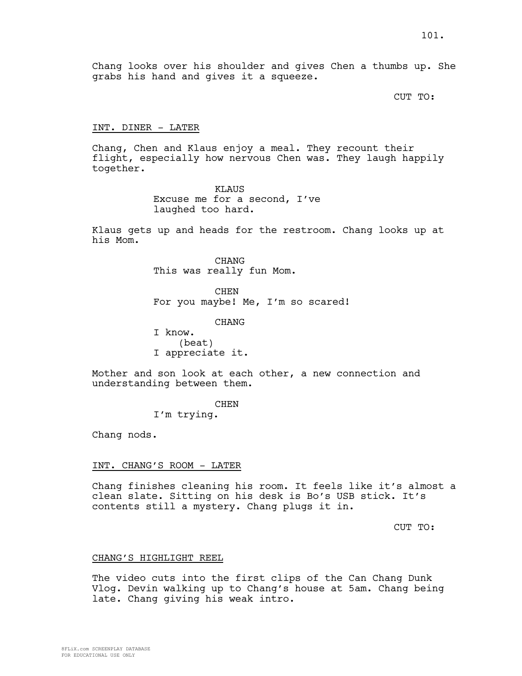Chang looks over his shoulder and gives Chen a thumbs up. She grabs his hand and gives it a squeeze.

CUT TO:

## INT. DINER - LATER

Chang, Chen and Klaus enjoy a meal. They recount their flight, especially how nervous Chen was. They laugh happily together.

> KLAUS Excuse me for a second, I've laughed too hard.

Klaus gets up and heads for the restroom. Chang looks up at his Mom.

> CHANG This was really fun Mom.

CHEN For you maybe! Me, I'm so scared!

CHANG

I know. (beat) I appreciate it.

Mother and son look at each other, a new connection and understanding between them.

**CHEN** 

I'm trying.

Chang nods.

## INT. CHANG'S ROOM - LATER

Chang finishes cleaning his room. It feels like it's almost a clean slate. Sitting on his desk is Bo's USB stick. It's contents still a mystery. Chang plugs it in.

CUT TO:

## CHANG'S HIGHLIGHT REEL

The video cuts into the first clips of the Can Chang Dunk Vlog. Devin walking up to Chang's house at 5am. Chang being late. Chang giving his weak intro.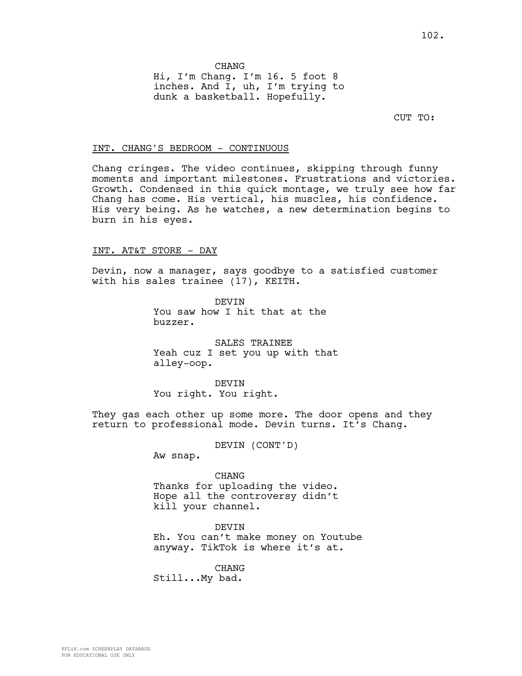**CHANG** Hi, I'm Chang. I'm 16. 5 foot 8 inches. And I, uh, I'm trying to dunk a basketball. Hopefully.

CUT TO:

## INT. CHANG'S BEDROOM - CONTINUOUS

Chang cringes. The video continues, skipping through funny moments and important milestones. Frustrations and victories. Growth. Condensed in this quick montage, we truly see how far Chang has come. His vertical, his muscles, his confidence. His very being. As he watches, a new determination begins to burn in his eyes.

## INT. AT&T STORE - DAY

Devin, now a manager, says goodbye to a satisfied customer with his sales trainee (17), KEITH.

> DEVIN You saw how I hit that at the buzzer.

SALES TRAINEE Yeah cuz I set you up with that alley-oop.

DEVIN You right. You right.

They gas each other up some more. The door opens and they return to professional mode. Devin turns. It's Chang.

DEVIN (CONT'D)

Aw snap.

CHANG Thanks for uploading the video. Hope all the controversy didn't kill your channel.

DEVIN Eh. You can't make money on Youtube anyway. TikTok is where it's at.

CHANG Still...My bad.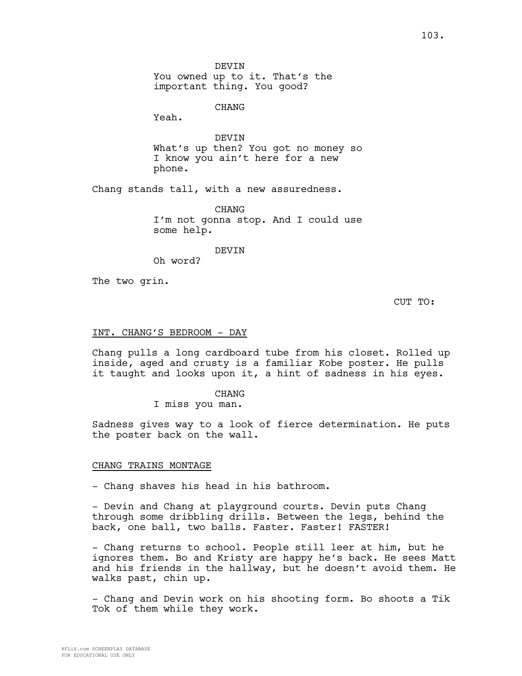CHANG

Yeah.

DEVIN What's up then? You got no money so I know you ain't here for a new phone.

Chang stands tall, with a new assuredness.

CHANG I'm not gonna stop. And I could use some help.

DEVIN

Oh word?

The two grin.

CUT TO:

### INT. CHANG'S BEDROOM - DAY

Chang pulls a long cardboard tube from his closet. Rolled up inside, aged and crusty is a familiar Kobe poster. He pulls it taught and looks upon it, a hint of sadness in his eyes.

> CHANG I miss you man.

Sadness gives way to a look of fierce determination. He puts the poster back on the wall.

### CHANG TRAINS MONTAGE

- Chang shaves his head in his bathroom.

- Devin and Chang at playground courts. Devin puts Chang through some dribbling drills. Between the legs, behind the back, one ball, two balls. Faster. Faster! FASTER!

- Chang returns to school. People still leer at him, but he ignores them. Bo and Kristy are happy he's back. He sees Matt and his friends in the hallway, but he doesn't avoid them. He walks past, chin up.

- Chang and Devin work on his shooting form. Bo shoots a Tik Tok of them while they work.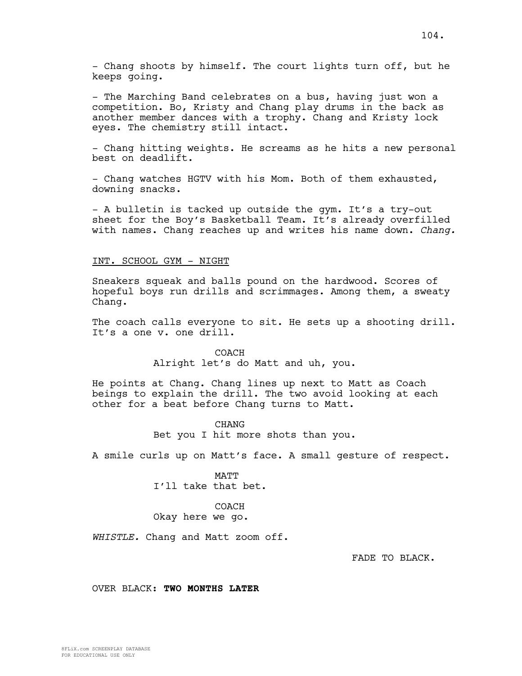- Chang shoots by himself. The court lights turn off, but he keeps going.

- The Marching Band celebrates on a bus, having just won a competition. Bo, Kristy and Chang play drums in the back as another member dances with a trophy. Chang and Kristy lock eyes. The chemistry still intact.

- Chang hitting weights. He screams as he hits a new personal best on deadlift.

- Chang watches HGTV with his Mom. Both of them exhausted, downing snacks.

- A bulletin is tacked up outside the gym. It's a try-out sheet for the Boy's Basketball Team. It's already overfilled with names. Chang reaches up and writes his name down. *Chang.*

## INT. SCHOOL GYM - NIGHT

Sneakers squeak and balls pound on the hardwood. Scores of hopeful boys run drills and scrimmages. Among them, a sweaty Chang.

The coach calls everyone to sit. He sets up a shooting drill. It's a one v. one drill.

> COACH Alright let's do Matt and uh, you.

He points at Chang. Chang lines up next to Matt as Coach beings to explain the drill. The two avoid looking at each other for a beat before Chang turns to Matt.

> CHANG Bet you I hit more shots than you.

A smile curls up on Matt's face. A small gesture of respect.

MATT I'll take that bet.

## COACH Okay here we go.

*WHISTLE.* Chang and Matt zoom off.

FADE TO BLACK.

OVER BLACK: **TWO MONTHS LATER**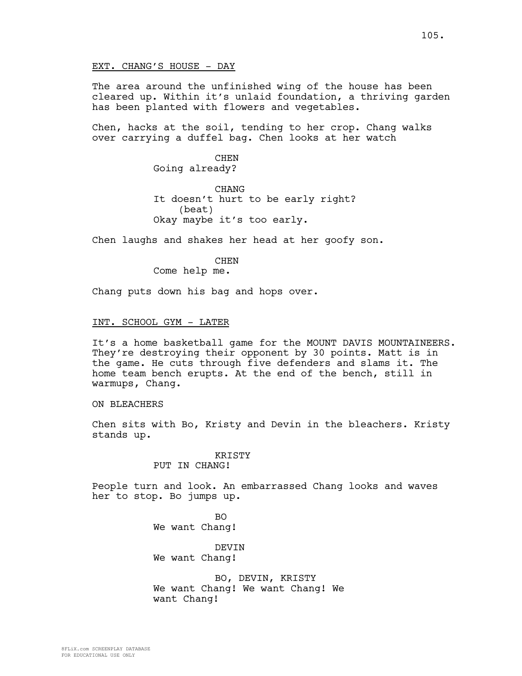The area around the unfinished wing of the house has been cleared up. Within it's unlaid foundation, a thriving garden has been planted with flowers and vegetables.

Chen, hacks at the soil, tending to her crop. Chang walks over carrying a duffel bag. Chen looks at her watch

> CHEN Going already?

CHANG It doesn't hurt to be early right? (beat) Okay maybe it's too early.

Chen laughs and shakes her head at her goofy son.

CHEN Come help me.

Chang puts down his bag and hops over.

#### INT. SCHOOL GYM - LATER

It's a home basketball game for the MOUNT DAVIS MOUNTAINEERS. They're destroying their opponent by 30 points. Matt is in the game. He cuts through five defenders and slams it. The home team bench erupts. At the end of the bench, still in warmups, Chang.

## ON BLEACHERS

Chen sits with Bo, Kristy and Devin in the bleachers. Kristy stands up.

## KRISTY PUT IN CHANG!

People turn and look. An embarrassed Chang looks and waves her to stop. Bo jumps up.

> $BO$ We want Chang!

DEVIN We want Chang!

BO, DEVIN, KRISTY We want Chang! We want Chang! We want Chang!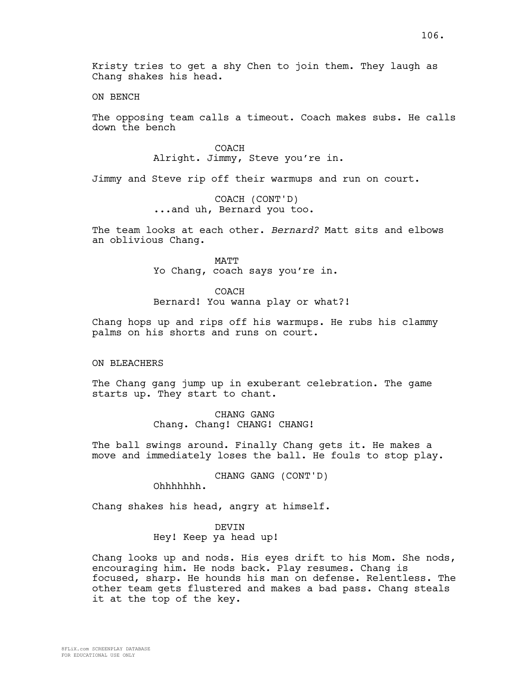Kristy tries to get a shy Chen to join them. They laugh as Chang shakes his head.

ON BENCH

The opposing team calls a timeout. Coach makes subs. He calls down the bench

> COACH Alright. Jimmy, Steve you're in.

Jimmy and Steve rip off their warmups and run on court.

COACH (CONT'D) ...and uh, Bernard you too.

The team looks at each other. *Bernard?* Matt sits and elbows an oblivious Chang.

> MATT Yo Chang, coach says you're in.

> > COACH

Bernard! You wanna play or what?!

Chang hops up and rips off his warmups. He rubs his clammy palms on his shorts and runs on court.

### ON BLEACHERS

The Chang gang jump up in exuberant celebration. The game starts up. They start to chant.

> CHANG GANG Chang. Chang! CHANG! CHANG!

The ball swings around. Finally Chang gets it. He makes a move and immediately loses the ball. He fouls to stop play.

CHANG GANG (CONT'D)

Ohhhhhhh.

Chang shakes his head, angry at himself.

DEVIN Hey! Keep ya head up!

Chang looks up and nods. His eyes drift to his Mom. She nods, encouraging him. He nods back. Play resumes. Chang is focused, sharp. He hounds his man on defense. Relentless. The other team gets flustered and makes a bad pass. Chang steals it at the top of the key.